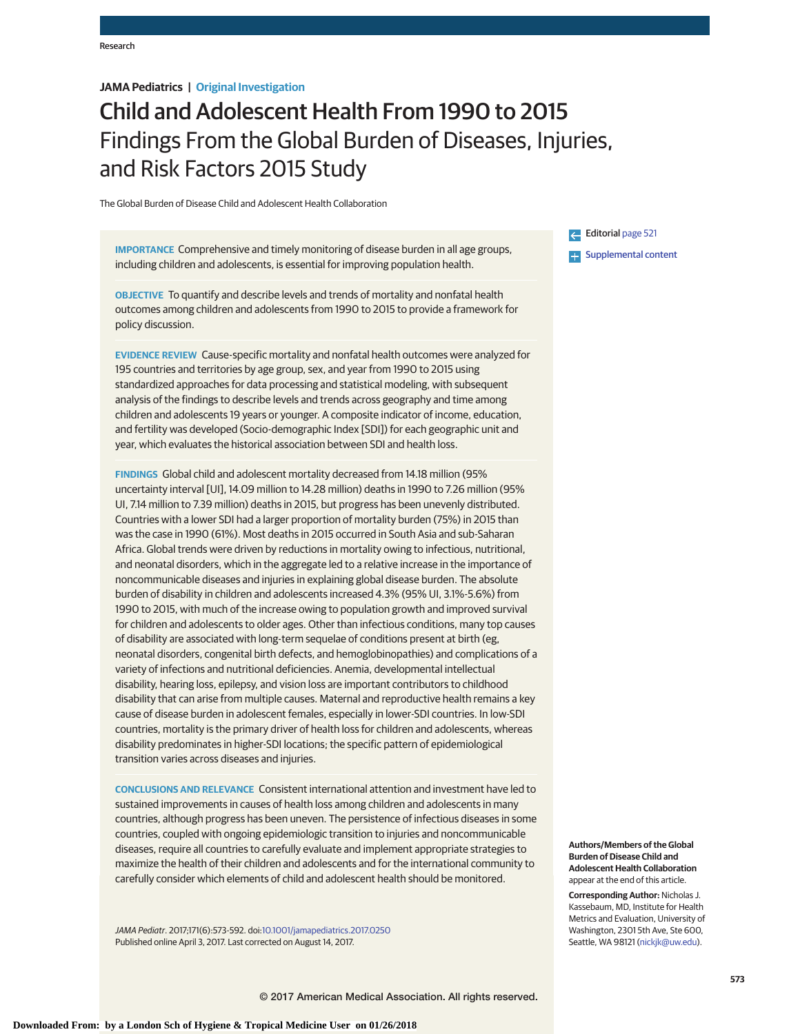# **JAMA Pediatrics | Original Investigation**

# Child and Adolescent Health From 1990 to 2015 Findings From the Global Burden of Diseases, Injuries, and Risk Factors 2015 Study

The Global Burden of Disease Child and Adolescent Health Collaboration

**IMPORTANCE** Comprehensive and timely monitoring of disease burden in all age groups, including children and adolescents, is essential for improving population health.

**OBJECTIVE** To quantify and describe levels and trends of mortality and nonfatal health outcomes among children and adolescents from 1990 to 2015 to provide a framework for policy discussion.

**EVIDENCE REVIEW** Cause-specific mortality and nonfatal health outcomes were analyzed for 195 countries and territories by age group, sex, and year from 1990 to 2015 using standardized approaches for data processing and statistical modeling, with subsequent analysis of the findings to describe levels and trends across geography and time among children and adolescents 19 years or younger. A composite indicator of income, education, and fertility was developed (Socio-demographic Index [SDI]) for each geographic unit and year, which evaluates the historical association between SDI and health loss.

**FINDINGS** Global child and adolescent mortality decreased from 14.18 million (95% uncertainty interval [UI], 14.09 million to 14.28 million) deaths in 1990 to 7.26 million (95% UI, 7.14 million to 7.39 million) deaths in 2015, but progress has been unevenly distributed. Countries with a lower SDI had a larger proportion of mortality burden (75%) in 2015 than was the case in 1990 (61%). Most deaths in 2015 occurred in South Asia and sub-Saharan Africa. Global trends were driven by reductions in mortality owing to infectious, nutritional, and neonatal disorders, which in the aggregate led to a relative increase in the importance of noncommunicable diseases and injuries in explaining global disease burden. The absolute burden of disability in children and adolescents increased 4.3% (95% UI, 3.1%-5.6%) from 1990 to 2015, with much of the increase owing to population growth and improved survival for children and adolescents to older ages. Other than infectious conditions, many top causes of disability are associated with long-term sequelae of conditions present at birth (eg, neonatal disorders, congenital birth defects, and hemoglobinopathies) and complications of a variety of infections and nutritional deficiencies. Anemia, developmental intellectual disability, hearing loss, epilepsy, and vision loss are important contributors to childhood disability that can arise from multiple causes. Maternal and reproductive health remains a key cause of disease burden in adolescent females, especially in lower-SDI countries. In low-SDI countries, mortality is the primary driver of health loss for children and adolescents, whereas disability predominates in higher-SDI locations; the specific pattern of epidemiological transition varies across diseases and injuries.

**CONCLUSIONS AND RELEVANCE** Consistent international attention and investment have led to sustained improvements in causes of health loss among children and adolescents in many countries, although progress has been uneven. The persistence of infectious diseases in some countries, coupled with ongoing epidemiologic transition to injuries and noncommunicable diseases, require all countries to carefully evaluate and implement appropriate strategies to maximize the health of their children and adolescents and for the international community to carefully consider which elements of child and adolescent health should be monitored.

JAMA Pediatr. 2017;171(6):573-592. doi[:10.1001/jamapediatrics.2017.0250](http://jama.jamanetwork.com/article.aspx?doi=10.1001/jamapediatrics.2017.0250&utm_campaign=articlePDF%26utm_medium=articlePDFlink%26utm_source=articlePDF%26utm_content=jamapediatrics.2017.0250) Published online April 3, 2017. Last corrected on August 14, 2017.

Editorial [page 521](http://jama.jamanetwork.com/article.aspx?doi=10.1001/jamapediatrics.2017.0261&utm_campaign=articlePDF%26utm_medium=articlePDFlink%26utm_source=articlePDF%26utm_content=jamapediatrics.2017.0250) **Examplemental content** 

**Authors/Members of the Global Burden of Disease Child and Adolescent Health Collaboration** appear at the end of this article.

**Corresponding Author:** Nicholas J. Kassebaum, MD, Institute for Health Metrics and Evaluation, University of Washington, 2301 5th Ave, Ste 600, Seattle, WA 98121 [\(nickjk@uw.edu\)](mailto:nickjk@uw.edu).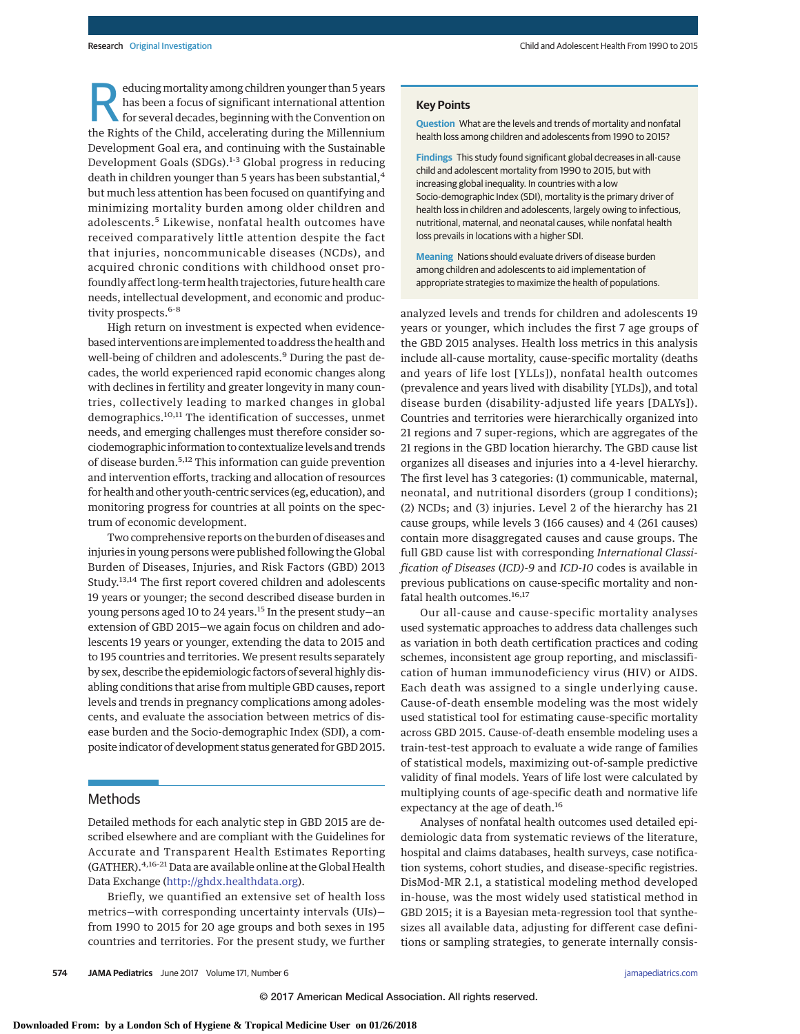educing mortality among children younger than 5 years has been a focus of significant international attention for several decades, beginning with the Convention on the Rights of the Child, accelerating during the Millennium Development Goal era, and continuing with the Sustainable Development Goals (SDGs).<sup>1-3</sup> Global progress in reducing death in children younger than 5 years has been substantial,<sup>4</sup> but much less attention has been focused on quantifying and minimizing mortality burden among older children and adolescents.<sup>5</sup> Likewise, nonfatal health outcomes have received comparatively little attention despite the fact that injuries, noncommunicable diseases (NCDs), and acquired chronic conditions with childhood onset profoundly affect long-term health trajectories, future health care needs, intellectual development, and economic and productivity prospects.<sup>6-8</sup>

High return on investment is expected when evidencebased interventions are implemented to address the health and well-being of children and adolescents.<sup>9</sup> During the past decades, the world experienced rapid economic changes along with declines in fertility and greater longevity in many countries, collectively leading to marked changes in global demographics.<sup>10,11</sup> The identification of successes, unmet needs, and emerging challenges must therefore consider sociodemographic information to contextualize levels and trends of disease burden.5,12 This information can guide prevention and intervention efforts, tracking and allocation of resources for health and other youth-centric services (eg, education), and monitoring progress for countries at all points on the spectrum of economic development.

Two comprehensive reports on the burden of diseases and injuries in young persons were published following the Global Burden of Diseases, Injuries, and Risk Factors (GBD) 2013 Study.<sup>13,14</sup> The first report covered children and adolescents 19 years or younger; the second described disease burden in young persons aged 10 to 24 years.<sup>15</sup> In the present study-an extension of GBD 2015—we again focus on children and adolescents 19 years or younger, extending the data to 2015 and to 195 countries and territories. We present results separately by sex, describe the epidemiologic factors of several highly disabling conditions that arise from multiple GBD causes, report levels and trends in pregnancy complications among adolescents, and evaluate the association between metrics of disease burden and the Socio-demographic Index (SDI), a composite indicator of development status generated for GBD 2015.

#### Methods

Detailed methods for each analytic step in GBD 2015 are described elsewhere and are compliant with the Guidelines for Accurate and Transparent Health Estimates Reporting (GATHER).4,16-21 Data are available online at the Global Health Data Exchange [\(http://ghdx.healthdata.org\)](http://ghdx.healthdata.org).

Briefly, we quantified an extensive set of health loss metrics—with corresponding uncertainty intervals (UIs) from 1990 to 2015 for 20 age groups and both sexes in 195 countries and territories. For the present study, we further **Question** What are the levels and trends of mortality and nonfatal health loss among children and adolescents from 1990 to 2015?

**Findings** This study found significant global decreases in all-cause child and adolescent mortality from 1990 to 2015, but with increasing global inequality. In countries with a low Socio-demographic Index (SDI), mortality is the primary driver of health loss in children and adolescents, largely owing to infectious, nutritional, maternal, and neonatal causes, while nonfatal health loss prevails in locations with a higher SDI.

**Meaning** Nations should evaluate drivers of disease burden among children and adolescents to aid implementation of appropriate strategies to maximize the health of populations.

analyzed levels and trends for children and adolescents 19 years or younger, which includes the first 7 age groups of the GBD 2015 analyses. Health loss metrics in this analysis include all-cause mortality, cause-specific mortality (deaths and years of life lost [YLLs]), nonfatal health outcomes (prevalence and years lived with disability [YLDs]), and total disease burden (disability-adjusted life years [DALYs]). Countries and territories were hierarchically organized into 21 regions and 7 super-regions, which are aggregates of the 21 regions in the GBD location hierarchy. The GBD cause list organizes all diseases and injuries into a 4-level hierarchy. The first level has 3 categories: (1) communicable, maternal, neonatal, and nutritional disorders (group I conditions); (2) NCDs; and (3) injuries. Level 2 of the hierarchy has 21 cause groups, while levels 3 (166 causes) and 4 (261 causes) contain more disaggregated causes and cause groups. The full GBD cause list with corresponding *International Classification of Diseases* (*ICD)-9* and *ICD-10* codes is available in previous publications on cause-specific mortality and nonfatal health outcomes.<sup>16,17</sup>

Our all-cause and cause-specific mortality analyses used systematic approaches to address data challenges such as variation in both death certification practices and coding schemes, inconsistent age group reporting, and misclassification of human immunodeficiency virus (HIV) or AIDS. Each death was assigned to a single underlying cause. Cause-of-death ensemble modeling was the most widely used statistical tool for estimating cause-specific mortality across GBD 2015. Cause-of-death ensemble modeling uses a train-test-test approach to evaluate a wide range of families of statistical models, maximizing out-of-sample predictive validity of final models. Years of life lost were calculated by multiplying counts of age-specific death and normative life expectancy at the age of death.<sup>16</sup>

Analyses of nonfatal health outcomes used detailed epidemiologic data from systematic reviews of the literature, hospital and claims databases, health surveys, case notification systems, cohort studies, and disease-specific registries. DisMod-MR 2.1, a statistical modeling method developed in-house, was the most widely used statistical method in GBD 2015; it is a Bayesian meta-regression tool that synthesizes all available data, adjusting for different case definitions or sampling strategies, to generate internally consis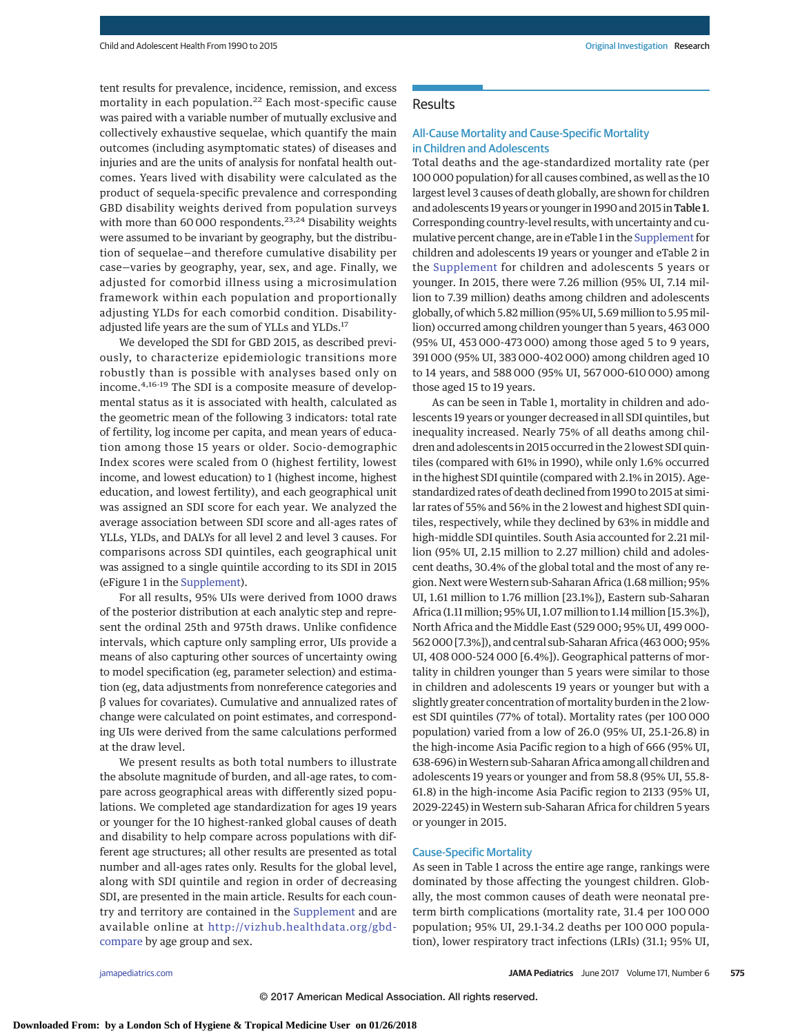tent results for prevalence, incidence, remission, and excess mortality in each population.<sup>22</sup> Each most-specific cause was paired with a variable number of mutually exclusive and collectively exhaustive sequelae, which quantify the main outcomes (including asymptomatic states) of diseases and injuries and are the units of analysis for nonfatal health outcomes. Years lived with disability were calculated as the product of sequela-specific prevalence and corresponding GBD disability weights derived from population surveys with more than 60 000 respondents.<sup>23,24</sup> Disability weights were assumed to be invariant by geography, but the distribution of sequelae—and therefore cumulative disability per case—varies by geography, year, sex, and age. Finally, we adjusted for comorbid illness using a microsimulation framework within each population and proportionally adjusting YLDs for each comorbid condition. Disabilityadjusted life years are the sum of YLLs and YLDs.<sup>17</sup>

We developed the SDI for GBD 2015, as described previously, to characterize epidemiologic transitions more robustly than is possible with analyses based only on income.4,16-19 The SDI is a composite measure of developmental status as it is associated with health, calculated as the geometric mean of the following 3 indicators: total rate of fertility, log income per capita, and mean years of education among those 15 years or older. Socio-demographic Index scores were scaled from 0 (highest fertility, lowest income, and lowest education) to 1 (highest income, highest education, and lowest fertility), and each geographical unit was assigned an SDI score for each year. We analyzed the average association between SDI score and all-ages rates of YLLs, YLDs, and DALYs for all level 2 and level 3 causes. For comparisons across SDI quintiles, each geographical unit was assigned to a single quintile according to its SDI in 2015 (eFigure 1 in the [Supplement\)](http://jama.jamanetwork.com/article.aspx?doi=10.1001/jamapediatrics.2017.0250&utm_campaign=articlePDF%26utm_medium=articlePDFlink%26utm_source=articlePDF%26utm_content=jamapediatrics.2017.0250).

For all results, 95% UIs were derived from 1000 draws of the posterior distribution at each analytic step and represent the ordinal 25th and 975th draws. Unlike confidence intervals, which capture only sampling error, UIs provide a means of also capturing other sources of uncertainty owing to model specification (eg, parameter selection) and estimation (eg, data adjustments from nonreference categories and β values for covariates). Cumulative and annualized rates of change were calculated on point estimates, and corresponding UIs were derived from the same calculations performed at the draw level.

We present results as both total numbers to illustrate the absolute magnitude of burden, and all-age rates, to compare across geographical areas with differently sized populations. We completed age standardization for ages 19 years or younger for the 10 highest-ranked global causes of death and disability to help compare across populations with different age structures; all other results are presented as total number and all-ages rates only. Results for the global level, along with SDI quintile and region in order of decreasing SDI, are presented in the main article. Results for each country and territory are contained in the [Supplement](http://jama.jamanetwork.com/article.aspx?doi=10.1001/jamapediatrics.2017.0250&utm_campaign=articlePDF%26utm_medium=articlePDFlink%26utm_source=articlePDF%26utm_content=jamapediatrics.2017.0250) and are available online at http://vizhub.healthdata.org/gbd[compare](http://vizhub.healthdata.org/gbd-compare) by age group and sex.

# **Results**

# All-Cause Mortality and Cause-Specific Mortality in Children and Adolescents

Total deaths and the age-standardized mortality rate (per 100 000 population) for all causes combined, as well as the 10 largest level 3 causes of death globally, are shown for children and adolescents 19 years or younger in 1990 and 2015 in Table 1. Corresponding country-level results, with uncertainty and cu-mulative percent change, are in eTable 1 in the [Supplement](http://jama.jamanetwork.com/article.aspx?doi=10.1001/jamapediatrics.2017.0250&utm_campaign=articlePDF%26utm_medium=articlePDFlink%26utm_source=articlePDF%26utm_content=jamapediatrics.2017.0250) for children and adolescents 19 years or younger and eTable 2 in the [Supplement](http://jama.jamanetwork.com/article.aspx?doi=10.1001/jamapediatrics.2017.0250&utm_campaign=articlePDF%26utm_medium=articlePDFlink%26utm_source=articlePDF%26utm_content=jamapediatrics.2017.0250) for children and adolescents 5 years or younger. In 2015, there were 7.26 million (95% UI, 7.14 million to 7.39 million) deaths among children and adolescents globally, of which 5.82million (95% UI, 5.69million to 5.95million) occurred among children younger than 5 years, 463 000 (95% UI, 453 000-473 000) among those aged 5 to 9 years, 391 000 (95% UI, 383 000-402 000) among children aged 10 to 14 years, and 588 000 (95% UI, 567 000-610 000) among those aged 15 to 19 years.

As can be seen in Table 1, mortality in children and adolescents 19 years or younger decreased in all SDI quintiles, but inequality increased. Nearly 75% of all deaths among children and adolescents in 2015 occurred in the 2 lowest SDI quintiles (compared with 61% in 1990), while only 1.6% occurred in the highest SDI quintile (compared with 2.1% in 2015). Agestandardized rates of death declined from 1990 to 2015 at similar rates of 55% and 56% in the 2 lowest and highest SDI quintiles, respectively, while they declined by 63% in middle and high-middle SDI quintiles. South Asia accounted for 2.21 million (95% UI, 2.15 million to 2.27 million) child and adolescent deaths, 30.4% of the global total and the most of any region. Next were Western sub-Saharan Africa (1.68 million; 95% UI, 1.61 million to 1.76 million [23.1%]), Eastern sub-Saharan Africa (1.11million; 95% UI, 1.07million to 1.14million [15.3%]), North Africa and the Middle East (529 000; 95% UI, 499 000- 562 000 [7.3%]), and central sub-Saharan Africa (463 000; 95% UI, 408 000-524 000 [6.4%]). Geographical patterns of mortality in children younger than 5 years were similar to those in children and adolescents 19 years or younger but with a slightly greater concentration of mortality burden in the 2 lowest SDI quintiles (77% of total). Mortality rates (per 100 000 population) varied from a low of 26.0 (95% UI, 25.1-26.8) in the high-income Asia Pacific region to a high of 666 (95% UI, 638-696) inWestern sub-Saharan Africa among all children and adolescents 19 years or younger and from 58.8 (95% UI, 55.8- 61.8) in the high-income Asia Pacific region to 2133 (95% UI, 2029-2245) inWestern sub-Saharan Africa for children 5 years or younger in 2015.

#### Cause-Specific Mortality

As seen in Table 1 across the entire age range, rankings were dominated by those affecting the youngest children. Globally, the most common causes of death were neonatal preterm birth complications (mortality rate, 31.4 per 100 000 population; 95% UI, 29.1-34.2 deaths per 100 000 population), lower respiratory tract infections (LRIs) (31.1; 95% UI,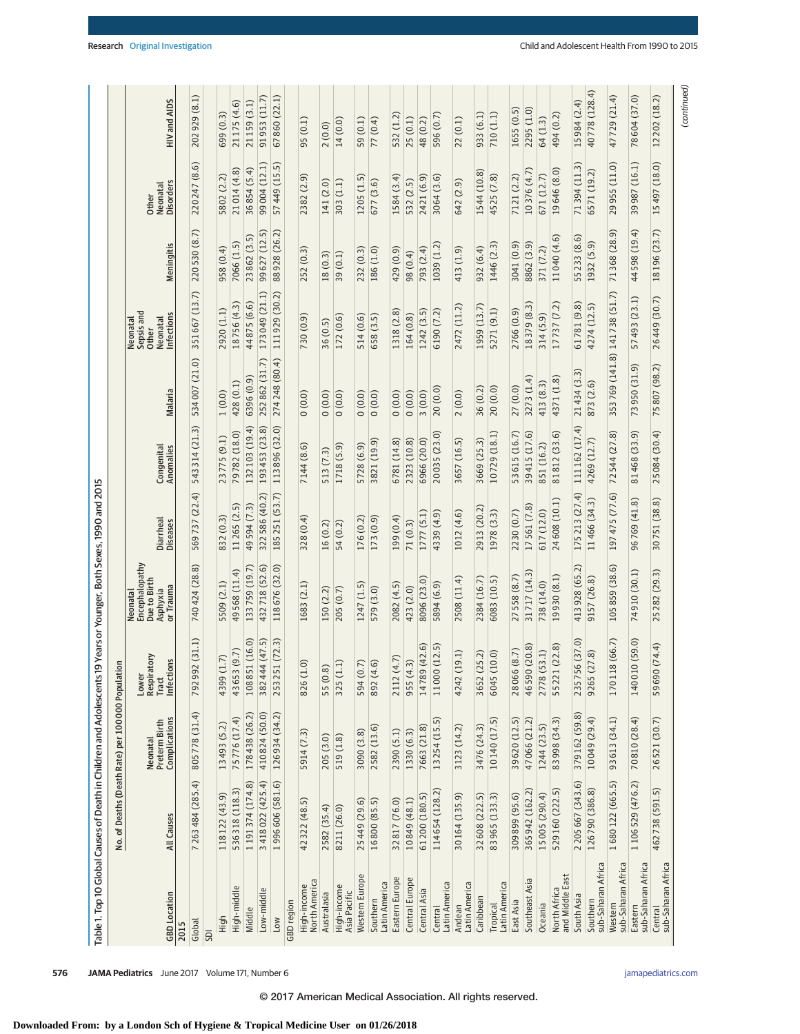| 3 418 022 (425.4)<br>1996 606 (581.6)<br>7 263 484 (285.4)<br>1191374 (174.8)<br>536318 (118.3)<br>114654 (128.2)<br>118 122 (43.9)<br>61200 (180.5)<br>10849 (48.1)<br>16800 (85.5)<br>32817 (76.0)<br>42 322 (48.5)<br>25449 (29.6)<br>2582 (35.4)<br>8211 (26.0)<br>All Causes<br>Western Europe<br>Eastern Europe<br>Central Europe<br>High-income<br>North America<br>Latin America<br>Latin America<br>High-income<br>High-middle<br>Low-middle<br>Central Asia<br>Australasia<br>Asia Pacific<br><b>GBD</b> Location<br>Southern<br>GBD region<br>Central<br>Middle<br>High<br>Low<br>Global<br>SDI | Neonatal<br>Preterm Birth<br>Complications |                                                 |                                                                     |                       |                         |                |                                                           |               |                                       |               |
|------------------------------------------------------------------------------------------------------------------------------------------------------------------------------------------------------------------------------------------------------------------------------------------------------------------------------------------------------------------------------------------------------------------------------------------------------------------------------------------------------------------------------------------------------------------------------------------------------------|--------------------------------------------|-------------------------------------------------|---------------------------------------------------------------------|-----------------------|-------------------------|----------------|-----------------------------------------------------------|---------------|---------------------------------------|---------------|
| 2015                                                                                                                                                                                                                                                                                                                                                                                                                                                                                                                                                                                                       |                                            | Σ<br>Infections<br>Lower<br>Respirator<br>Tract | Neonatal<br>Encephalopathy<br>Due to Birth<br>Asphyxia<br>or Trauma | Diarrheal<br>Diseases | Congenital<br>Anomalies | Malaria        | Sepsis and<br>Infections<br>Neonatal<br>Neonatal<br>Other | Meningitis    | <b>Disorders</b><br>Neonatal<br>Other | HIV and AIDS  |
|                                                                                                                                                                                                                                                                                                                                                                                                                                                                                                                                                                                                            |                                            |                                                 |                                                                     |                       |                         |                |                                                           |               |                                       |               |
|                                                                                                                                                                                                                                                                                                                                                                                                                                                                                                                                                                                                            | 805778 (31.4)                              | (31.1)<br>792 992                               | 740 424 (28.8)                                                      | 569737 (22.4)         | 543 314 (21.3)          | 534007 (21.0)  | 351667 (13.7)                                             | 220530 (8.7)  | 220247 (8.6)                          | 202929 (8.1)  |
|                                                                                                                                                                                                                                                                                                                                                                                                                                                                                                                                                                                                            |                                            |                                                 |                                                                     |                       |                         |                |                                                           |               |                                       |               |
|                                                                                                                                                                                                                                                                                                                                                                                                                                                                                                                                                                                                            | 13 493 (5.2)                               | 4399 (1.7)                                      | 5509 (2.1)                                                          | 832 (0.3)             | 23775 (9.1)             | 1(0.0)         | 2920 (1.1)                                                | 958 (0.4)     | 5802 (2.2)                            | 699(0.3)      |
|                                                                                                                                                                                                                                                                                                                                                                                                                                                                                                                                                                                                            | 75776 (17.4)                               | 43653 (9.7)                                     | 49568 (11.4)                                                        | 11265 (2.5)           | 79782 (18.0)            | 428 (0.1)      | 18756 (4.3)                                               | 7066 (1.5)    | 21014 (4.8)                           | 21175 (4.6)   |
|                                                                                                                                                                                                                                                                                                                                                                                                                                                                                                                                                                                                            | 178438 (26.2)                              | 108851 (16.0)                                   | 133759 (19.7)                                                       | 49594 (7.3)           | 132103 (19.4)           | 6396 (0.9)     | 44875 (6.6)                                               | 23862 (3.5)   | 36 854 (5.4)                          | 21159 (3.1)   |
|                                                                                                                                                                                                                                                                                                                                                                                                                                                                                                                                                                                                            | 410824 (50.0)                              | 382 444 (47.5)                                  | 432718 (52.6)                                                       | 322586 (40.2)         | 193453 (23.8)           | 252862 (31.7)  | 173 049 (21.1)                                            | 99 627 (12.5) | 99 004 (12.1)                         | 91953 (11.7)  |
|                                                                                                                                                                                                                                                                                                                                                                                                                                                                                                                                                                                                            | 126934 (34.2)                              | 253 251 (72.3)                                  | 118676 (32.0)                                                       | 185251 (53.7)         | 113896 (32.0)           | 274248 (80.4)  | 111929 (30.2)                                             | 88 928 (26.2) | 57 449 (15.5)                         | 67860 (22.1)  |
|                                                                                                                                                                                                                                                                                                                                                                                                                                                                                                                                                                                                            |                                            |                                                 |                                                                     |                       |                         |                |                                                           |               |                                       |               |
|                                                                                                                                                                                                                                                                                                                                                                                                                                                                                                                                                                                                            | 5914 (7.3)                                 | 826 (1.0)                                       | 1683 (2.1)                                                          | 328 (0.4)             | 7144 (8.6)              | 0(0.0)         | 730 (0.9)                                                 | 252 (0.3)     | 2382 (2.9)                            | 95(0.1)       |
|                                                                                                                                                                                                                                                                                                                                                                                                                                                                                                                                                                                                            | 205 (3.0)                                  | 55 (0.8)                                        | 150 (2.2)                                                           | 16(0.2)               | 513 (7.3)               | 0(0.0)         | 36 (0.5)                                                  | 18(0.3)       | 141 (2.0)                             | 2(0.0)        |
|                                                                                                                                                                                                                                                                                                                                                                                                                                                                                                                                                                                                            | 519 (1.8)                                  | 325 (1.1)                                       | 205 (0.7)                                                           | 54 (0.2)              | 1718 (5.9)              | 0(0.0)         | 172 (0.6)                                                 | 39 (0.1)      | 303 (1.1)                             | 14 (0.0)      |
|                                                                                                                                                                                                                                                                                                                                                                                                                                                                                                                                                                                                            | 3090 (3.8)                                 | 594 (0.7)                                       | 1247 (1.5)                                                          | 176 (0.2)             | 5728 (6.9)              | 0(0.0)         | 514 (0.6)                                                 | 232 (0.3)     | 1205 (1.5)                            | 59 (0.1)      |
|                                                                                                                                                                                                                                                                                                                                                                                                                                                                                                                                                                                                            | 2582 (13.6)                                | 892 (4.6)                                       | 579 (3.0)                                                           | 173 (0.9)             | 3821 (19.9)             | (0.0)          | 658 (3.5)                                                 | 186 (1.0)     | 677 (3.6)                             | 77 (0.4)      |
|                                                                                                                                                                                                                                                                                                                                                                                                                                                                                                                                                                                                            | 2390 (5.1)                                 | 2112 (4.7)                                      | 2082 (4.5)                                                          | 199 (0.4)             | 6781 (14.8)             | (0.0)0         | 1318 (2.8)                                                | 429 (0.9)     | 1584 (3.4)                            | 532 (1.2)     |
|                                                                                                                                                                                                                                                                                                                                                                                                                                                                                                                                                                                                            | 1330 (6.3)                                 | 955 (4.3)                                       | 423 (2.0)                                                           | 71(0.3)               | 2323 (10.8)             | (0.0)0         | 164 (0.8)                                                 | 98 (0.4)      | 532 (2.5)                             | 25(0.1)       |
|                                                                                                                                                                                                                                                                                                                                                                                                                                                                                                                                                                                                            | 7663 (21.8)                                | 14789 (42.6)                                    | 8096 (23.0)                                                         | 1777 (5.1)            | 6966 (20.0)             | 3(0.0)         | 1242 (3.5)                                                | 793 (2.4)     | 2421 (6.9)                            | 48 (0.2)      |
|                                                                                                                                                                                                                                                                                                                                                                                                                                                                                                                                                                                                            | 13 254 (15.5)                              | 11000 (12.5)                                    | 5894 (6.9)                                                          | 4339 (4.9)            | 20035 (23.0)            | 20 (0.0)       | 6190 (7.2)                                                | 1039 (1.2)    | 3064 (3.6)                            | 596 (0.7)     |
| 30164 (135.9)<br>Latin America<br>Andean                                                                                                                                                                                                                                                                                                                                                                                                                                                                                                                                                                   | 3123 (14.2)                                | 4242 (19.1)                                     | 2508 (11.4)                                                         | 1012 (4.6)            | 3657 (16.5)             | 2(0.0)         | 2472 (11.2)                                               | 413 (1.9)     | 642 (2.9)                             | 22 (0.1)      |
| 32 608 (222.5)<br>Caribbean                                                                                                                                                                                                                                                                                                                                                                                                                                                                                                                                                                                | 3476 (24.3)                                | 3652 (25.2)                                     | 2384 (16.7)                                                         | 2913 (20.2)           | 3669 (25.3)             | 36 (0.2)       | 1959 (13.7)                                               | 932 (6.4)     | 1544 (10.8)                           | 933 (6.1)     |
| 83965 (133.3)<br>Latin America<br>Tropical                                                                                                                                                                                                                                                                                                                                                                                                                                                                                                                                                                 | 10 140 (17.5)                              | 6045 (10.0)                                     | 6083 (10.5)                                                         | 1978 (3.3)            | 10729 (18.1)            | 20(0.0)        | 5271 (9.1)                                                | 1446 (2.3)    | 4525 (7.8)                            | 710 (1.1)     |
| 309899 (95.6)<br>East Asia                                                                                                                                                                                                                                                                                                                                                                                                                                                                                                                                                                                 | 39 620 (12.5)                              | 28066 (8.7)                                     | 558 (8.7)<br>27                                                     | 2230 (0.7)            | 53615 (16.7)            | 27 (0.0)       | 2766 (0.9)                                                | 3041 (0.9)    | 7121 (2.2)                            | 1655(0.5)     |
| 365942 (162.2)<br>Southeast Asia                                                                                                                                                                                                                                                                                                                                                                                                                                                                                                                                                                           | 47 066 (21.2)                              | 46590 (20.8)                                    | 31717 (14.3)                                                        | 17561 (7.8)           | 39415 (17.6)            | 3273 (1.4)     | 18379 (8.3)                                               | 8862 (3.9)    | 10376 (4.7)                           | 2295 (1.0)    |
| 15005 (290.4)<br>Oceania                                                                                                                                                                                                                                                                                                                                                                                                                                                                                                                                                                                   | 1244 (23.5)                                | 2778 (53.1)                                     | 738 (14.0)                                                          | 617 (12.0)            | 851 (16.2)              | 413 (8.3)      | 314 (5.9)                                                 | 371 (7.2)     | 671 (12.7)                            | 64 (1.3)      |
| 529160 (222.5)<br>North Africa<br>and Middle East                                                                                                                                                                                                                                                                                                                                                                                                                                                                                                                                                          | 83 998 (34.3)                              | 55221 (22.8)                                    | 19930 (8.1)                                                         | 24 608 (10.1)         | 81812 (33.6)            | 4371 (1.8)     | 17737 (7.2)                                               | 11040 (4.6)   | 19646 (8.0)                           | 494 (0.2)     |
| 2 205 667 (343.6)<br>South Asia                                                                                                                                                                                                                                                                                                                                                                                                                                                                                                                                                                            | 379 162 (59.8)                             | (37.0)<br>235756                                | 413 928 (65.2)                                                      | 175213 (27.4)         | 111162 (17.4)           | 21434 (3.3)    | 61781 (9.8)                                               | 55 233 (8.6)  | 71394 (11.3)                          | 15984 (2.4)   |
| 126790 (386.8)<br>sub-Saharan Africa<br>Southern                                                                                                                                                                                                                                                                                                                                                                                                                                                                                                                                                           | 10 049 (29.4)                              | $\widehat{8}$<br>9265 (27                       | 9157 (26.8)                                                         | 11466 (34.3)          | 4269 (12.7)             | 873 (2.6)      | 4274 (12.5)                                               | 1932 (5.9)    | 6571 (19.2)                           | 40778 (128.4) |
| 1680122 (665.5)<br>sub-Saharan Africa<br>Western                                                                                                                                                                                                                                                                                                                                                                                                                                                                                                                                                           | 93 613 (34.1)                              | (66.7)<br>170118                                | 105 859 (38.6)                                                      | 197475 (77.6)         | 72544 (27.8)            | 353769 (141.8) | 141738 (51.7)                                             | 71368 (28.9)  | 955 (11.0)<br>29                      | 47729 (21.4)  |
| 1 106 529 (476.2)<br>sub-Saharan Africa<br>Eastern                                                                                                                                                                                                                                                                                                                                                                                                                                                                                                                                                         | 70810 (28.4)                               | (0.65)<br>140 010 (                             | 74910 (30.1)                                                        | 96769 (41.8)          | 81468 (33.9)            | 73950 (31.9)   | 57493 (23.1)                                              | 44 598 (19.4) | 39 987 (16.1)                         | 78604 (37.0)  |
| 462738 (591.5)<br>sub-Saharan Africa<br>Central                                                                                                                                                                                                                                                                                                                                                                                                                                                                                                                                                            | 26521 (30.7)                               | 59690 (74.4)                                    | 25 282 (29.3)                                                       | 30751 (38.8)          | 25084 (30.4)            | 75807 (98.2)   | 26449 (30.7)                                              | 18 196 (23.7) | 15 497 (18.0)                         | 12202 (18.2)  |

© 2017 American Medical Association. All rights reserved.

**576 JAMA Pediatrics** June 2017 Volume 171, Number 6 **(Reprinted)** and properties com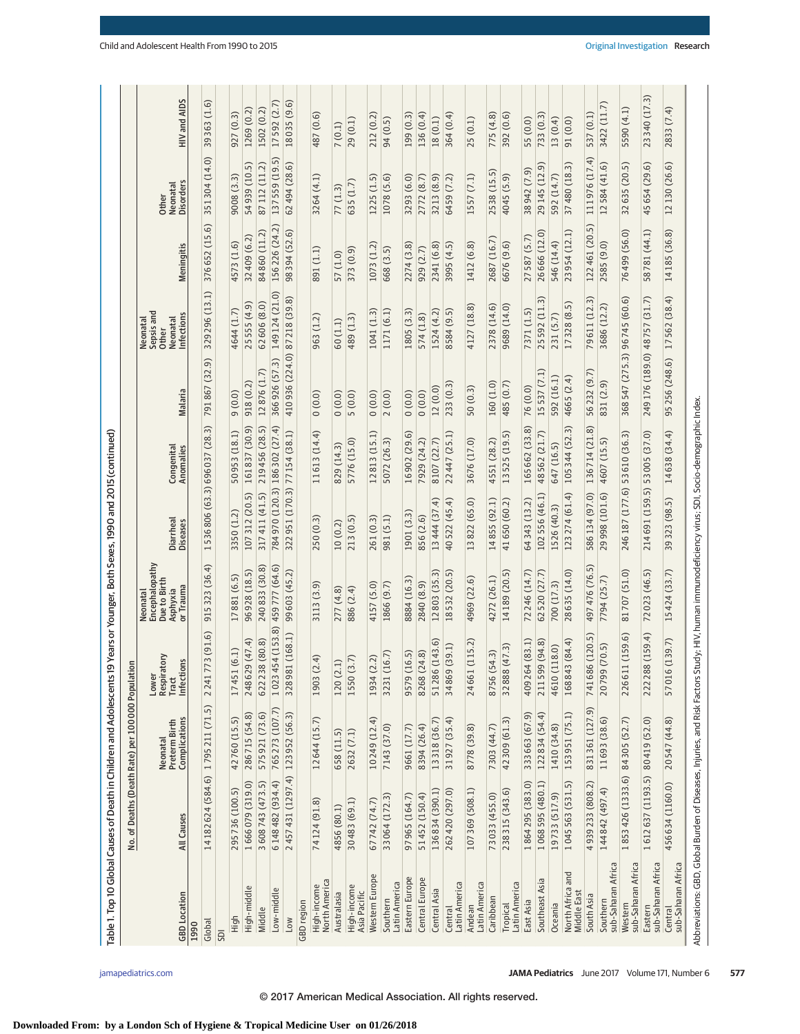| Table 1. Top 10 Global Causes of Death in Children and Adolescents 19                                                                             |                                   |                                                   |                                                        | Years or Younger, Both Sexes, 1990 and 2015 (continued)             |                             |                              |                               |                                                           |                   |                                              |              |
|---------------------------------------------------------------------------------------------------------------------------------------------------|-----------------------------------|---------------------------------------------------|--------------------------------------------------------|---------------------------------------------------------------------|-----------------------------|------------------------------|-------------------------------|-----------------------------------------------------------|-------------------|----------------------------------------------|--------------|
|                                                                                                                                                   |                                   | No. of Deaths (Death Rate) per 100 000 Population |                                                        |                                                                     |                             |                              |                               |                                                           |                   |                                              |              |
| <b>GBD</b> Location                                                                                                                               | All Causes                        | Complications<br>Neonatal<br>Preterm Birth        | Lower<br>Respiratory<br>Tract<br><b>SU</b><br>Infectio | Encephalopathy<br>Due to Birth<br>Asphyxia<br>or Trauma<br>Neonatal | Diarrheal<br>Diseases       | Congenital<br>Anomalies      | Malaria                       | Sepsis and<br>Infections<br>Neonatal<br>Neonatal<br>Other | Meningitis        | <b>Disorders</b><br>Neonatal<br><b>Other</b> | HIV and AIDS |
| 1990                                                                                                                                              |                                   |                                                   |                                                        |                                                                     |                             |                              |                               |                                                           |                   |                                              |              |
| Global                                                                                                                                            | 14182624 (584.6) 1795211 (71.5)   |                                                   | 3(91.6)<br>22417                                       | 915 323 (36.4)                                                      |                             | 1536806 (63.3) 696037 (28.3) | 791867 (32.9)                 | 329 296 (13.1)                                            | 376652 (15.6)     | 351304 (14.0)                                | 39363 (1.6)  |
| SDI                                                                                                                                               |                                   |                                                   |                                                        |                                                                     |                             |                              |                               |                                                           |                   |                                              |              |
| High                                                                                                                                              | 295736 (100.5)                    | 42760 (15.5)                                      | (6.1)<br>17451                                         | 17881 (6.5)                                                         | 3350 (1.2)                  | 50953 (18.1)                 | 9(0.0)                        | 4644 (1.7)                                                | 4573 (1.6)        | 9008 (3.3)                                   | 927(0.3)     |
| High-middle                                                                                                                                       | 1666079 (319.0)                   | 286715 (54.8)                                     | (47.4)<br>248629                                       | 96928 (18.5)                                                        | 107312 (20.5)               | 161837 (30.9)                | 918(0.2)                      | 25555 (4.9)                                               | 32 409 (6.2)      | 54939 (10.5)                                 | 1269 (0.2)   |
| Middle                                                                                                                                            | 3 608 743 (473.5)                 | 575 921 (73.6)                                    | 622 238 (80.8)                                         | 240 833 (30.8)                                                      | 317411 (41.5)               | 219456 (28.5)                | 12876(1.7)                    | 62606 (8.0)                                               | 84860 (11.2)      | 87 112 (11.2)                                | 1502 (0.2)   |
| Low-middle                                                                                                                                        | 6 148 482 (934.4)                 | 765 273 (107.7)                                   | 1023454 (153.8)                                        | 459777 (64.6)                                                       |                             | 784970 (120.3) 186302 (27.4) | 366926 (57.3)                 | 149 124 (21.0)                                            | 156 226 (24.2)    | 137559 (19.5)                                | 17592 (2.7)  |
| Low                                                                                                                                               | 2 457 431 (1297.4) 123 952 (56.3) |                                                   | (168.1)<br>328981                                      | 99603 (45.2)                                                        | 322951 (170.3) 77154 (38.1) |                              | 410936 (224.0)                | 87218 (39.8)                                              | 98 394 (52.6)     | 62 494 (28.6)                                | 18035 (9.6)  |
| GBD region                                                                                                                                        |                                   |                                                   |                                                        |                                                                     |                             |                              |                               |                                                           |                   |                                              |              |
| North America<br>High-income                                                                                                                      | 74124 (91.8)                      | 12 644 (15.7)                                     | $\overline{4}$<br>1903 (2                              | 3113 (3.9)                                                          | 250 (0.3)                   | 11613 (14.4)                 | 0(0.0)                        | 963 (1.2)                                                 | 391 (1.1)         | 3264 (4.1)                                   | 487 (0.6)    |
| Australasia                                                                                                                                       | 4856 (80.1)                       | 658 (11.5)                                        | $\overline{1}$<br>120 (2.                              | 277 (4.8)                                                           | 10(0.2)                     | 829 (14.3)                   | 0(0.0)                        | 60(1.1)                                                   | 57 (1.0)          | 77(1.3)                                      | 7(0.1)       |
| High-income<br>Asia Pacific                                                                                                                       | 30483 (69.1)                      | 2632 (7.1)                                        | 1550 (3.7)                                             | 886 (2.4)                                                           | 213 (0.5)                   | 5776 (15.0)                  | 5(0.0)                        | 489 (1.3)                                                 | 373 (0.9)         | 635 (1.7)                                    | 29 (0.1)     |
| Western Europe                                                                                                                                    | 67742 (74.7)                      | 10 249 (12.4)                                     | $\ddot{.}$<br>1934 (2                                  | 4157 (5.0)                                                          | 261 (0.3)                   | 12813 (15.1)                 | (0.0)                         | 1041 (1.3)                                                | 1073 (1.2)        | 1225 (1.5)                                   | 212 (0.2)    |
| Latin America<br>Southern                                                                                                                         | 33064 (172.3)                     | 7143 (37.0)                                       | (6.7)<br>3231 (1)                                      | 1866 (9.7)                                                          | 981 (5.1)                   | 5072 (26.3)                  | 2(0.0)                        | 1171 (6.1)                                                | 668 (3.5)         | 1078 (5.6)                                   | 94 (0.5)     |
| Eastern Europe                                                                                                                                    | 97965 (164.7)                     | 9661 (17.7)                                       | (6.5)<br>9579(1                                        | 8884 (16.3)                                                         | 1901 (3.3)                  | 16902 (29.6)                 | (0.0)                         | 1805 (3.3)                                                | 2274 (3.8)        | 3293 (6.0)                                   | 199 (0.3)    |
| Central Europe                                                                                                                                    | 51452 (150.4)                     | 8394 (26.4)                                       | 8268 (24.8)                                            | 2840 (8.9)                                                          | 856 (2.6)                   | 7929 (24.2)                  | (0.0)                         | 574 (1.8)                                                 | 929 (2.7)         | 2772 (8.7)                                   | 136 (0.4)    |
| Central Asia                                                                                                                                      | 136834 (390.1)                    | 13 318 (36.7)                                     | 51286 (143.6)                                          | 12803 (35.3)                                                        | 13 444 (37.4)               | 8107 (22.7)                  | 12(0.0)                       | 1524 (4.2)                                                | 2341 (6.8)        | 3213 (8.9)                                   | 18(0.1)      |
| Latin America<br>Central                                                                                                                          | 262420 (297.0)                    | 31927 (35.4)                                      | (39.1)<br>34869                                        | 18532 (20.5)                                                        | 40 522 (45.4)               | 22447 (25.1)                 | 233 (0.3)                     | 8584 (9.5)                                                | 3995 (4.5)        | 6459 (7.2)                                   | 364 (0.4)    |
| Latin America<br>Andean                                                                                                                           | 107369 (508.1)                    | 8778 (39.8)                                       | (115.2)<br>24661                                       | 4969 (22.6)                                                         | 13822 (65.0)                | 3676 (17.0)                  | 50(0.3)                       | 4127 (18.8)                                               | 1412 (6.8)        | 1557 (7.1)                                   | 25(0.1)      |
| Caribbean                                                                                                                                         | 73033 (455.0)                     | 7303 (44.7)                                       | 8756 (54.3)                                            | 4272 (26.1)                                                         | 14855 (92.1)                | 4551 (28.2)                  | 160(1.0)                      | 2378 (14.6)                                               | 2687 (16.7)       | 2538 (15.5)                                  | 775 (4.8)    |
| Latin America<br><b>Tropical</b>                                                                                                                  | 238315 (343.6)                    | 42 309 (61.3)                                     | (47.3)<br>32888                                        | 14189 (20.5)                                                        | 41 650 (60.2)               | 13525 (19.5)                 | 485 (0.7)                     | 9689 (14.0)                                               | 6676 (9.6)        | 4045 (5.9)                                   | 392 (0.6)    |
| East Asia                                                                                                                                         | 1864295 (383.0)                   | 333 663 (67.9)                                    | (83.1)<br>409 264                                      | 72246 (14.7)                                                        | 64 343 (13.2)               | 165662 (33.8)                | 76 (0.0)                      | 7371 (1.5)                                                | 27 587 (5.7)      | 38 942 (7.9)                                 | 55 (0.0)     |
| Southeast Asia                                                                                                                                    | 1068595 (480.1)                   | 122 834 (54.4)                                    | (94.8)<br>211599                                       | 62520 (27.7)                                                        | 102556 (46.1)               | 48562 (21.7)                 | 15537 (7.1)                   | 25592 (11.3)                                              | 26 666 (12.0)     | 29 145 (12.9)                                | 733 (0.3)    |
| Oceania                                                                                                                                           | 19733 (517.9)                     | 1410 (34.8)                                       | .18.0)<br>4610 (1)                                     | 700 (17.3)                                                          | 1526 (40.3)                 | 647 (16.5)                   | 592 (16.1)                    | 231 (5.7)                                                 | 546 (14.4)        | 592 (14.7)                                   | 13 (0.4)     |
| North Africa and<br>Middle East                                                                                                                   | 1045 563 (531.5)                  | 153 951 (75.1)                                    | (84.4)<br>168843                                       | 28635 (14.0)                                                        | 123274 (61.4)               | 105344 (52.3)                | 4665 (2.4)                    | 17328 (8.5)                                               | 23 954 (12.1)     | 37 480 (18.3)                                | 91(0.0)      |
| South Asia                                                                                                                                        | 4939233 (808.2)                   | 831361 (127.9)                                    | (120.5)<br>741686                                      | 497 476 (76.5)                                                      | 586134 (97.0)               | 136714 (21.8)                | 56232 (9.7)                   | 79611 (12.3)                                              | 5<br>122 461 (20. | 111976 (17.4)                                | 537 (0.1)    |
| sub-Saharan Africa<br>Southern                                                                                                                    | 144842 (497.4)                    | 11693 (38.6)                                      | (70.5)<br>20799                                        | 7794 (25.7)                                                         | 29 998 (101.6)              | 4607 (15.5)                  | 831 (2.9)                     | 3686 (12.2)                                               | 2585 (9.0)        | 12 584 (41.6)                                | 3422 (11.7)  |
| sub-Saharan Africa<br>Western                                                                                                                     | 1853 426 (1333.6) 84 305 (52.7)   |                                                   | (159.6)<br>226611                                      | 81707 (51.0)                                                        | 246187 (177.6)              | 53610 (36.3)                 | 368547 (275.3)                | 96745 (60.6)                                              | 76 499 (56.0)     | 32 635 (20.5)                                | 5590 (4.1)   |
| sub-Saharan Africa<br>Eastern                                                                                                                     | 1612637 (1193.5) 80 419 (52.0)    |                                                   | (159.4)<br>222 288                                     | 72023 (46.5)                                                        | 214691 (159.5)              | 53005 (37.0)                 | 249 176 (189.0) 48 757 (31.7) |                                                           | 58781 (44.1)      | 45 654 (29.6)                                | 23340 (17.3) |
| sub-Saharan Africa<br>Central                                                                                                                     | 456634 (1160.0)                   | 20 547 (44.8)                                     | (139.7)<br>57016                                       | 15424 (33.7)                                                        | 39 323 (98.5)               | 14638 (34.4)                 | 95 256 (248.6)                | 17562 (38.4)                                              | 14 185 (36.8)     | 12 130 (26.6)                                | 2833 (7.4)   |
| Abbreviations: GBD, Global Burden of Diseases, Injuries, and Risk Factors Study; HIV, human immunodeficiency virus; SDI, Socio-demographic Index. |                                   |                                                   |                                                        |                                                                     |                             |                              |                               |                                                           |                   |                                              |              |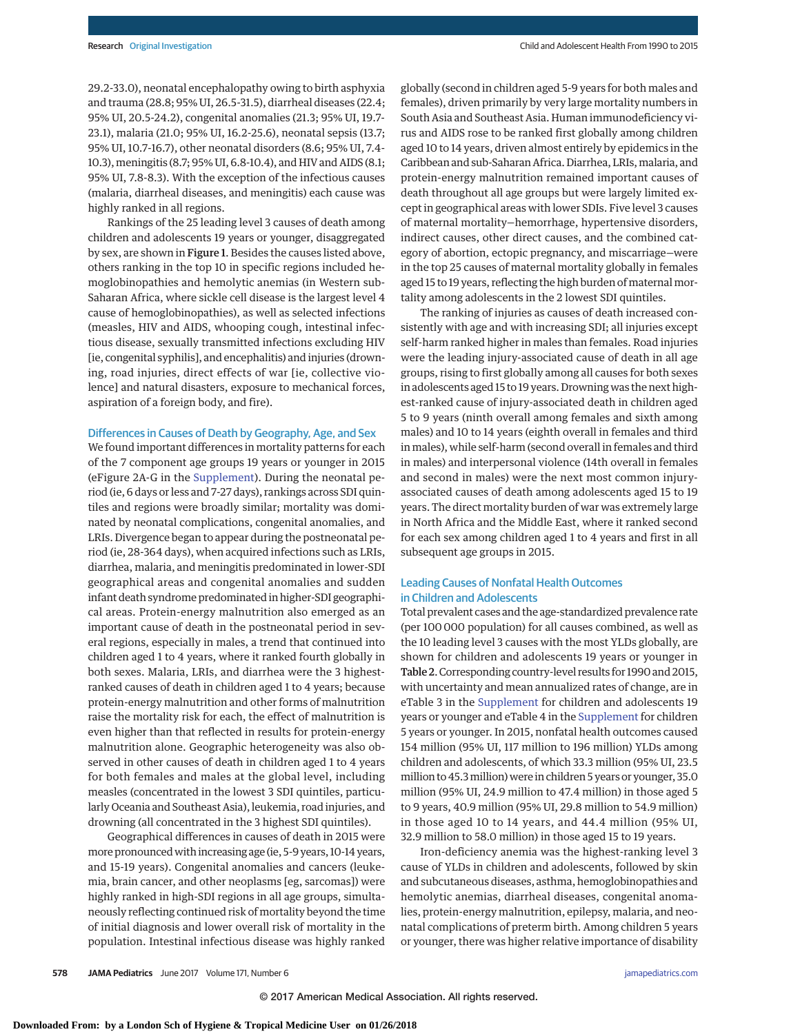29.2-33.0), neonatal encephalopathy owing to birth asphyxia and trauma (28.8; 95% UI, 26.5-31.5), diarrheal diseases (22.4; 95% UI, 20.5-24.2), congenital anomalies (21.3; 95% UI, 19.7- 23.1), malaria (21.0; 95% UI, 16.2-25.6), neonatal sepsis (13.7; 95% UI, 10.7-16.7), other neonatal disorders (8.6; 95% UI, 7.4- 10.3),meningitis (8.7; 95% UI, 6.8-10.4), and HIV and AIDS (8.1; 95% UI, 7.8-8.3). With the exception of the infectious causes (malaria, diarrheal diseases, and meningitis) each cause was highly ranked in all regions.

Rankings of the 25 leading level 3 causes of death among children and adolescents 19 years or younger, disaggregated by sex, are shown in Figure 1. Besides the causes listed above, others ranking in the top 10 in specific regions included hemoglobinopathies and hemolytic anemias (in Western sub-Saharan Africa, where sickle cell disease is the largest level 4 cause of hemoglobinopathies), as well as selected infections (measles, HIV and AIDS, whooping cough, intestinal infectious disease, sexually transmitted infections excluding HIV [ie, congenital syphilis], and encephalitis) and injuries (drowning, road injuries, direct effects of war [ie, collective violence] and natural disasters, exposure to mechanical forces, aspiration of a foreign body, and fire).

#### Differences in Causes of Death by Geography, Age, and Sex

We found important differences in mortality patterns for each of the 7 component age groups 19 years or younger in 2015 (eFigure 2A-G in the [Supplement\)](http://jama.jamanetwork.com/article.aspx?doi=10.1001/jamapediatrics.2017.0250&utm_campaign=articlePDF%26utm_medium=articlePDFlink%26utm_source=articlePDF%26utm_content=jamapediatrics.2017.0250). During the neonatal period (ie, 6 days or less and 7-27 days), rankings across SDI quintiles and regions were broadly similar; mortality was dominated by neonatal complications, congenital anomalies, and LRIs. Divergence began to appear during the postneonatal period (ie, 28-364 days), when acquired infections such as LRIs, diarrhea, malaria, and meningitis predominated in lower-SDI geographical areas and congenital anomalies and sudden infant death syndrome predominated in higher-SDI geographical areas. Protein-energy malnutrition also emerged as an important cause of death in the postneonatal period in several regions, especially in males, a trend that continued into children aged 1 to 4 years, where it ranked fourth globally in both sexes. Malaria, LRIs, and diarrhea were the 3 highestranked causes of death in children aged 1 to 4 years; because protein-energy malnutrition and other forms of malnutrition raise the mortality risk for each, the effect of malnutrition is even higher than that reflected in results for protein-energy malnutrition alone. Geographic heterogeneity was also observed in other causes of death in children aged 1 to 4 years for both females and males at the global level, including measles (concentrated in the lowest 3 SDI quintiles, particularly Oceania and Southeast Asia), leukemia, road injuries, and drowning (all concentrated in the 3 highest SDI quintiles).

Geographical differences in causes of death in 2015 were more pronouncedwith increasing age (ie, 5-9 years, 10-14 years, and 15-19 years). Congenital anomalies and cancers (leukemia, brain cancer, and other neoplasms [eg, sarcomas]) were highly ranked in high-SDI regions in all age groups, simultaneously reflecting continued risk of mortality beyond the time of initial diagnosis and lower overall risk of mortality in the population. Intestinal infectious disease was highly ranked

globally (second in children aged 5-9 years for both males and females), driven primarily by very large mortality numbers in South Asia and Southeast Asia. Human immunodeficiency virus and AIDS rose to be ranked first globally among children aged 10 to 14 years, driven almost entirely by epidemics in the Caribbean and sub-Saharan Africa. Diarrhea, LRIs, malaria, and protein-energy malnutrition remained important causes of death throughout all age groups but were largely limited except in geographical areas with lower SDIs. Five level 3 causes of maternal mortality—hemorrhage, hypertensive disorders, indirect causes, other direct causes, and the combined category of abortion, ectopic pregnancy, and miscarriage—were in the top 25 causes of maternal mortality globally in females aged 15 to 19 years, reflecting the high burden of maternal mortality among adolescents in the 2 lowest SDI quintiles.

The ranking of injuries as causes of death increased consistently with age and with increasing SDI; all injuries except self-harm ranked higher in males than females. Road injuries were the leading injury-associated cause of death in all age groups, rising to first globally among all causes for both sexes in adolescents aged 15 to 19 years. Drowning was the next highest-ranked cause of injury-associated death in children aged 5 to 9 years (ninth overall among females and sixth among males) and 10 to 14 years (eighth overall in females and third in males), while self-harm (second overall in females and third in males) and interpersonal violence (14th overall in females and second in males) were the next most common injuryassociated causes of death among adolescents aged 15 to 19 years. The direct mortality burden of war was extremely large in North Africa and the Middle East, where it ranked second for each sex among children aged 1 to 4 years and first in all subsequent age groups in 2015.

# Leading Causes of Nonfatal Health Outcomes in Children and Adolescents

Total prevalent cases and the age-standardized prevalence rate (per 100 000 population) for all causes combined, as well as the 10 leading level 3 causes with the most YLDs globally, are shown for children and adolescents 19 years or younger in Table 2. Corresponding country-level results for 1990 and 2015, with uncertainty and mean annualized rates of change, are in eTable 3 in the [Supplement](http://jama.jamanetwork.com/article.aspx?doi=10.1001/jamapediatrics.2017.0250&utm_campaign=articlePDF%26utm_medium=articlePDFlink%26utm_source=articlePDF%26utm_content=jamapediatrics.2017.0250) for children and adolescents 19 years or younger and eTable 4 in the [Supplement](http://jama.jamanetwork.com/article.aspx?doi=10.1001/jamapediatrics.2017.0250&utm_campaign=articlePDF%26utm_medium=articlePDFlink%26utm_source=articlePDF%26utm_content=jamapediatrics.2017.0250) for children 5 years or younger. In 2015, nonfatal health outcomes caused 154 million (95% UI, 117 million to 196 million) YLDs among children and adolescents, of which 33.3 million (95% UI, 23.5 million to 45.3million) were in children 5 years or younger, 35.0 million (95% UI, 24.9 million to 47.4 million) in those aged 5 to 9 years, 40.9 million (95% UI, 29.8 million to 54.9 million) in those aged 10 to 14 years, and 44.4 million (95% UI, 32.9 million to 58.0 million) in those aged 15 to 19 years.

Iron-deficiency anemia was the highest-ranking level 3 cause of YLDs in children and adolescents, followed by skin and subcutaneous diseases, asthma, hemoglobinopathies and hemolytic anemias, diarrheal diseases, congenital anomalies, protein-energy malnutrition, epilepsy, malaria, and neonatal complications of preterm birth. Among children 5 years or younger, there was higher relative importance of disability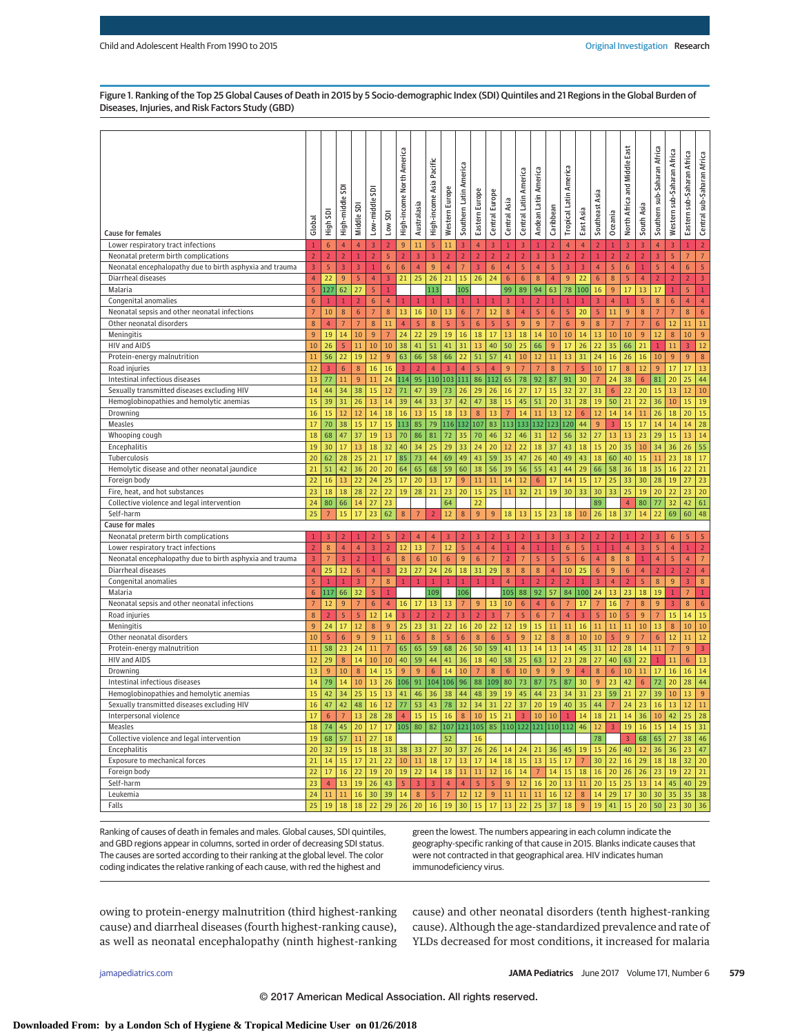Figure 1. Ranking of the Top 25 Global Causes of Death in 2015 by 5 Socio-demographic Index (SDI) Quintiles and 21 Regions in the Global Burden of Diseases, Injuries, and Risk Factors Study (GBD)

| <b>Cause for females</b>                                 | Global         | tigh            | ā<br>High-middle | Middle SDI     | ā<br>Low-middle  | Low SDI          | North America<br>High-income | Australasia    | Pacific<br>High-income Asia | Western Europe | America<br>Southern Latin | Eastern Europ           | Central Europe   | Central Asia   | America<br>Central Latin | America<br>Latin<br>Andean | Caribbean        | Tropical Latin America | East Asia       | Southeast Asia   | Oceania                  | East<br>Middle<br>Pue<br>North Africa | South Asia       | Southern sub-Saharan Africa | Western sub-Saharan Africa | Eastern sub-Saharan Africa | Central sub-Saharan Africa |
|----------------------------------------------------------|----------------|-----------------|------------------|----------------|------------------|------------------|------------------------------|----------------|-----------------------------|----------------|---------------------------|-------------------------|------------------|----------------|--------------------------|----------------------------|------------------|------------------------|-----------------|------------------|--------------------------|---------------------------------------|------------------|-----------------------------|----------------------------|----------------------------|----------------------------|
|                                                          |                |                 |                  |                |                  |                  |                              |                |                             |                |                           |                         |                  |                |                          |                            |                  |                        |                 |                  |                          |                                       |                  |                             |                            |                            |                            |
| Lower respiratory tract infections                       | $\mathbf{1}$   | $6\phantom{1}6$ | 4                | $\overline{4}$ | $\overline{3}$   | $\overline{2}$   | 9                            | 11             | 5                           | 11             | $\overline{3}$            | $\overline{4}$          | $\overline{3}$   | $\mathbf{1}$   | 3                        | $\mathbf{1}$               | $\overline{2}$   | $\overline{4}$         | $\overline{4}$  | $\overline{2}$   | $\mathbf{1}$             | $\overline{\mathbf{3}}$               | 3                | $\overline{4}$              | $\overline{3}$             | $\mathbf{1}$               | $\overline{2}$             |
| Neonatal preterm birth complications                     | $\overline{2}$ | $\overline{2}$  | $\overline{2}$   |                | $\overline{2}$   | 5                | $\overline{2}$               | $\overline{3}$ | 3                           | $\overline{2}$ | $\overline{2}$            | $\overline{2}$          | $\overline{2}$   | $\overline{2}$ | $\overline{2}$           | 3                          | $\overline{3}$   | $\overline{2}$         | $\overline{2}$  | $\overline{1}$   | $\overline{2}$           | $\overline{2}$                        | $\overline{2}$   | 3                           | 5                          | $7\overline{ }$            | 7 <sup>7</sup>             |
| Neonatal encephalopathy due to birth asphyxia and trauma | 3              | $\sqrt{5}$      | 3                | $\overline{3}$ | $\,1\,$          | $\boldsymbol{6}$ | $\boldsymbol{6}$             | $\overline{4}$ | 9                           | $\overline{4}$ | $\overline{7}$            | $\overline{\mathbf{3}}$ | $\boldsymbol{6}$ | $\overline{4}$ | $\sqrt{5}$               | $\overline{4}$             | $\sqrt{5}$       | $\overline{3}$         | $\overline{3}$  | $\overline{4}$   | $\overline{5}$           | $6\phantom{1}6$                       | $\,1\,$          | $\sqrt{5}$                  | $\overline{4}$             | $\sqrt{6}$                 | 5                          |
| Diarrheal diseases                                       | 4              | 22              | 9                | 5              | $\overline{4}$   | 3                | 21                           | 25             | 26                          | 21             | 15                        | 26                      | 24               | $\sqrt{6}$     | 6                        | $\boldsymbol{8}$           | $\overline{4}$   | 9                      | 22              | $\boldsymbol{6}$ | 8                        | 5                                     | $\overline{4}$   | $\mathbf 2$                 | $\overline{2}$             | $\overline{2}$             | 3                          |
| Malaria                                                  | 5              | 127             | 62               | 27             | 5                | $\mathbf{1}$     |                              |                | 113                         |                | 105                       |                         |                  | 99             | 89                       | 94                         | 63               | 78                     | 100             | 16               | 9                        | 17                                    | 13               | 17                          | $\mathbf{1}$               | 5                          | $\mathbf{1}$               |
| Congenital anomalies                                     | 6              | $\mathbf{1}$    | $\mathbf{1}$     | $\overline{2}$ | 6                | $\overline{4}$   | $\mathbf{1}$                 | $\mathbf{1}$   | $\mathbf{1}$                |                | $\mathbf{1}$              | $\mathbf{1}$            | $\mathbf{1}$     | 3              | $\mathbf{1}$             | $\overline{2}$             | $\mathbf{1}$     | $\mathbf{1}$           | $\mathbf{1}$    | 3                | $\overline{4}$           | $1\,$                                 | 5                | $\,$ 8 $\,$                 | 6                          | $\overline{4}$             | $\overline{4}$             |
| Neonatal sepsis and other neonatal infections            | $\overline{7}$ | 10              | $8\phantom{1}$   | 6              | $\overline{7}$   | $8\phantom{1}$   | 13                           | 16             | 10                          | 13             | $\boldsymbol{6}$          | 7                       | 12               | $\bf 8$        | $\overline{4}$           | 5                          | $6\phantom{1}6$  | 5                      | 20              | 5                | 11                       | 9                                     | 8                | $\overline{7}$              | $7\overline{ }$            | 8                          | $6\phantom{.}6$            |
| Other neonatal disorders                                 | 8              | $\overline{4}$  | $7\overline{ }$  | 7              | $\,$ 8 $\,$      | 11               | $\overline{4}$               | 5              | 8                           | 5              | $\overline{5}$            | 6                       | 5                | 5              | 9                        | 9                          | $\overline{7}$   | 6                      | 9               | $\bf 8$          | $7\overline{ }$          | $\overline{7}$                        | $\overline{7}$   | $6\phantom{1}6$             | 12                         | 11                         | 11                         |
| Meningitis                                               | 9              | 19              | 14               | 10             | 9                | $7\overline{ }$  | 24                           | 22             | 29                          | 19             | 16                        | 18                      | 17               | 13             | 18                       | 14                         | 10               | 10                     | 14              | 13               | 10                       | 10                                    | $\overline{9}$   | 12                          | 8                          | 10                         | 9                          |
| HIV and AIDS                                             | 10             | 26              | 5                | 11             | $10\,$           | 10               | 38                           | 41             | 51                          | 41             | 31                        | 13                      | 40               | 50             | 25                       | 66                         | 9                | 17                     | 26              | 22               | 35                       | 66                                    | 21               | $\mathbf{1}$                | 11                         | $\overline{3}$             | 12                         |
| Protein-energy malnutrition                              | 11             | 56              | 22               | 19             | 12               | 9                | 63                           | 66             | 58                          | 66             | 22                        | 51                      | 57               | 41             | 10                       | 12                         | 11               | 13                     | 31              | 24               | 16                       | 26                                    | 16               | 10                          | 9                          | 9                          | $\bf 8$                    |
| Road injuries                                            | 12             | 3               | 6                | 8              | 16               | 16               | $\overline{3}$               | $\overline{2}$ | 4                           | 3              | $\overline{4}$            | 5                       | $\overline{4}$   | 9              | $\overline{7}$           | $\overline{7}$             | 8                | 7                      | 5               | 10               | 17                       | $8\phantom{1}$                        | 12               | 9                           | 17                         | 17                         | 13                         |
| Intestinal infectious diseases                           | 13             | 77              | 11               | 9              | 11               | 24               | 114                          | 95             | 110                         | 103            | 111                       | 86                      | 112              | 65             | 78                       | 92                         | 87               | 91                     | 30              | $\overline{7}$   | 24                       | 38                                    | $6\phantom{1}$   | 81                          | 20                         | 25                         | 44                         |
| Sexually transmitted diseases excluding HIV              | 14             | 44              | 34               | 38             | 15               | 12               | 71                           | 47             | 39                          | 73             | 26                        | 29                      | 26               | 16             | 27                       | 17                         | 15               | 32                     | 27              | 31               | 6                        | 22                                    | 20               | 15                          | 13                         | 12                         | 10                         |
| Hemoglobinopathies and hemolytic anemias                 | 15             | 39              | 31               | 26             | 13               | 14               | 39                           | 44             | 33                          | 37             | 42                        | 47                      | 38               | 15             | 45                       | 51                         | 20               | 31                     | 28              | 19               | 50                       | 21                                    | 22               | 36                          | 10                         | 15                         | 19                         |
| Drowning                                                 | 16             | 15              | 12               | 12             | 14               | 18               | 16                           | 13             | 15                          | 18             | 13                        | 8                       | 13               | $\overline{7}$ | 14                       | 11                         | 13               | 12                     | 6               | 12               | 14                       | 14                                    | 11               | 26                          | 18                         | 20                         | 15                         |
| Measles                                                  | 17             | 70              | 38               | 15             | 17               | 15               | 113                          | 85             | 79                          |                | 116 132 107               |                         | 83               | 113            |                          | 133 132 123                |                  | 120                    | 44              | $\overline{9}$   | 3                        | 15                                    | 17               | 14                          | 14                         | 14                         | 28                         |
| Whooping cough                                           | 18             | 68              | 47               | 37             | 19               | 13               | 70                           | 86             | 81                          | 72             | 35                        | 70                      | 46               | 32             | 46                       | 31                         | 12               | 56                     | 32              | 27               | 13                       | 13                                    | 23               | 29                          | 15                         | 13                         | 14                         |
| Encephalitis                                             | 19             | 30              | 17               | 13             | 18               | 32               | 40                           | 34             | 25                          | 29             | 33                        | 24                      | 20               | 12             | 22                       | 18                         | 37               | 43                     | 18              | 15               | 20                       | 35                                    | 10               | 34                          | 36                         | 26                         | 55                         |
| Tuberculosis                                             | 20             | 62              | 28               | 25             | 21               | 17               | 85                           | 73             | 44                          | 69             | 49                        | 43                      | 59               | 35             | 47                       | 26                         | 40               | 49                     | 43              | 18               | 60                       | 40                                    | 15               | 11                          | 23                         | 18                         | 17                         |
| Hemolytic disease and other neonatal jaundice            | 21             | 51              | 42               | 36             | 20               | 20               | 64                           | 65             | 68                          | 59             | 60                        | 38                      | 56               | 39             | 56                       | 55                         | 43               | 44                     | 29              | 66               | 58                       | 36                                    | 18               | 35                          | 16                         | 22                         | 21                         |
| Foreign body                                             | 22             | 16              | 13               | 22             | 24               | 25               | 17                           | 20             | 13                          | 17             | 9                         | 11                      | $11\,$           | 14             | 12                       | $6\phantom{1}6$            | 17               | 14                     | 15              | 17               | 25                       | 33                                    | 30               | 28                          | 19                         | 27                         | 23                         |
| Fire, heat, and hot substances                           | 23             | 18              | 18               | 28             | 22               | 22               | 19                           | 28             | 21                          | 23             | 20                        | 15                      | 25               | 11             | 32                       | 21                         | 19               | 30                     | 33              | 30               | 33                       | 25                                    | 19               | 20                          | 22                         | 23                         | 20                         |
| Collective violence and legal intervention               | 24             | 80              | 66               | 14             | 27               | 23               |                              |                |                             | 64             |                           | 22                      |                  |                |                          |                            |                  |                        |                 | 89               |                          | $\overline{4}$                        | 80               | 77                          | 32                         | 42                         | 61                         |
| Self-harm                                                | 25             |                 | 15               | 17             | 23               | 62               | $\boldsymbol{8}$             | $\overline{7}$ | 2                           | 12             | 8                         | $\overline{9}$          | 9                | $18\,$         | 13                       | 15                         | 23               | 18                     | 10              | 26               | 18                       | 37                                    | 14               | 22                          | 69                         | 60                         | 48                         |
| <b>Cause for males</b>                                   |                |                 |                  |                |                  |                  |                              |                |                             |                |                           |                         |                  |                |                          |                            |                  |                        |                 |                  |                          |                                       |                  |                             |                            |                            |                            |
| Neonatal preterm birth complications                     | $\mathbf{1}$   | 3               |                  |                | フ                | 5                | $\overline{2}$               | 4              | 4                           | 3              | $\overline{2}$            | 3                       | $\overline{2}$   | 3              | フ                        | 3                          | 3                | 3                      | $\overline{2}$  | $\overline{2}$   | $\overline{\phantom{a}}$ |                                       | 2                | 3                           | 6                          | 5                          | 5                          |
| Lower respiratory tract infections                       | $\overline{2}$ | $\,$ 8 $\,$     | $\overline{4}$   | $\overline{4}$ | $\overline{3}$   | $\overline{2}$   | 12                           | 13             | $\overline{7}$              | 12             | $\overline{5}$            | $\overline{4}$          | $\overline{4}$   | $1\,$          | $\overline{4}$           | $\mathbf{1}$               | $\mathbf{1}$     | 6                      | 5               | $\,1\,$          | $1\,$                    | $\overline{4}$                        | 3                | $\overline{5}$              | $\overline{4}$             | $1\,$                      | $\overline{2}$             |
| Neonatal encephalopathy due to birth asphyxia and trauma | $\mathsf 3$    | $\overline{7}$  | 3                | $\overline{2}$ | $1\,$            | $\sqrt{6}$       | $\bf 8$                      | $\sqrt{6}$     | 10                          | $\sqrt{6}$     | 9                         | $\boldsymbol{6}$        | $7\overline{ }$  | $\overline{2}$ | $7\overline{ }$          | 5                          | 5                | $\overline{5}$         | $\sqrt{6}$      | $\overline{4}$   | $\bf 8$                  | 8                                     | $\mathbf 1$      | $\overline{4}$              | 5                          | $\overline{4}$             | $\overline{7}$             |
| Diarrheal diseases                                       | 4              | 25              | 12               | 6              | $\overline{4}$   | $\overline{3}$   | 23                           | 27             | 24                          | 26             | 18                        | 31                      | 29               | 8              | 8                        | 8                          | $\overline{4}$   | 10                     | 25              | $6\phantom{.}6$  | 9                        | 6                                     | $\overline{4}$   | $\overline{2}$              | $\overline{2}$             | $\overline{2}$             | 4 <sup>1</sup>             |
| Congenital anomalies                                     | 5              | $\mathbf{1}$    | $\mathbf{1}$     | 3              | $\overline{7}$   | 8                | $\mathbf{1}$                 | $\mathbf{1}$   | $\mathbf{1}$                | $\mathbf{1}$   | $\mathbf{1}$              | $\mathbf{1}$            | $\mathbf{1}$     | $\overline{4}$ | $\mathbf{1}$             | $\overline{2}$             | $\overline{2}$   | $\overline{2}$         | $\mathbf{1}$    | 3                | $\overline{4}$           | $\overline{2}$                        | 5                | $8\phantom{1}$              | 9                          | 3                          | $\bf 8$                    |
| Malaria                                                  | $6\phantom{a}$ | 117             | 66               | 32             | 5                | $\,1$            |                              |                | 109                         |                | 106                       |                         |                  | 105            | 88                       | 92                         | 57               | 84                     | 100             | 24               | 13                       | 23                                    | 18               | 19                          | $1\,$                      | $\overline{7}$             | $\mathbf{1}$               |
| Neonatal sepsis and other neonatal infections            | $\overline{7}$ | 12              | 9                | $\overline{7}$ | $\boldsymbol{6}$ | $\overline{4}$   | 16                           | 17             | 13                          | 13             | $7\phantom{.0}$           | $9\,$                   | 13               | 10             | $\sqrt{6}$               | $\overline{4}$             | $\boldsymbol{6}$ | $7\phantom{.0}$        | 17              | $\overline{7}$   | 16                       | $7\overline{ }$                       | $\bf 8$          | 9                           | $\overline{3}$             | $\bf 8$                    | $\boldsymbol{6}$           |
| Road injuries                                            | 8              | $\overline{2}$  | 5                | 5              | 12               | 14               | $\overline{3}$               | $\overline{2}$ | $\overline{2}$              | $\overline{z}$ | $\overline{3}$            | $\overline{2}$          | $\overline{3}$   | $\overline{7}$ | 5                        | $6\phantom{1}$             | $\overline{7}$   | $\overline{4}$         | $\overline{3}$  | 5                | 10                       | 5                                     | 9                | $\overline{7}$              | 15                         | 14                         | 15                         |
| Meningitis                                               | 9              | 24              | 17               | 12             | $\,$ 8 $\,$      | 9                | 25                           | 23             | 31                          | 22             | 16                        | 20                      | 22               | 12             | 19                       | 15                         | 11               | 11                     | 16              | 11               | 11                       | 11                                    | 10               | 13                          | 8                          | 10                         | 10                         |
| Other neonatal disorders                                 | 10             | $\overline{5}$  | $6\phantom{.}6$  | 9              | $\overline{9}$   | 11               | $6\phantom{1}6$              | 5              | 8                           | 5              | $\sqrt{6}$                | 8                       | $6\phantom{1}6$  | 5              | 9                        | 12                         | 8                | 8                      | 10              | 10               | 5                        | 9                                     | $\overline{7}$   | $6\phantom{1}6$             | 12                         | 11                         | 12                         |
| Protein-energy malnutrition                              | 11             | 58              | 23               | 24             | 11               | $7\overline{ }$  | 65                           | 65             | 59                          | 68             | 26                        | 50                      | 59               | 41             | 13                       | 14                         | 13               | 14                     | 45              | 31               | 12                       | 28                                    | 14               | 11                          | $7\phantom{.0}$            | 9                          | $\overline{3}$             |
| HIV and AIDS                                             | 12             | 29              | 8                | 14             | 10               | 10               | 40                           | 59             | 44                          | 41             | 36                        | 18                      | 40               | 58             | 25                       | 63                         | 12               | 23                     | 28              | 27               | 40                       | 63                                    | 22               | $\mathbf{1}$                | 11                         | 6                          | 13                         |
| Drowning                                                 | 13             | $\overline{9}$  | 10               | 8              | 14               | 15               | 9                            | 9              | $6\phantom{.}6$             | 14             | 10                        | $\overline{7}$          | 8                | 6              | 10                       | 9                          | $\overline{9}$   | 9                      | $\overline{4}$  | 8                | 6                        | 10                                    | 11               | 17                          | 16                         | 16                         | 14                         |
| Intestinal infectious diseases                           | 14             | 79              | 14               | $10$           | 13               | 26               | 106                          | 91             |                             | 104 106        | 96                        | 88                      | 109              | 80             | 73                       | 87                         | 75               | 87                     | 30              | $9\,$            | 23                       | 42                                    | $\boldsymbol{6}$ | 72                          | 20                         | 28                         | 44                         |
| Hemoglobinopathies and hemolytic anemias                 | 15             | 42              | 34               | 25             | 15               | 13               | 41                           | 46             | 36                          | 38             | 44                        | 48                      | 39               | 19             | 45                       | 44                         | 23               | 34                     | 31              | 23               | 59                       | 21                                    | 27               | 39                          | 10                         | 13                         | $\overline{9}$             |
| Sexually transmitted diseases excluding HIV              | 16             | 47              | 42               | 48             | 16               | 12               | 77                           | 53             | 43                          | 78             | 32                        | 34                      | 31               | 22             | 37                       | 20                         | 19               | 40                     | 35              | 44               | $7\overline{ }$          | 24                                    | 23               | 16                          | 13                         | 12                         | 11                         |
| Interpersonal violence                                   | 17             | $6\phantom{1}6$ | $\overline{7}$   | 13             | 28               | 28               | $\overline{4}$               | 15             | 15                          | 16             | $\,$ 8 $\,$               | 10                      |                  | $15 \mid 21$   | $\overline{3}$           | 10                         | 10               | $1\,$                  | 14              | 18               | 21                       | 14                                    | 36               | 10                          | 42                         | 25                         | 28                         |
| <b>Measles</b>                                           | 18             | 74              | 45               | 20             | 17               | 17               | 105                          | 80             | 82                          |                | 107 121 105               |                         | 85               |                |                          | 110 122 121 110 112        |                  |                        | 46              | 12               | $\overline{3}$           | 19                                    | 16               | 15                          | 14                         | 15                         | 31                         |
| Collective violence and legal intervention               | 19             | 68              | 57               | 11             | 27               | 18               |                              |                |                             | 52             |                           | 16                      |                  |                |                          |                            |                  |                        |                 | 78               |                          | $\overline{3}$                        | 68               | 65                          | $27\,$                     | 38                         | 46                         |
| Encephalitis                                             | 20             | 32              | 19               | 15             | 18               | 31               | 38                           | 33             | 27                          |                | 30 37                     | 26                      | 26               | 14             | 24                       | 21                         | 36               | 45                     | 19              | 15               | 26                       | 40                                    | 12               | 36                          | 36                         | 23                         | 47                         |
| Exposure to mechanical forces                            | 21             | 14              | 15               | $17\,$         | 21               | 22               | $10\,$                       | $11\,$         | 18                          |                | 17 13                     | 17                      | 14               | 18             | 15                       | 13                         | 15               | 17                     | $7\phantom{.0}$ | 30 <sub>2</sub>  | 22                       | 16                                    | 29               | 18                          | 18                         | 32                         | 20                         |
| Foreign body                                             | 22             | 17              | $16\,$           | 22             | 19               | 20               | 19                           | 22             | 14                          |                | 18 11                     | 11                      | 12               | 16             | 14                       | $7\phantom{.0}$            | $14\,$           | 15                     | 18              | 16               | 20 <sub>2</sub>          | 26                                    | 26               | 23                          | 19                         | 22                         | 21                         |
| Self-harm                                                | 23             | 4 <sup>1</sup>  | 13 <sup>°</sup>  | 19             | 26               | 43               | $\sqrt{5}$                   | $\overline{3}$ | 3                           | $\overline{4}$ | $\overline{4}$            | $\overline{5}$          | 5                | 9              | 12                       | 16                         | 20               | 13                     | 11              | 20               | 15                       | 25                                    | 13               | 14                          | 45                         | 40                         | 29                         |
| Leukemia                                                 | 24             | $11\,$          | $11\,$           | 16             | 30               | 39               | 14                           | $\bf 8$        | $\sqrt{5}$                  | $7\phantom{.}$ | 12                        | 12                      | 9                | $11\,$         | 11                       | 11                         | 16               | 12                     | $\,$ 8 $\,$     | 14               | 29                       | 17                                    | 30               | 30                          | 35                         | 35                         | 38                         |
| Falls                                                    | 25             | 19              | 18               | 18             | 22               | 29               | 26                           | 20             | 16                          | 19             | 30                        | 15                      | 17               | 13             | 22                       | 25                         | 37               | 18                     | 9               | 19               | 41                       | 15                                    | 20               | 50                          | 23                         | 30                         | 36                         |
|                                                          |                |                 |                  |                |                  |                  |                              |                |                             |                |                           |                         |                  |                |                          |                            |                  |                        |                 |                  |                          |                                       |                  |                             |                            |                            |                            |

Ranking of causes of death in females and males. Global causes, SDI quintiles, and GBD regions appear in columns, sorted in order of decreasing SDI status. The causes are sorted according to their ranking at the global level. The color coding indicates the relative ranking of each cause, with red the highest and

green the lowest. The numbers appearing in each column indicate the geography-specific ranking of that cause in 2015. Blanks indicate causes that were not contracted in that geographical area. HIV indicates human immunodeficiency virus.

owing to protein-energy malnutrition (third highest-ranking cause) and diarrheal diseases (fourth highest-ranking cause), as well as neonatal encephalopathy (ninth highest-ranking cause) and other neonatal disorders (tenth highest-ranking cause). Although the age-standardized prevalence and rate of YLDs decreased for most conditions, it increased for malaria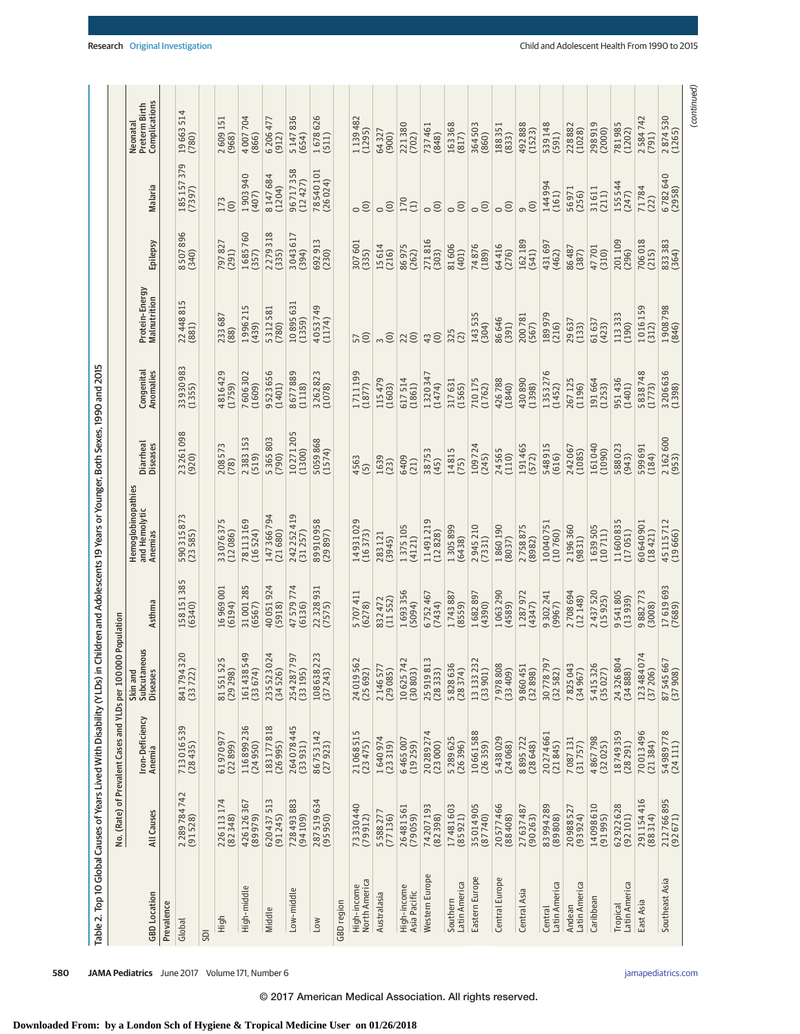| Table 2. Top 10 Global Causes of Years Lived With Disability (YLDs) in |                               |                                                |                                           |                        | Children and Adolescents 19 Years or Younger, Both Sexes, 1990 and 2015 |                              |                         |                                |                             |                                                       |                                            |
|------------------------------------------------------------------------|-------------------------------|------------------------------------------------|-------------------------------------------|------------------------|-------------------------------------------------------------------------|------------------------------|-------------------------|--------------------------------|-----------------------------|-------------------------------------------------------|--------------------------------------------|
|                                                                        |                               | No. (Rate) of Prevalent Cases and YLDs per 100 | 00 Population                             |                        |                                                                         |                              |                         |                                |                             |                                                       |                                            |
| <b>GBD</b> Location                                                    | All Causes                    | Iron-Deficiency<br><b>Anemia</b>               | eous<br>Skin and<br>Subcutane<br>Diseases | Asthma                 | Hemoglobinopathies<br>and Hemolytic<br>Anemias                          | Diarrheal<br><b>Diseases</b> | Congenital<br>Anomalies | Protein-Energy<br>Malnutrition | Epilepsy                    | Malaria                                               | Complications<br>Neonatal<br>Preterm Birth |
| Prevalence                                                             |                               |                                                |                                           |                        |                                                                         |                              |                         |                                |                             |                                                       |                                            |
| Global                                                                 | 2 289 784 742<br>(91 528)     | 713016539<br>(28435)                           | 320<br>8417943                            | 158 151 385<br>(6340)  | 590 315 873<br>(23 585)                                                 | 23261098<br>(920)            | 33930983<br>(1355)      | 22 448 815<br>(881)            | 8507896                     | 379<br>185157                                         | 514<br>19663<br>(780)                      |
| SDI                                                                    |                               |                                                |                                           |                        |                                                                         |                              |                         |                                |                             |                                                       |                                            |
| High                                                                   | 226113174<br>(82348)          | 6197097<br>(22899)                             | LO<br>8155152<br>(29298)                  | 16969001<br>(6194)     | 33076375<br>(12086)                                                     | 208573<br>(78)               | 4816429<br>(1759)       | 233687<br>(88)                 | 797827<br>(291)             | 173<br>$\odot$                                        | 2609151<br>(968)                           |
| High-middle                                                            | 426126367<br>(89979)          | 116899236<br>(24950)                           | 549<br>(33674)<br>161438                  | 31001285<br>(6567)     | 78113169<br>(16524)                                                     | 2383153<br>(519)             | 7606302<br>(1609)       | 5<br>199621<br>(439)           | 1685760<br>(357)            | 1903940<br>(407)                                      | 4007704<br>(866)                           |
| Middle                                                                 | 620437513<br>(91245)          | 183177818<br>(26995)                           | 024<br>(34526)<br>235523                  | 40051924<br>(5918)     | 147 366 794<br>(21680)                                                  | 5365803<br>(790)             | 9523656<br>(1401)       | 5312581<br>(780)               | $\infty$<br>227931<br>(335) | 8147684<br>(1204)                                     | 6 206 477<br>(912)                         |
| Low-midd                                                               | $\sim$<br>72849388<br>(94109) | 264078445<br>(33931)                           | 797<br>2542877<br>(33195)                 | 4<br>4757977<br>(6136) | 242 252 419<br>(31257)                                                  | 10271205<br>(1300)           | 8677889<br>(1118)       | 10895631<br>(1359)             | 304361<br>(394)             | 96717358<br>(12427)                                   | 5147836<br>(654)                           |
| Low                                                                    | 287519634<br>(95950)          | 86753142<br>(27923)                            | 223<br>108638<br>(37243)                  | 22328931<br>(7575)     | 89910958<br>(29897)                                                     | 5059868<br>(1574)            | 3262823<br>(1078)       | 4053749<br>(1174)              | 692913<br>(230)             | 78540101<br>(26024)                                   | 1678626<br>(511)                           |
| GBD region                                                             |                               |                                                |                                           |                        |                                                                         |                              |                         |                                |                             |                                                       |                                            |
| North America<br>High-income                                           | 73330440<br>(79912)           | 21068515<br>(23475)                            | 24019562<br>(25692)                       | 5707411<br>(6278)      | 14931029<br>(16373)                                                     | 4563<br>$\overline{5}$       | 1711199<br>(1877)       | 57                             | 307601<br>(335)             | $\circ$                                               | 1139482<br>(1295)                          |
| Australasia                                                            | 5588277<br>(77136)            | 1640974<br>(23319)                             | (29085)<br>214657                         | (11552)<br>832 472     | 283121<br>(3945)                                                        | 1639<br>(23)                 | 115479<br>(1603)        | $\odot$                        | 15614<br>(216)              | $\odot$                                               | 64327<br>(900)                             |
| High-income<br>Asia Pacific                                            | 26481561<br>(79059)           | 6465007<br>(19259)                             | 10625742<br>(30803)                       | 1693356<br>(5094)      | 1375105<br>(4121)                                                       | 6409<br>(21)                 | 617514<br>(1861)        | 22                             | 86975<br>(262)              | 170<br>$\left( \begin{matrix} 1 \end{matrix} \right)$ | 221380<br>(702)                            |
| Western Europe                                                         | 74207193<br>(82398)           | 4<br>2028927<br>(23000)                        | 25919813<br>(2833)                        | 6752467<br>(7434)      | 11491219<br>(12828)                                                     | 38753<br>(45)                | 1320347<br>(1474)       | 43                             | 271816<br>(303)             | $\odot$                                               | 737461<br>(848)                            |
| Latin America<br>Southern                                              | 17481603<br>(85921)           | 5289625<br>(26396)                             | 5828636<br>(28374)                        | 1743887<br>(8559)      | 1305899<br>(6438)                                                       | 14815<br>(75)                | 317631<br>(1565)        | 325<br>(2)                     | 81606<br>(401)              | $\odot$                                               | 163368<br>(817)                            |
| Eastern Europe                                                         | 35014905<br>(87740)           | 10661588<br>(26359)                            | 13133232<br>(33901)                       | 1682897<br>(4390)      | 2945210<br>(7331)                                                       | 109724<br>(245)              | 710175<br>(1762)        | 143535<br>(304)                | 74876<br>(189)              | $\circ$                                               | 364503<br>(860)                            |
| Central Europe                                                         | 20577466<br>(88408)           | 5438029<br>(24068)                             | 7978808<br>(33409)                        | 1063290<br>(4589)      | 1860190<br>(8037)                                                       | 24565<br>(110)               | 426788<br>(1840)        | 86646<br>(391)                 | 64416<br>(276)              | $\circ$                                               | 188351<br>(833)                            |
| Central Asia                                                           | 27637487<br>$(90\,263)$       | 8895722<br>(28648)                             | 9860451<br>(32898)                        | 1287972<br>(4347)      | 2758875<br>(8982)                                                       | 191 465<br>(572)             | 430890<br>(1398)        | 200781<br>(567)                | 162189<br>(541)             | $\odot$                                               | 492888<br>(1523)                           |
| Latin America<br>Central                                               | 83994289<br>(89808)           | 20274661<br>(21845)                            | 30778797<br>(32582)                       | 9302241<br>(9967)      | 10040751<br>(10760)                                                     | 548915<br>(616)              | 1353276<br>(1452)       | 189979<br>(216)                | 431697<br>(462)             | 144994<br>(161)                                       | 539148<br>(591)                            |
| Latin America<br>Andean                                                | 20988527<br>(93924)           | 7087131<br>(31757)                             | 7825043<br>(34967)                        | 2708694<br>(12148)     | 2196360<br>(9831)                                                       | 242067<br>(1085)             | 267 125<br>(1196)       | 29637<br>(133)                 | 86487<br>(387)              | 56971<br>(256)                                        | 228882<br>(1028)                           |
| Caribbean                                                              | 14098610<br>(91995)           | 4867798<br>(32025)                             | 5415326<br>(35027)                        | 2437520<br>(15925)     | 1639505<br>(10711)                                                      | 161040<br>(1090)             | 191664<br>(1253)        | 61637<br>(423)                 | 47701<br>(310)              | 31611<br>(211)                                        | 298919<br>(2000)                           |
| Latin America<br><b>Tropical</b>                                       | 62922628<br>(92101)           | 18749359<br>(28291)                            | 24326804<br>(34888)                       | 9541805<br>(13939)     | 11600835<br>(17051)                                                     | 588023<br>(943)              | 951436<br>(1401)        | 113333<br>(190)                | 201109<br>(296)             | 155544<br>(247)                                       | 781985<br>(1202)                           |
| East Asia                                                              | 291154416<br>(88314)          | 70013496<br>(21384)                            | 074<br>(37206)<br>123484                  | 9882773<br>(3008)      | 60640901<br>(18421)                                                     | 599 691<br>(184)             | 5838748<br>(1773)       | 1016159<br>(312)               | 706018<br>(215)             | 71784<br>(22)                                         | 2584742<br>(791)                           |
| Southeast Asia                                                         | 212766895<br>(92671)          | 54989778<br>(24111)                            | 87545667<br>(37908)                       | 17619693<br>(7689)     | 45115712<br>(19666)                                                     | 2162600<br>(953)             | 3206636<br>(1398)       | 1908798<br>(846)               | 833 383<br>(364)            | 6782640                                               | 2874530<br>(1265)                          |

**580 JAMA Pediatrics** June 2017 Volume 171, Number 6 **(Reprinted)** [jamapediatrics.com](http://www.jamapediatrics.com/?utm_campaign=articlePDF%26utm_medium=articlePDFlink%26utm_source=articlePDF%26utm_content=jamapediatrics.2017.0250) jamapediatrics.com

(continued)

(continued)

© 2017 American Medical Association. All rights reserved.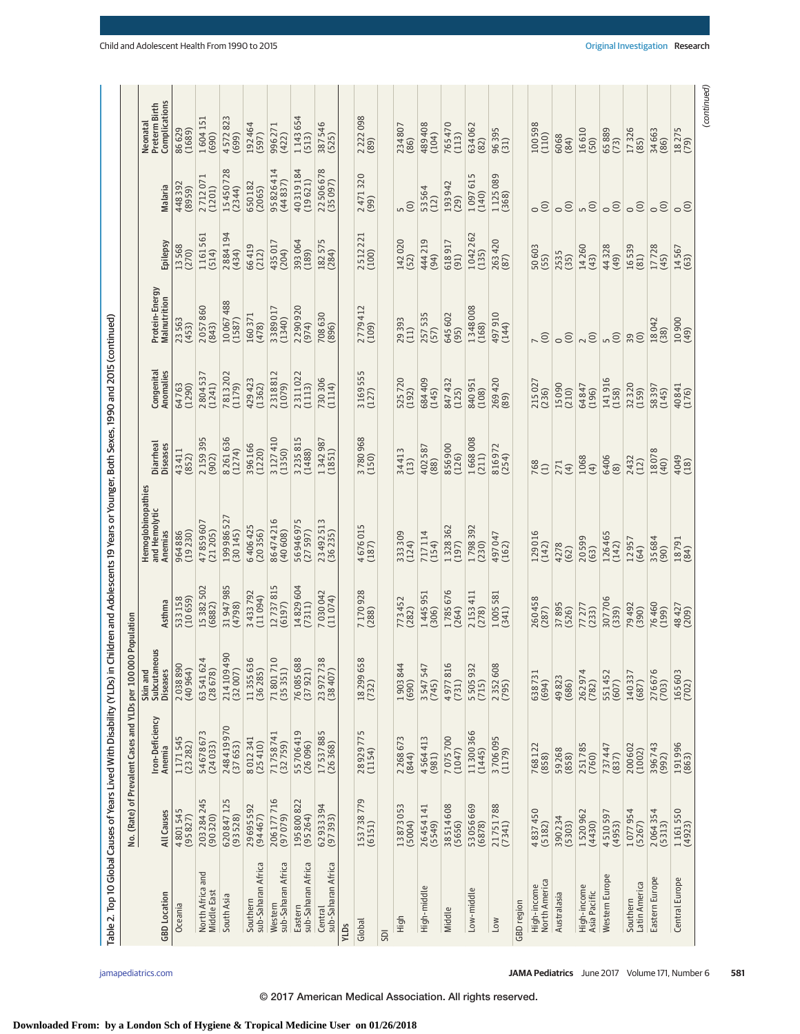| Table 2. Top 10 Global Causes of Years Lived With Disability (YLDs) in |                      |                                                 |                                                  |                    | Children and Adolescents 19 Years or Younger, Both Sexes, 1990 and 2015 (continued) |                              |                         |                                |                  |                        |                                            |
|------------------------------------------------------------------------|----------------------|-------------------------------------------------|--------------------------------------------------|--------------------|-------------------------------------------------------------------------------------|------------------------------|-------------------------|--------------------------------|------------------|------------------------|--------------------------------------------|
|                                                                        |                      | No. (Rate) of Prevalent Cases and YLDs per 1000 | 00 Population                                    |                    |                                                                                     |                              |                         |                                |                  |                        |                                            |
| <b>GBD</b> Location                                                    | All Causes           | Iron-Deficiency<br>Anemia                       | eous<br>Skin and<br>Subcutane<br><b>Diseases</b> | Asthma             | Hemoglobinopathies<br>and Hemolytic<br>Anemias                                      | Diarrheal<br><b>Diseases</b> | Congenital<br>Anomalies | Protein-Energy<br>Malnutrition | Epilepsy         | Malaria                | Complications<br>Preterm Birth<br>Neonatal |
| Oceania                                                                | 4801545<br>(95827)   | 1171545<br>(23282)                              | 2038890<br>(40964)                               | (10659)<br>533158  | (19230)<br>964886                                                                   | 43411<br>(852)               | (1290)<br>64763         | 23563<br>(453)                 | 13568<br>(270)   | 448392<br>(8959)       | 86629<br>(1689)                            |
| North Africa and<br>Middle East                                        | 203284245<br>(90320) | 3<br>5467867<br>(24033)                         | 63541624<br>(28678)                              | 15382502<br>(6882) | 47859607<br>(21205)                                                                 | 2159395<br>(902)             | 2804537<br>(1241)       | 2057860<br>(843)               | 1161561<br>(514) | 2712071<br>(1201)      | 1604 151<br>(690)                          |
| South Asia                                                             | 620847125<br>(93528) | 248419970<br>(37653)                            | 214109490<br>(32007)                             | 31947985<br>(4798) | 199 986 527<br>(30145)                                                              | 8261636<br>(1274)            | 7813202<br>(1179)       | 10067488<br>(1587)             | 2884194<br>(434) | 15450728<br>(2344)     | 4572823<br>(699)                           |
| sub-Saharan Africa<br>Southern                                         | 29695592<br>(94467)  | 8012341<br>(25410)                              | 11355636<br>(36285)                              | 3433792<br>(11094) | 6406425<br>(20356)                                                                  | 396166<br>(1220)             | 429423<br>(1362)        | 160371<br>(478)                | 66419<br>(212)   | 650182<br>(2065)       | 192464<br>(597)                            |
| sub-Saharan Africa<br>Western                                          | 206177716<br>(97079) | 71758741<br>(32759)                             | $\overline{10}$<br>718017<br>(35351)             | 12737815<br>(6197) | 86474216<br>(40608)                                                                 | 3127410<br>(1350)            | 2318812<br>(1079)       | 3389017<br>(1340)              | 435017<br>(204)  | 95 826 414<br>(44 837) | 996271<br>(422)                            |
| sub-Saharan Africa<br>Eastern                                          | 195800822<br>(95264) | 55706419<br>(26096)                             | 76085688<br>(37921)                              | 14829604<br>(7311) | 56946975<br>(27597)                                                                 | 3235815<br>(1488)            | 2311022<br>(1113)       | 2290920<br>(974)               | 393064<br>(189)  | 40319184<br>(19621)    | 1143654<br>(513)                           |
| sub-Saharan Africa<br>Central                                          | 62933394<br>(97393)  | 17537885<br>(26368)                             | 38<br>2397273<br>(38407)                         | 7030042<br>(11074) | 23492513<br>(36235)                                                                 | 342987<br>(1851)             | 730 306<br>(1114)       | 708630<br>(396)                | 182575<br>(284)  | 22506678<br>(35097)    | 387546<br>(525)                            |
| YLDs                                                                   |                      |                                                 |                                                  |                    |                                                                                     |                              |                         |                                |                  |                        |                                            |
| Global                                                                 | 153738779<br>(6151)  | 28929775<br>(1154)                              | 58<br>18 299 65<br>(732)                         | 7170928            | 4676015<br>(187)                                                                    | 3780968                      | 3169555<br>(127)        | 2779412<br>(109)               | 2512221<br>(100) | 2471320<br>(99)        | 2 2 2 0 0 9 8 (89)                         |
| SDI                                                                    |                      |                                                 |                                                  |                    |                                                                                     |                              |                         |                                |                  |                        |                                            |
| High                                                                   | 13873053<br>(5004)   | 2268673<br>(844)                                | $1903844$<br>(690)                               | 773452<br>(282)    | 333 309<br>(124)                                                                    | 34413<br>(13)                | 525720<br>(192)         | 29393<br>(11)                  | 142020<br>(52)   | $\widehat{c}$          | 234807<br>(86)                             |
| High-middle                                                            | 26454141<br>(5549)   | 4564413<br>(981)                                | 3547547<br>(745)                                 | 1445951<br>(306)   | 717114<br>(154)                                                                     | 402587<br>(88)               | 684 409<br>(145)        | 257535<br>(57)                 | 444 219<br>(94)  | 53564<br>(12)          | 489408<br>(104)                            |
| Middle                                                                 | 38514608<br>(5656)   | 7075700<br>(1047)                               | $\overline{0}$<br>497781<br>(731)                | 1785676<br>(264)   | 328362<br>(197)                                                                     | 356900<br>(126)              | 847 432<br>(125)        | 645 602<br>(95)                | 618917<br>(91)   | 193942<br>(29)         | 765470<br>(113)                            |
| Low-middle                                                             | 53056669<br>(6878)   | 11300366<br>(1445)                              | 550593<br>(715)                                  | 2153411<br>(278)   | 1798392<br>(230)                                                                    | 1668008<br>(211)             | 840951<br>(108)         | 1348008<br>(168)               | 1042262<br>(135) | 1097615<br>(140)       | 634062<br>(82)                             |
| Low                                                                    | 21751788<br>(7341)   | 3706095                                         | 2352608<br>(795)                                 | 1005581<br>(341)   | 497047<br>(162)                                                                     | 816972<br>(254)              | 269420<br>(89)          | 497910<br>(144)                | 263 420<br>(87)  | 1125089                | 96395<br>(31)                              |
| GBD region                                                             |                      |                                                 |                                                  |                    |                                                                                     |                              |                         |                                |                  |                        |                                            |
| North America<br>High-income                                           | 4837450<br>(5182)    | 768122<br>(858)                                 | 638731<br>(694)                                  | 260458<br>(287)    | 129016<br>(142)                                                                     | $768$<br>(1)                 | 215027<br>(236)         | $\overline{C}$                 | 50 603           | $\circ$                | 100598<br>(110)                            |
| Australasia                                                            | 390234<br>(5303)     | 59268<br>(858)                                  | 49823<br>(686)                                   | 37895<br>(526)     | 4278<br>(62)                                                                        | 271<br>(4)                   | 15090<br>(210)          | $\odot$<br>$\circ$             | 2535<br>(35)     | $\odot$                | 6068<br>(84)                               |
| High-income<br>Asia Pacific                                            | 1520962<br>(4430)    | 251785<br>(760)                                 | 262974<br>(782)                                  | 77277<br>(233)     | 20599<br>(63)                                                                       | 1068<br>$\overline{4}$       | 64847<br>(196)          | $\odot$                        | 14260<br>(43)    | $\overline{5}$         | 16610<br>(50)                              |
| Western Europe                                                         | 4510597<br>(4953)    | 737447<br>(837)                                 | 551452<br>(607)                                  | 307706<br>(339)    | 126465<br>(142)                                                                     | 6406<br>(8)                  | 141916<br>(158)         | $\overline{a}$                 | 44328<br>(49)    | $\circ$                | 65889<br>(73)                              |
| Latin America<br>Southern                                              | 1077954<br>(5267)    | 200602<br>(1002)                                | 140337<br>(687)                                  | 79492<br>(390)     | 12957<br>(64)                                                                       | 2432<br>(12)                 | 32320<br>(159)          | 29                             | 16539<br>(81)    | $\circ$                | 17326<br>(85)                              |
| Eastern Europe                                                         | 2064354<br>(5313)    | 396743<br>(992)                                 | 276676<br>(703)                                  | 76460<br>(199)     | 35684<br>(90)                                                                       | 18078<br>(40)                | 58397<br>(145)          | 18042<br>(38)                  | 17728<br>(45)    | $\circ$                | 34663<br>(86)                              |
| Central Europe                                                         | 1161550<br>(4923)    | 191996<br>(863)                                 | 165603<br>(702)                                  | 48427<br>(209)     | $18791$<br>(84)                                                                     | 4049<br>(18)                 | 40841<br>(176)          | 10900                          | 14567<br>(63)    | $\circ$                | 18275                                      |
|                                                                        |                      |                                                 |                                                  |                    |                                                                                     |                              |                         |                                |                  |                        | (continued)                                |

# **Downloaded From: by a London Sch of Hygiene & Tropical Medicine User on 01/26/2018**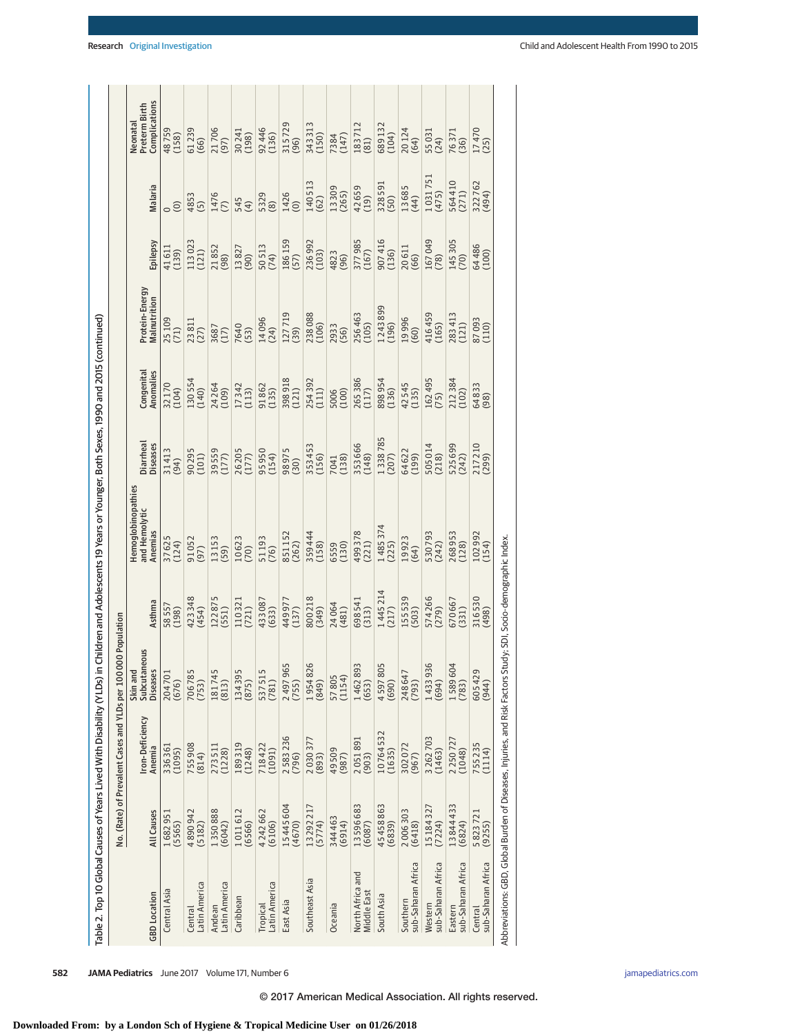|                                                                                                               |                     |                                                |                                             |                     | Table 2. Top 10 Global Causes of Years Lived With Disability (YLDs) in Children and Adolescents 19 Years or Younger, Both Sexes, 1990 and 2015 (continued) |                       |                         |                                |                  |                  |                                            |
|---------------------------------------------------------------------------------------------------------------|---------------------|------------------------------------------------|---------------------------------------------|---------------------|------------------------------------------------------------------------------------------------------------------------------------------------------------|-----------------------|-------------------------|--------------------------------|------------------|------------------|--------------------------------------------|
|                                                                                                               |                     | No. (Rate) of Prevalent Cases and YLDs per 100 | 000 Population                              |                     |                                                                                                                                                            |                       |                         |                                |                  |                  |                                            |
| <b>GBD</b> Location                                                                                           | <b>All Causes</b>   | Iron-Deficiency<br>Anemia                      | Subcutaneous<br>Skin and<br><b>Diseases</b> | Asthma              | <b>demoglobinopathies</b><br>and Hemolytic<br>Anemias                                                                                                      | Diarrheal<br>Diseases | Congenital<br>Anomalies | Protein-Energy<br>Malnutrition | Epilepsy         | Malaria          | Complications<br>Preterm Birth<br>Veonatal |
| Central Asia                                                                                                  | 1682951<br>(5565)   | 336361<br>(1095)                               | 204701<br>(676)                             | 58557<br>(198)      | 37625<br>(124)                                                                                                                                             | 31413<br>(94)         | 32170<br>(104)          | 25 109<br>(71)                 | 41611<br>(139)   | $\circ$          | 48759<br>(158)                             |
| -atin America<br>Central                                                                                      | 4890942<br>(5182)   | 755908<br>(814)                                | 706785<br>(753)                             | 423348<br>(454)     | 91052<br>(97)                                                                                                                                              | 90295<br>(101)        | 130554<br>(140)         | $\frac{23811}{(27)}$           | 113023<br>(121)  | 4853<br>(5)      | 61239<br>(66)                              |
| Latin America<br>Andean                                                                                       | 1350888             | 273511<br>(1228)                               | 181745<br>(813)                             | 122875<br>(551)     | 13153<br>(59)                                                                                                                                              | 39559<br>(177)        | 24264                   | 3687<br>(17)                   | 21852<br>(98)    | 1476<br>(7)      | 21706<br>(97)                              |
| Caribbean                                                                                                     | 1011612<br>(6566)   | 189319<br>(1248)                               | 134395<br>(875)                             | $110321$<br>$(721)$ | 10623                                                                                                                                                      | 26205                 | 17342<br>(113)          | 7640<br>(53)                   | 13827<br>(90)    | 545<br>(4)       | 30241<br>(198)                             |
| -atin America<br>Tropical                                                                                     | 4 242 662<br>(6106) | 718422<br>(1091)                               | 537515<br>(781)                             | 433087<br>(633)     | 51193<br>(76)                                                                                                                                              | 95950<br>(154)        | 91862<br>(135)          | 14096<br>(24)                  | 50 513<br>(74)   | 5329             | 92446<br>(136)                             |
| East Asia                                                                                                     | 15445604<br>(4670)  | 2583236<br>(796)                               | 2497965<br>(755)                            | 449 977<br>(137)    | 851152<br>(262)                                                                                                                                            | 98975<br>(30)         | 398918<br>(121)         | 127719<br>(39)                 | 186 159<br>(57)  | 1426<br>(0)      | 315729<br>(96)                             |
| Southeast Asia                                                                                                | 13292217<br>(5774)  | 2030377<br>(893)                               | 1954826<br>(849)                            | 800 218<br>(349)    | 359 444<br>(158)                                                                                                                                           | 353 453<br>(156)      | 254392<br>(111)         | 238 088                        | 236 992<br>(103) | 140513<br>(62)   | 343313<br>(150)                            |
| Oceania                                                                                                       | 344463<br>(6914)    | 49509<br>(987)                                 | 57805<br>(1154)                             | 24064<br>(481)      | 6559<br>(130)                                                                                                                                              | 7041<br>(138)         | 5006<br>(100)           | 2933<br>(56)                   | 4823<br>(96)     | 13309            | 7384<br>(147)                              |
| North Africa and<br><b>Viddle East</b>                                                                        | 13596683<br>(6087)  | 2051891<br>(903)                               | 1462893<br>(653)                            | 698 541<br>(313)    | 499378<br>(221)                                                                                                                                            | 353666<br>(148)       | 265 386<br>(117)        | 256 463<br>(105)               | 377985<br>(167)  | 42659<br>(19)    | 183712<br>(81)                             |
| South Asia                                                                                                    | 45458863<br>(6839)  | 10764532<br>(1635)                             | 4597805<br>(690)                            | 1445214<br>(217)    | 1485374<br>(225)                                                                                                                                           | 1338785               | 898 954<br>(136)        | 1243899<br>(196)               | 907416<br>(136)  | 328591<br>(50)   | 689132<br>(104)                            |
| sub-Saharan Africa<br>Southern                                                                                | 2006303<br>(6418)   | 302072<br>(967)                                | 248647<br>(793)                             | 155 539<br>(503)    | 19923<br>(64)                                                                                                                                              | 64622<br>(199)        | 42545<br>(135)          | 19996<br>(60)                  | 20611<br>(66)    | 13685<br>(44)    | $20124$<br>(64)                            |
| sub-Saharan Africa<br>Western                                                                                 | 15184327<br>(7224)  | 3262703<br>(1463)                              | 1433936<br>(694)                            | 574266<br>(279)     | 530793<br>(242)                                                                                                                                            | 505 014<br>(218)      | 162 495<br>(75)         | 416459<br>(165)                | 167049<br>(78)   | 1031751<br>(475) | 55031<br>(24)                              |
| sub-Saharan Africa<br>Eastern                                                                                 | 13844433<br>(6824)  | 2250727<br>(1048)                              | 1589604<br>(783)                            | 670667<br>(331)     | 268953<br>(128)                                                                                                                                            | 525 699<br>(242)      | 212384                  | 283 413<br>(121)               | 145 305<br>(70)  | 564410<br>(271)  | 76371<br>(36)                              |
| sub-Saharan Africa<br>Central                                                                                 | 5 823 721<br>(9255) | 755235<br>(1114)                               | 605429<br>(944)                             | 316530<br>(498)     | 102 992<br>(154)                                                                                                                                           | 217 210<br>(299)      | 64833<br>(98)           | 87093                          | 64 486<br>(100)  | 322762<br>(494)  | $17470$<br>(25)                            |
| Abbreviations: GBD, Global Burden of Diseases, Injuries, and Risk Factors Study; SDI, Socio-demographic Index |                     |                                                |                                             |                     |                                                                                                                                                            |                       |                         |                                |                  |                  |                                            |

**582 JAMA Pediatrics** June 2017 Volume 171, Number 6 **(Reprinted)** in the proportion of the proportion of the proportion of the proportion of the proportion of the proportion of the proportion of the proportion of the prop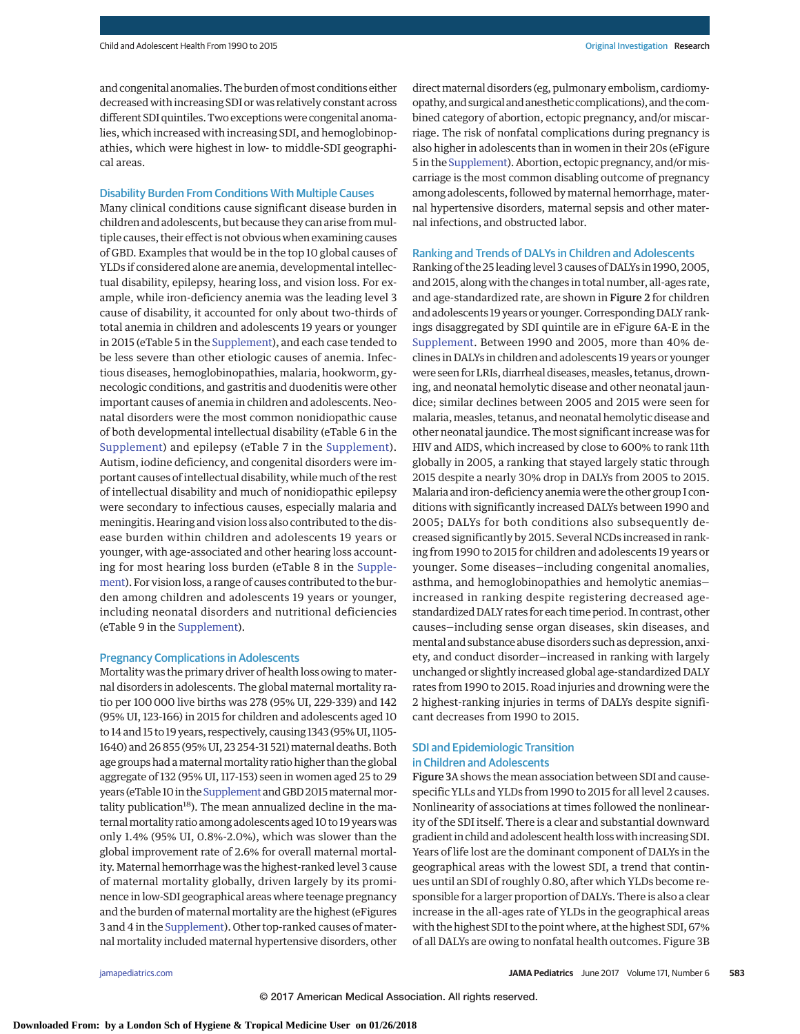and congenital anomalies. The burden of most conditions either decreased with increasing SDI or was relatively constant across different SDI quintiles. Two exceptions were congenital anomalies, which increased with increasing SDI, and hemoglobinopathies, which were highest in low- to middle-SDI geographical areas.

## Disability Burden From Conditions With Multiple Causes

Many clinical conditions cause significant disease burden in children and adolescents, but because they can arise frommultiple causes, their effect is not obvious when examining causes of GBD. Examples that would be in the top 10 global causes of YLDs if considered alone are anemia, developmental intellectual disability, epilepsy, hearing loss, and vision loss. For example, while iron-deficiency anemia was the leading level 3 cause of disability, it accounted for only about two-thirds of total anemia in children and adolescents 19 years or younger in 2015 (eTable 5 in the [Supplement\)](http://jama.jamanetwork.com/article.aspx?doi=10.1001/jamapediatrics.2017.0250&utm_campaign=articlePDF%26utm_medium=articlePDFlink%26utm_source=articlePDF%26utm_content=jamapediatrics.2017.0250), and each case tended to be less severe than other etiologic causes of anemia. Infectious diseases, hemoglobinopathies, malaria, hookworm, gynecologic conditions, and gastritis and duodenitis were other important causes of anemia in children and adolescents. Neonatal disorders were the most common nonidiopathic cause of both developmental intellectual disability (eTable 6 in the [Supplement\)](http://jama.jamanetwork.com/article.aspx?doi=10.1001/jamapediatrics.2017.0250&utm_campaign=articlePDF%26utm_medium=articlePDFlink%26utm_source=articlePDF%26utm_content=jamapediatrics.2017.0250) and epilepsy (eTable 7 in the [Supplement\)](http://jama.jamanetwork.com/article.aspx?doi=10.1001/jamapediatrics.2017.0250&utm_campaign=articlePDF%26utm_medium=articlePDFlink%26utm_source=articlePDF%26utm_content=jamapediatrics.2017.0250). Autism, iodine deficiency, and congenital disorders were important causes of intellectual disability, while much of the rest of intellectual disability and much of nonidiopathic epilepsy were secondary to infectious causes, especially malaria and meningitis. Hearing and vision loss also contributed to the disease burden within children and adolescents 19 years or younger, with age-associated and other hearing loss accounting for most hearing loss burden (eTable 8 in the [Supple](http://jama.jamanetwork.com/article.aspx?doi=10.1001/jamapediatrics.2017.0250&utm_campaign=articlePDF%26utm_medium=articlePDFlink%26utm_source=articlePDF%26utm_content=jamapediatrics.2017.0250)[ment\)](http://jama.jamanetwork.com/article.aspx?doi=10.1001/jamapediatrics.2017.0250&utm_campaign=articlePDF%26utm_medium=articlePDFlink%26utm_source=articlePDF%26utm_content=jamapediatrics.2017.0250). For vision loss, a range of causes contributed to the burden among children and adolescents 19 years or younger, including neonatal disorders and nutritional deficiencies (eTable 9 in the [Supplement\)](http://jama.jamanetwork.com/article.aspx?doi=10.1001/jamapediatrics.2017.0250&utm_campaign=articlePDF%26utm_medium=articlePDFlink%26utm_source=articlePDF%26utm_content=jamapediatrics.2017.0250).

#### Pregnancy Complications in Adolescents

Mortality was the primary driver of health loss owing to maternal disorders in adolescents. The global maternal mortality ratio per 100 000 live births was 278 (95% UI, 229-339) and 142 (95% UI, 123-166) in 2015 for children and adolescents aged 10 to 14 and 15 to 19 years, respectively, causing 1343 (95% UI, 1105- 1640) and 26 855 (95% UI, 23 254-31 521) maternal deaths. Both age groups had a maternal mortality ratio higher than the global aggregate of 132 (95% UI, 117-153) seen in women aged 25 to 29 years (eTable 10 in the [Supplement](http://jama.jamanetwork.com/article.aspx?doi=10.1001/jamapediatrics.2017.0250&utm_campaign=articlePDF%26utm_medium=articlePDFlink%26utm_source=articlePDF%26utm_content=jamapediatrics.2017.0250) and GBD 2015 maternal mortality publication $18$ ). The mean annualized decline in the maternal mortality ratio among adolescents aged 10 to 19 years was only 1.4% (95% UI, 0.8%-2.0%), which was slower than the global improvement rate of 2.6% for overall maternal mortality. Maternal hemorrhage was the highest-ranked level 3 cause of maternal mortality globally, driven largely by its prominence in low-SDI geographical areas where teenage pregnancy and the burden of maternal mortality are the highest (eFigures 3 and 4 in the [Supplement\)](http://jama.jamanetwork.com/article.aspx?doi=10.1001/jamapediatrics.2017.0250&utm_campaign=articlePDF%26utm_medium=articlePDFlink%26utm_source=articlePDF%26utm_content=jamapediatrics.2017.0250). Other top-ranked causes of maternal mortality included maternal hypertensive disorders, other

direct maternal disorders (eg, pulmonary embolism, cardiomyopathy, and surgical and anestheticcomplications), and thecombined category of abortion, ectopic pregnancy, and/or miscarriage. The risk of nonfatal complications during pregnancy is also higher in adolescents than in women in their 20s (eFigure 5 in the [Supplement\)](http://jama.jamanetwork.com/article.aspx?doi=10.1001/jamapediatrics.2017.0250&utm_campaign=articlePDF%26utm_medium=articlePDFlink%26utm_source=articlePDF%26utm_content=jamapediatrics.2017.0250). Abortion, ectopic pregnancy, and/ormiscarriage is the most common disabling outcome of pregnancy among adolescents, followed by maternal hemorrhage, maternal hypertensive disorders, maternal sepsis and other maternal infections, and obstructed labor.

#### Ranking and Trends of DALYs in Children and Adolescents

Ranking of the 25 leading level 3 causes of DALYs in 1990, 2005, and 2015, along with the changes in total number, all-ages rate, and age-standardized rate, are shown in Figure 2 for children and adolescents 19 years or younger. Corresponding DALY rankings disaggregated by SDI quintile are in eFigure 6A-E in the [Supplement.](http://jama.jamanetwork.com/article.aspx?doi=10.1001/jamapediatrics.2017.0250&utm_campaign=articlePDF%26utm_medium=articlePDFlink%26utm_source=articlePDF%26utm_content=jamapediatrics.2017.0250) Between 1990 and 2005, more than 40% declines in DALYs in children and adolescents 19 years or younger were seen for LRIs, diarrheal diseases, measles, tetanus, drowning, and neonatal hemolytic disease and other neonatal jaundice; similar declines between 2005 and 2015 were seen for malaria, measles, tetanus, and neonatal hemolytic disease and other neonatal jaundice. The most significant increase was for HIV and AIDS, which increased by close to 600% to rank 11th globally in 2005, a ranking that stayed largely static through 2015 despite a nearly 30% drop in DALYs from 2005 to 2015. Malaria and iron-deficiency anemia were the other group I conditions with significantly increased DALYs between 1990 and 2005; DALYs for both conditions also subsequently decreased significantly by 2015. Several NCDs increased in ranking from 1990 to 2015 for children and adolescents 19 years or younger. Some diseases—including congenital anomalies, asthma, and hemoglobinopathies and hemolytic anemias increased in ranking despite registering decreased agestandardized DALY rates for each time period. In contrast, other causes—including sense organ diseases, skin diseases, and mental and substance abuse disorders such as depression, anxiety, and conduct disorder—increased in ranking with largely unchanged or slightly increased global age-standardized DALY rates from 1990 to 2015. Road injuries and drowning were the 2 highest-ranking injuries in terms of DALYs despite significant decreases from 1990 to 2015.

# SDI and Epidemiologic Transition in Children and Adolescents

Figure 3A shows themean association between SDI and causespecific YLLs and YLDs from 1990 to 2015 for all level 2 causes. Nonlinearity of associations at times followed the nonlinearity of the SDI itself. There is a clear and substantial downward gradient in child and adolescent health losswith increasing SDI. Years of life lost are the dominant component of DALYs in the geographical areas with the lowest SDI, a trend that continues until an SDI of roughly 0.80, after which YLDs become responsible for a larger proportion of DALYs. There is also a clear increase in the all-ages rate of YLDs in the geographical areas with the highest SDI to the point where, at the highest SDI, 67% of all DALYs are owing to nonfatal health outcomes. Figure 3B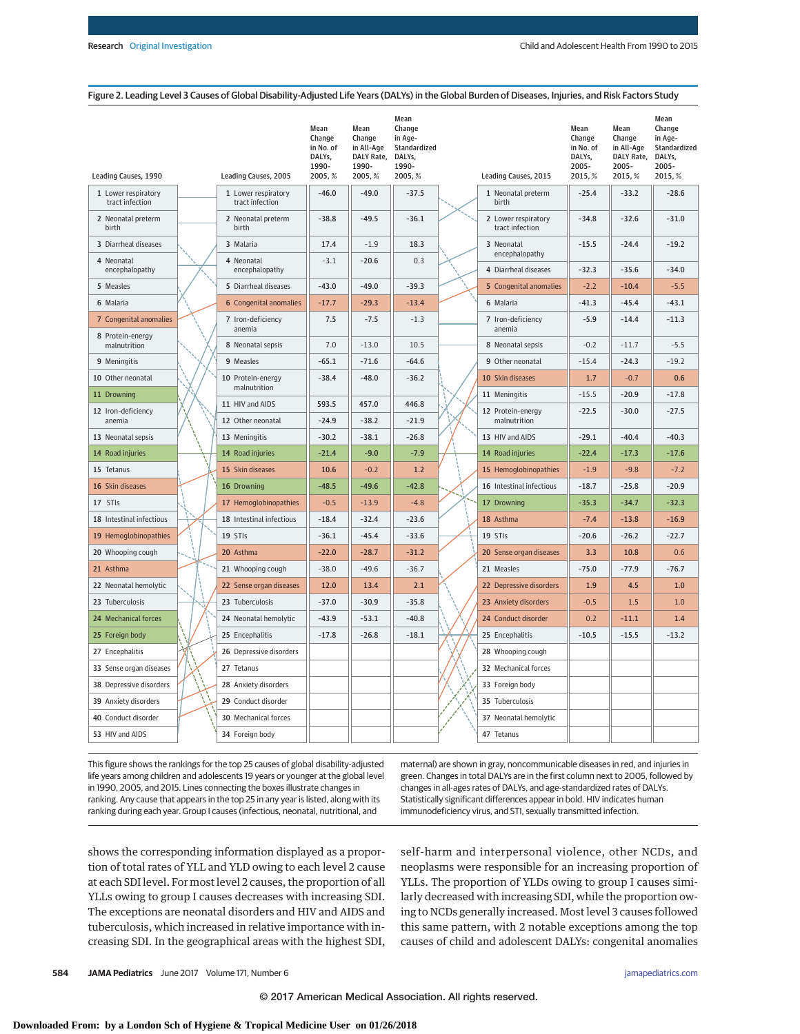#### Figure 2. Leading Level 3 Causes of Global Disability-Adjusted Life Years (DALYs) in the Global Burden of Diseases, Injuries, and Risk Factors Study

| <b>Leading Causes, 1990</b>                | Leading Causes, 2005                   | Mean<br>Change<br>in No. of<br>DALYs,<br>1990-<br>2005, % | Mean<br>Change<br>in All-Age<br>DALY Rate,<br>1990-<br>2005,% | Mean<br>Change<br>in Age-<br>Standardized<br>DALYs,<br>1990-<br>2005, % | Leading Causes, 2015                   | Mean<br>Change<br>in No. of<br>DALYs,<br>2005-<br>2015, % | Mean<br>Change<br>in All-Age<br>DALY Rate,<br>2005-<br>2015, % | Mean<br>Change<br>in Age-<br>Standardized<br>DALYs,<br>2005-<br>2015, % |
|--------------------------------------------|----------------------------------------|-----------------------------------------------------------|---------------------------------------------------------------|-------------------------------------------------------------------------|----------------------------------------|-----------------------------------------------------------|----------------------------------------------------------------|-------------------------------------------------------------------------|
| 1 Lower respiratory<br>tract infection     | 1 Lower respiratory<br>tract infection | $-46.0$                                                   | $-49.0$                                                       | $-37.5$                                                                 | 1 Neonatal preterm<br>birth            | $-25.4$                                                   | $-33.2$                                                        | $-28.6$                                                                 |
| 2 Neonatal preterm<br>birth                | 2 Neonatal preterm<br>birth            | $-38.8$                                                   | $-49.5$                                                       | $-36.1$                                                                 | 2 Lower respiratory<br>tract infection | $-34.8$                                                   | $-32.6$                                                        | $-31.0$                                                                 |
| 3 Diarrheal diseases                       | 3 Malaria                              | 17.4                                                      | $-1.9$                                                        | 18.3                                                                    | 3 Neonatal                             | $-15.5$                                                   | $-24.4$                                                        | $-19.2$                                                                 |
| 4 Neonatal<br>encephalopathy               | 4 Neonatal<br>encephalopathy           | $-3.1$                                                    | $-20.6$                                                       | 0.3                                                                     | encephalopathy<br>4 Diarrheal diseases | $-32.3$                                                   | $-35.6$                                                        | $-34.0$                                                                 |
| 5 Measles                                  | 5 Diarrheal diseases                   | $-43.0$                                                   | $-49.0$                                                       | $-39.3$                                                                 | 5 Congenital anomalies                 | $-2.2$                                                    | $-10.4$                                                        | $-5.5$                                                                  |
| 6 Malaria                                  | <b>6</b> Congenital anomalies          | $-17.7$                                                   | $-29.3$                                                       | $-13.4$                                                                 | 6 Malaria                              | $-41.3$                                                   | $-45.4$                                                        | $-43.1$                                                                 |
| 7 Congenital anomalies<br>8 Protein-energy | 7 Iron-deficiency<br>anemia            | 7.5                                                       | $-7.5$                                                        | $-1.3$                                                                  | 7 Iron-deficiency<br>anemia            | $-5.9$                                                    | $-14.4$                                                        | $-11.3$                                                                 |
| malnutrition                               | 8 Neonatal sepsis                      | 7.0                                                       | $-13.0$                                                       | 10.5                                                                    | 8 Neonatal sepsis                      | $-0.2$                                                    | $-11.7$                                                        | $-5.5$                                                                  |
| 9 Meningitis                               | 9 Measles                              | $-65.1$                                                   | $-71.6$                                                       | $-64.6$                                                                 | 9 Other neonatal                       | $-15.4$                                                   | $-24.3$                                                        | $-19.2$                                                                 |
| 10 Other neonatal                          | 10 Protein-energy<br>malnutrition      | $-38.4$                                                   | $-48.0$                                                       | $-36.2$                                                                 | 10 Skin diseases                       | 1.7                                                       | $-0.7$                                                         | 0.6                                                                     |
| 11 Drowning                                | 11 HIV and AIDS                        | 593.5                                                     | 457.0                                                         | 446.8                                                                   | 11 Meningitis                          | $-15.5$                                                   | $-20.9$                                                        | $-17.8$                                                                 |
| 12 Iron-deficiency<br>anemia               | 12 Other neonatal                      | $-24.9$                                                   | $-38.2$                                                       | $-21.9$                                                                 | 12 Protein-energy<br>malnutrition      | $-22.5$                                                   | $-30.0$                                                        | $-27.5$                                                                 |
| 13 Neonatal sepsis                         | 13 Meningitis                          | $-30.2$                                                   | $-38.1$                                                       | $-26.8$                                                                 | 13 HIV and AIDS                        | $-29.1$                                                   | $-40.4$                                                        | $-40.3$                                                                 |
| 14 Road injuries                           | 14 Road injuries                       | $-21.4$                                                   | $-9.0$                                                        | $-7.9$                                                                  | 14 Road injuries                       | $-22.4$                                                   | $-17.3$                                                        | $-17.6$                                                                 |
| 15 Tetanus                                 | 15 Skin diseases                       | 10.6                                                      | $-0.2$                                                        | 1.2                                                                     | 15 Hemoglobinopathies                  | $-1.9$                                                    | $-9.8$                                                         | $-7.2$                                                                  |
| 16 Skin diseases                           | 16 Drowning                            | $-48.5$                                                   | $-49.6$                                                       | $-42.8$                                                                 | 16 Intestinal infectious               | $-18.7$                                                   | $-25.8$                                                        | $-20.9$                                                                 |
| 17 STIs                                    | 17 Hemoglobinopathies                  | $-0.5$                                                    | $-13.9$                                                       | $-4.8$                                                                  | 17 Drowning                            | $-35.3$                                                   | $-34.7$                                                        | $-32.3$                                                                 |
| 18 Intestinal infectious                   | 18 Intestinal infectious               | $-18.4$                                                   | $-32.4$                                                       | $-23.6$                                                                 | 18 Asthma                              | $-7.4$                                                    | $-13.8$                                                        | $-16.9$                                                                 |
| 19 Hemoglobinopathies                      | 19 STIs                                | $-36.1$                                                   | $-45.4$                                                       | $-33.6$                                                                 | 19 STIs                                | $-20.6$                                                   | $-26.2$                                                        | $-22.7$                                                                 |
| 20 Whooping cough                          | 20 Asthma                              | $-22.0$                                                   | $-28.7$                                                       | $-31.2$                                                                 | 20 Sense organ diseases                | 3.3                                                       | 10.8                                                           | 0.6                                                                     |
| 21 Asthma                                  | 21 Whooping cough                      | $-38.0$                                                   | $-49.6$                                                       | $-36.7$                                                                 | 21 Measles                             | $-75.0$                                                   | $-77.9$                                                        | $-76.7$                                                                 |
| 22 Neonatal hemolytic                      | 22 Sense organ diseases                | 12.0                                                      | 13.4                                                          | 2.1                                                                     | 22 Depressive disorders                | 1.9                                                       | 4.5                                                            | 1.0                                                                     |
| 23 Tuberculosis                            | 23 Tuberculosis                        | $-37.0$                                                   | $-30.9$                                                       | $-35.8$                                                                 | 23 Anxiety disorders                   | $-0.5$                                                    | 1.5                                                            | 1.0                                                                     |
| 24 Mechanical forces                       | 24 Neonatal hemolytic                  | $-43.9$                                                   | $-53.1$                                                       | $-40.8$                                                                 | 24 Conduct disorder                    | 0.2                                                       | $-11.1$                                                        | 1.4                                                                     |
| 25 Foreign body                            | 25 Encephalitis                        | $-17.8$                                                   | $-26.8$                                                       | $-18.1$                                                                 | 25 Encephalitis                        | $-10.5$                                                   | $-15.5$                                                        | $-13.2$                                                                 |
| 27 Encephalitis                            | 26 Depressive disorders                |                                                           |                                                               |                                                                         | 28 Whooping cough                      |                                                           |                                                                |                                                                         |
| 33 Sense organ diseases                    | 27 Tetanus                             |                                                           |                                                               |                                                                         | 32 Mechanical forces                   |                                                           |                                                                |                                                                         |
| 38 Depressive disorders                    | 28 Anxiety disorders                   |                                                           |                                                               |                                                                         | 33 Foreign body                        |                                                           |                                                                |                                                                         |
| 39 Anxiety disorders                       | 29 Conduct disorder                    |                                                           |                                                               |                                                                         | 35 Tuberculosis                        |                                                           |                                                                |                                                                         |
| 40 Conduct disorder                        | 30 Mechanical forces                   |                                                           |                                                               |                                                                         | 37 Neonatal hemolytic                  |                                                           |                                                                |                                                                         |
| 53 HIV and AIDS                            | 34 Foreign body                        |                                                           |                                                               |                                                                         | 47 Tetanus                             |                                                           |                                                                |                                                                         |

This figure shows the rankings for the top 25 causes of global disability-adjusted life years among children and adolescents 19 years or younger at the global level in 1990, 2005, and 2015. Lines connecting the boxes illustrate changes in ranking. Any cause that appears in the top 25 in any year is listed, along with its ranking during each year. Group I causes (infectious, neonatal, nutritional, and

maternal) are shown in gray, noncommunicable diseases in red, and injuries in green. Changes in total DALYs are in the first column next to 2005, followed by changes in all-ages rates of DALYs, and age-standardized rates of DALYs. Statistically significant differences appear in bold. HIV indicates human immunodeficiency virus, and STI, sexually transmitted infection.

shows the corresponding information displayed as a proportion of total rates of YLL and YLD owing to each level 2 cause at each SDI level. For most level 2 causes, the proportion of all YLLs owing to group I causes decreases with increasing SDI. The exceptions are neonatal disorders and HIV and AIDS and tuberculosis, which increased in relative importance with increasing SDI. In the geographical areas with the highest SDI, self-harm and interpersonal violence, other NCDs, and neoplasms were responsible for an increasing proportion of YLLs. The proportion of YLDs owing to group I causes similarly decreased with increasing SDI, while the proportion owing to NCDs generally increased. Most level 3 causes followed this same pattern, with 2 notable exceptions among the top causes of child and adolescent DALYs: congenital anomalies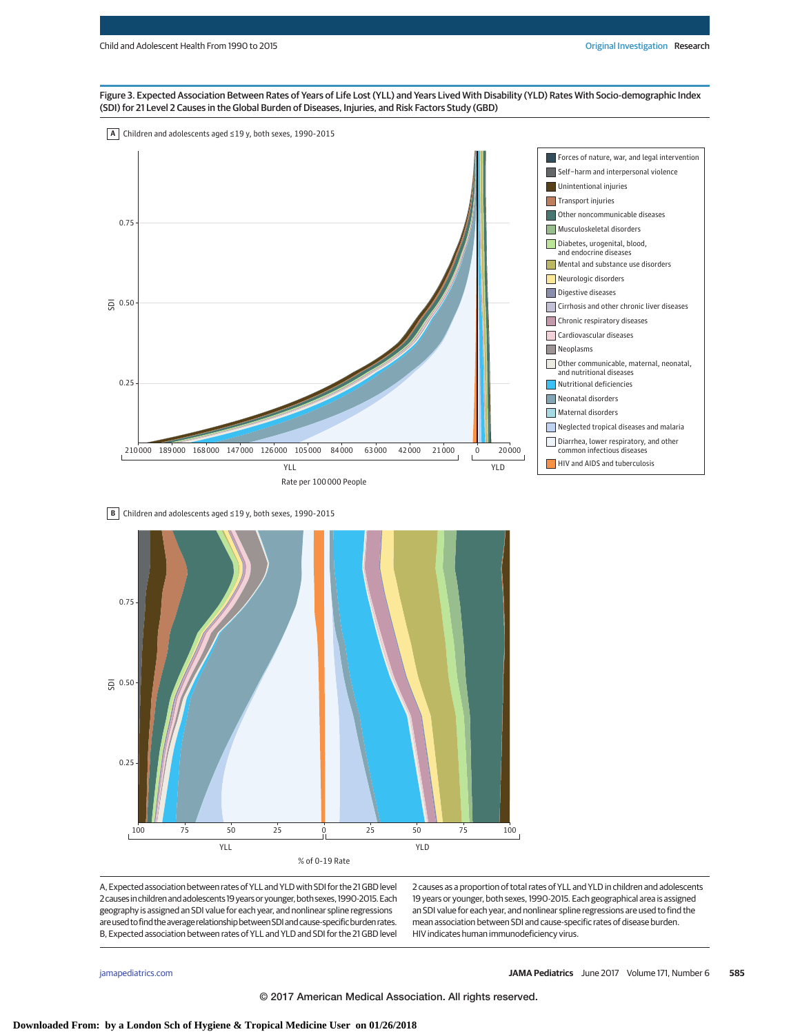## Figure 3. Expected Association Between Rates of Years of Life Lost (YLL) and Years Lived With Disability (YLD) Rates With Socio-demographic Index (SDI) for 21 Level 2 Causes in the Global Burden of Diseases, Injuries, and Risk Factors Study (GBD)







A, Expected association between rates of YLL and YLD with SDI for the 21 GBD level 2causesinchildrenandadolescents 19yearsoryounger,both sexes, 1990-2015.Each geography is assigned an SDI value for each year, and nonlinear spline regressions are used to find the average relationship between SDI and cause-specific burden rates. B, Expected association between rates of YLL and YLD and SDI for the 21 GBD level

2 causes as a proportion of total rates of YLL and YLD in children and adolescents 19 years or younger, both sexes, 1990-2015. Each geographical area is assigned an SDI value for each year, and nonlinear spline regressions are used to find the mean association between SDI and cause-specific rates of disease burden. HIV indicates human immunodeficiency virus.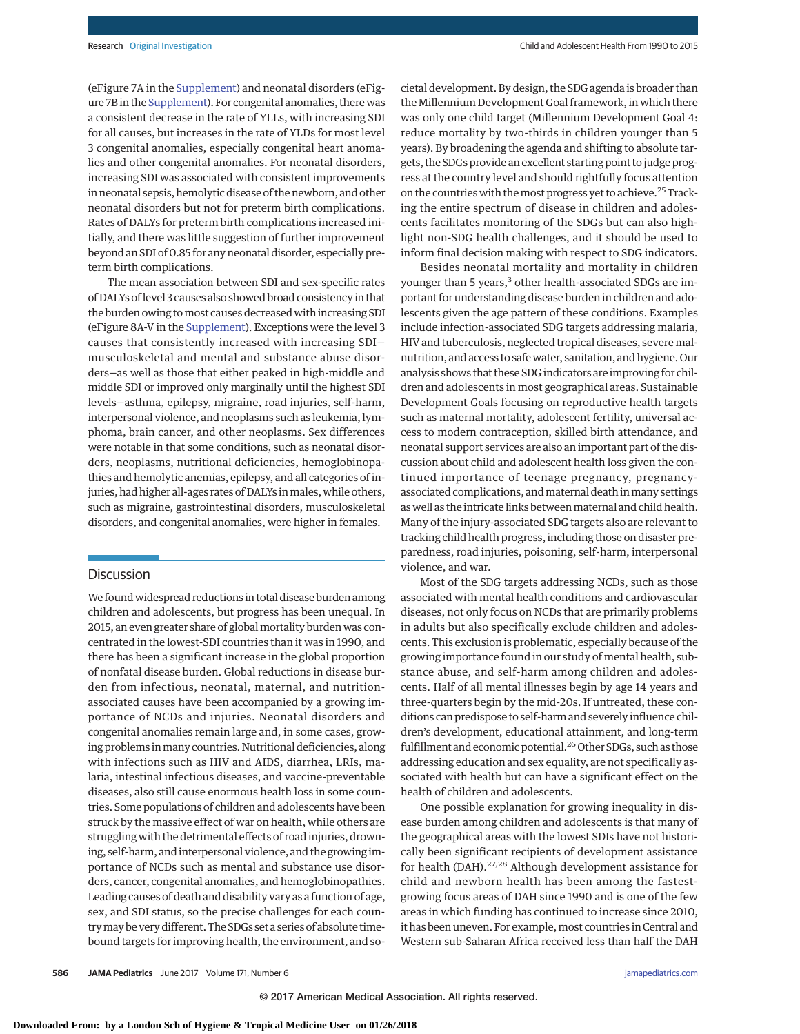(eFigure 7A in the [Supplement\)](http://jama.jamanetwork.com/article.aspx?doi=10.1001/jamapediatrics.2017.0250&utm_campaign=articlePDF%26utm_medium=articlePDFlink%26utm_source=articlePDF%26utm_content=jamapediatrics.2017.0250) and neonatal disorders (eFigure 7B in the [Supplement\)](http://jama.jamanetwork.com/article.aspx?doi=10.1001/jamapediatrics.2017.0250&utm_campaign=articlePDF%26utm_medium=articlePDFlink%26utm_source=articlePDF%26utm_content=jamapediatrics.2017.0250). For congenital anomalies, there was a consistent decrease in the rate of YLLs, with increasing SDI for all causes, but increases in the rate of YLDs for most level 3 congenital anomalies, especially congenital heart anomalies and other congenital anomalies. For neonatal disorders, increasing SDI was associated with consistent improvements in neonatal sepsis, hemolytic disease of the newborn, and other neonatal disorders but not for preterm birth complications. Rates of DALYs for preterm birth complications increased initially, and there was little suggestion of further improvement beyond an SDI of 0.85 for any neonatal disorder, especially preterm birth complications.

The mean association between SDI and sex-specific rates of DALYs of level 3 causes also showed broad consistency in that the burden owing tomost causes decreased with increasing SDI (eFigure 8A-V in the [Supplement\)](http://jama.jamanetwork.com/article.aspx?doi=10.1001/jamapediatrics.2017.0250&utm_campaign=articlePDF%26utm_medium=articlePDFlink%26utm_source=articlePDF%26utm_content=jamapediatrics.2017.0250). Exceptions were the level 3 causes that consistently increased with increasing SDI musculoskeletal and mental and substance abuse disorders—as well as those that either peaked in high-middle and middle SDI or improved only marginally until the highest SDI levels—asthma, epilepsy, migraine, road injuries, self-harm, interpersonal violence, and neoplasms such as leukemia, lymphoma, brain cancer, and other neoplasms. Sex differences were notable in that some conditions, such as neonatal disorders, neoplasms, nutritional deficiencies, hemoglobinopathies and hemolytic anemias, epilepsy, and all categories of injuries, had higher all-ages rates of DALYs in males, while others, such as migraine, gastrointestinal disorders, musculoskeletal disorders, and congenital anomalies, were higher in females.

# Discussion

We found widespread reductions in total disease burden among children and adolescents, but progress has been unequal. In 2015, an even greater share of global mortality burden was concentrated in the lowest-SDI countries than it was in 1990, and there has been a significant increase in the global proportion of nonfatal disease burden. Global reductions in disease burden from infectious, neonatal, maternal, and nutritionassociated causes have been accompanied by a growing importance of NCDs and injuries. Neonatal disorders and congenital anomalies remain large and, in some cases, growing problems in many countries. Nutritional deficiencies, along with infections such as HIV and AIDS, diarrhea, LRIs, malaria, intestinal infectious diseases, and vaccine-preventable diseases, also still cause enormous health loss in some countries. Some populations of children and adolescents have been struck by the massive effect of war on health, while others are struggling with the detrimental effects of road injuries, drowning, self-harm, and interpersonal violence, and the growing importance of NCDs such as mental and substance use disorders, cancer, congenital anomalies, and hemoglobinopathies. Leading causes of death and disability vary as a function of age, sex, and SDI status, so the precise challenges for each countrymay be very different. The SDGs set a series of absolute timebound targets for improving health, the environment, and societal development. By design, the SDG agenda is broader than the Millennium Development Goal framework, in which there was only one child target (Millennium Development Goal 4: reduce mortality by two-thirds in children younger than 5 years). By broadening the agenda and shifting to absolute targets, the SDGs provide an excellent starting point tojudge progress at the country level and should rightfully focus attention on the countries with the most progress yet to achieve.<sup>25</sup> Tracking the entire spectrum of disease in children and adolescents facilitates monitoring of the SDGs but can also highlight non-SDG health challenges, and it should be used to inform final decision making with respect to SDG indicators.

Besides neonatal mortality and mortality in children younger than 5 years,<sup>3</sup> other health-associated SDGs are important for understanding disease burden in children and adolescents given the age pattern of these conditions. Examples include infection-associated SDG targets addressing malaria, HIV and tuberculosis, neglected tropical diseases, severe malnutrition, and access to safe water, sanitation, and hygiene. Our analysis shows that these SDG indicators are improving for children and adolescents in most geographical areas. Sustainable Development Goals focusing on reproductive health targets such as maternal mortality, adolescent fertility, universal access to modern contraception, skilled birth attendance, and neonatal support services are also an important part of the discussion about child and adolescent health loss given the continued importance of teenage pregnancy, pregnancyassociated complications, and maternal death in many settings as well as the intricate links between maternal and child health. Many of the injury-associated SDG targets also are relevant to tracking child health progress, including those on disaster preparedness, road injuries, poisoning, self-harm, interpersonal violence, and war.

Most of the SDG targets addressing NCDs, such as those associated with mental health conditions and cardiovascular diseases, not only focus on NCDs that are primarily problems in adults but also specifically exclude children and adolescents. This exclusion is problematic, especially because of the growing importance found in our study of mental health, substance abuse, and self-harm among children and adolescents. Half of all mental illnesses begin by age 14 years and three-quarters begin by the mid-20s. If untreated, these conditions can predispose to self-harm and severely influence children's development, educational attainment, and long-term fulfillment and economic potential.<sup>26</sup> Other SDGs, such as those addressing education and sex equality, are not specifically associated with health but can have a significant effect on the health of children and adolescents.

One possible explanation for growing inequality in disease burden among children and adolescents is that many of the geographical areas with the lowest SDIs have not historically been significant recipients of development assistance for health (DAH).<sup>27,28</sup> Although development assistance for child and newborn health has been among the fastestgrowing focus areas of DAH since 1990 and is one of the few areas in which funding has continued to increase since 2010, it has been uneven. For example, most countries in Central and Western sub-Saharan Africa received less than half the DAH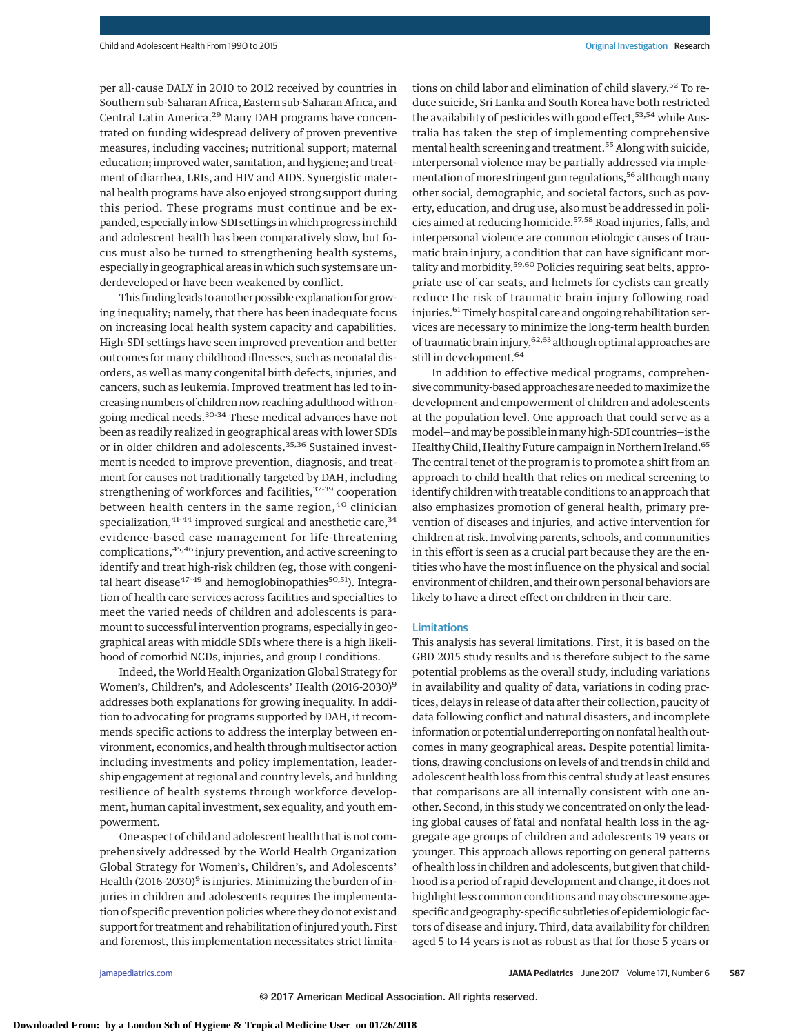per all-cause DALY in 2010 to 2012 received by countries in Southern sub-Saharan Africa, Eastern sub-Saharan Africa, and Central Latin America.29 Many DAH programs have concentrated on funding widespread delivery of proven preventive measures, including vaccines; nutritional support; maternal education; improved water, sanitation, and hygiene; and treatment of diarrhea, LRIs, and HIV and AIDS. Synergistic maternal health programs have also enjoyed strong support during this period. These programs must continue and be expanded, especially in low-SDI settings inwhich progress in child and adolescent health has been comparatively slow, but focus must also be turned to strengthening health systems, especially in geographical areas in which such systems are underdeveloped or have been weakened by conflict.

This finding leads to another possible explanation for growing inequality; namely, that there has been inadequate focus on increasing local health system capacity and capabilities. High-SDI settings have seen improved prevention and better outcomes for many childhood illnesses, such as neonatal disorders, as well as many congenital birth defects, injuries, and cancers, such as leukemia. Improved treatment has led to increasing numbers of children now reaching adulthood with ongoing medical needs.30-34 These medical advances have not been as readily realized in geographical areas with lower SDIs or in older children and adolescents.<sup>35,36</sup> Sustained investment is needed to improve prevention, diagnosis, and treatment for causes not traditionally targeted by DAH, including strengthening of workforces and facilities,  $37-39$  cooperation between health centers in the same region,<sup>40</sup> clinician specialization, $41-44$  improved surgical and anesthetic care, $34$ evidence-based case management for life-threatening complications, 45,46 injury prevention, and active screening to identify and treat high-risk children (eg, those with congenital heart disease<sup>47-49</sup> and hemoglobinopathies<sup>50,51</sup>). Integration of health care services across facilities and specialties to meet the varied needs of children and adolescents is paramount to successful intervention programs, especially in geographical areas with middle SDIs where there is a high likelihood of comorbid NCDs, injuries, and group I conditions.

Indeed, theWorld Health Organization Global Strategy for Women's, Children's, and Adolescents' Health (2016-2030)<sup>9</sup> addresses both explanations for growing inequality. In addition to advocating for programs supported by DAH, it recommends specific actions to address the interplay between environment, economics, and health through multisector action including investments and policy implementation, leadership engagement at regional and country levels, and building resilience of health systems through workforce development, human capital investment, sex equality, and youth empowerment.

One aspect of child and adolescent health that is not comprehensively addressed by the World Health Organization Global Strategy for Women's, Children's, and Adolescents' Health (2016-2030) $9$  is injuries. Minimizing the burden of injuries in children and adolescents requires the implementation of specific prevention policies where they do not exist and support for treatment and rehabilitation of injured youth. First and foremost, this implementation necessitates strict limitations on child labor and elimination of child slavery.<sup>52</sup> To reduce suicide, Sri Lanka and South Korea have both restricted the availability of pesticides with good effect,  $53,54$  while Australia has taken the step of implementing comprehensive mental health screening and treatment.<sup>55</sup> Along with suicide, interpersonal violence may be partially addressed via implementation of more stringent gun regulations,<sup>56</sup> although many other social, demographic, and societal factors, such as poverty, education, and drug use, also must be addressed in policies aimed at reducing homicide.<sup>57,58</sup> Road injuries, falls, and interpersonal violence are common etiologic causes of traumatic brain injury, a condition that can have significant mortality and morbidity.<sup>59,60</sup> Policies requiring seat belts, appropriate use of car seats, and helmets for cyclists can greatly reduce the risk of traumatic brain injury following road injuries.<sup>61</sup> Timely hospital care and ongoing rehabilitation services are necessary to minimize the long-term health burden of traumatic brain injury, <sup>62,63</sup> although optimal approaches are still in development.<sup>64</sup>

In addition to effective medical programs, comprehensive community-based approaches are needed tomaximize the development and empowerment of children and adolescents at the population level. One approach that could serve as a model—andmay be possible inmany high-SDI countries—is the Healthy Child, Healthy Future campaign in Northern Ireland.<sup>65</sup> The central tenet of the program is to promote a shift from an approach to child health that relies on medical screening to identify children with treatable conditions to an approach that also emphasizes promotion of general health, primary prevention of diseases and injuries, and active intervention for children at risk. Involving parents, schools, and communities in this effort is seen as a crucial part because they are the entities who have the most influence on the physical and social environment of children, and their own personal behaviors are likely to have a direct effect on children in their care.

#### Limitations

This analysis has several limitations. First, it is based on the GBD 2015 study results and is therefore subject to the same potential problems as the overall study, including variations in availability and quality of data, variations in coding practices, delays in release of data after their collection, paucity of data following conflict and natural disasters, and incomplete information or potential underreporting on nonfatal health outcomes in many geographical areas. Despite potential limitations, drawing conclusions on levels of and trends in child and adolescent health loss from this central study at least ensures that comparisons are all internally consistent with one another. Second, in this study we concentrated on only the leading global causes of fatal and nonfatal health loss in the aggregate age groups of children and adolescents 19 years or younger. This approach allows reporting on general patterns of health loss in children and adolescents, but given that childhood is a period of rapid development and change, it does not highlight less common conditions and may obscure some agespecific and geography-specific subtleties of epidemiologic factors of disease and injury. Third, data availability for children aged 5 to 14 years is not as robust as that for those 5 years or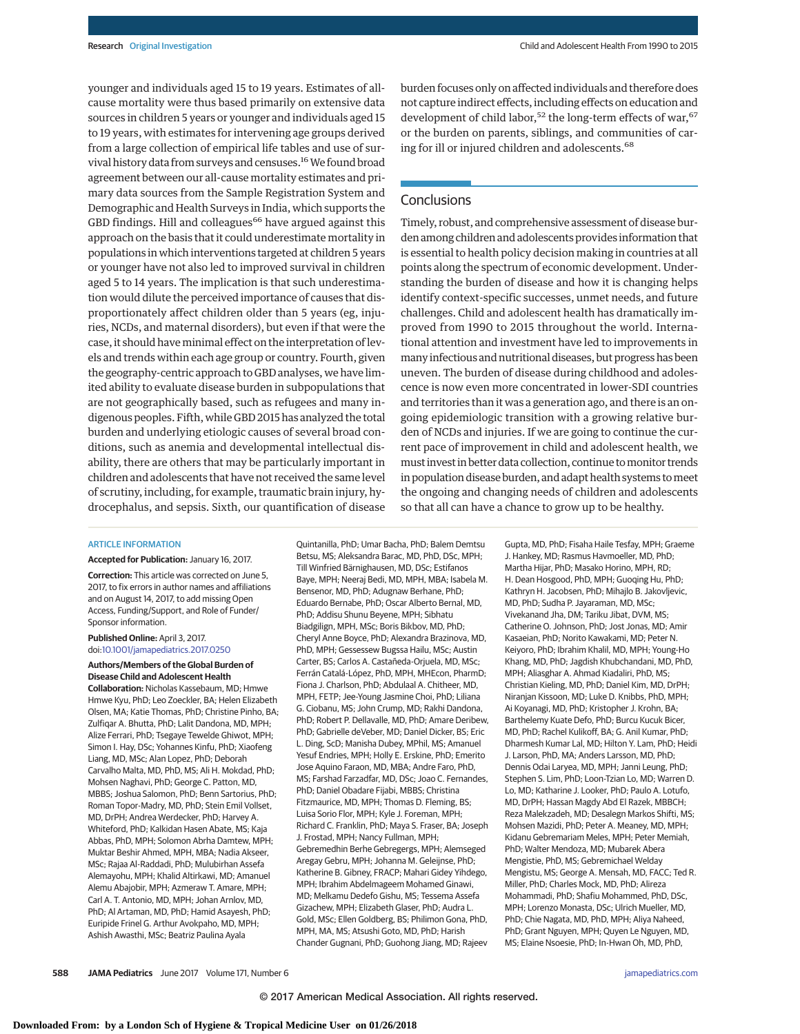younger and individuals aged 15 to 19 years. Estimates of allcause mortality were thus based primarily on extensive data sources in children 5 years or younger and individuals aged 15 to 19 years, with estimates for intervening age groups derived from a large collection of empirical life tables and use of survival history data from surveys and censuses.<sup>16</sup> We found broad agreement between our all-cause mortality estimates and primary data sources from the Sample Registration System and Demographic and Health Surveys in India, which supports the GBD findings. Hill and colleagues<sup>66</sup> have argued against this approach on the basis that it could underestimate mortality in populations in which interventions targeted at children 5 years or younger have not also led to improved survival in children aged 5 to 14 years. The implication is that such underestimation would dilute the perceived importance of causes that disproportionately affect children older than 5 years (eg, injuries, NCDs, and maternal disorders), but even if that were the case, it should have minimal effect on the interpretation of levels and trends within each age group or country. Fourth, given the geography-centric approach to GBD analyses, we have limited ability to evaluate disease burden in subpopulations that are not geographically based, such as refugees and many indigenous peoples. Fifth, while GBD 2015 has analyzed the total burden and underlying etiologic causes of several broad conditions, such as anemia and developmental intellectual disability, there are others that may be particularly important in children and adolescents that have not received the same level of scrutiny, including, for example, traumatic brain injury, hydrocephalus, and sepsis. Sixth, our quantification of disease burden focuses only on affected individuals and therefore does not capture indirect effects, including effects on education and development of child labor,<sup>52</sup> the long-term effects of war,  $67$ or the burden on parents, siblings, and communities of caring for ill or injured children and adolescents.<sup>68</sup>

# **Conclusions**

Timely, robust, and comprehensive assessment of disease burden among children and adolescents provides information that is essential to health policy decision making in countries at all points along the spectrum of economic development. Understanding the burden of disease and how it is changing helps identify context-specific successes, unmet needs, and future challenges. Child and adolescent health has dramatically improved from 1990 to 2015 throughout the world. International attention and investment have led to improvements in many infectious and nutritional diseases, but progress has been uneven. The burden of disease during childhood and adolescence is now even more concentrated in lower-SDI countries and territories than it was a generation ago, and there is an ongoing epidemiologic transition with a growing relative burden of NCDs and injuries. If we are going to continue the current pace of improvement in child and adolescent health, we must invest in better data collection, continue tomonitor trends in population disease burden, and adapt health systems tomeet the ongoing and changing needs of children and adolescents so that all can have a chance to grow up to be healthy.

#### ARTICLE INFORMATION

**Accepted for Publication:** January 16, 2017.

**Correction:** This article was corrected on June 5, 2017, to fix errors in author names and affiliations and on August 14, 2017, to add missing Open Access, Funding/Support, and Role of Funder/ Sponsor information.

**Published Online:** April 3, 2017. doi[:10.1001/jamapediatrics.2017.0250](http://jama.jamanetwork.com/article.aspx?doi=10.1001/jamapediatrics.2017.0250&utm_campaign=articlePDF%26utm_medium=articlePDFlink%26utm_source=articlePDF%26utm_content=jamapediatrics.2017.0250)

#### **Authors/Members of the Global Burden of Disease Child and Adolescent Health Collaboration:** Nicholas Kassebaum, MD; Hmwe

Hmwe Kyu, PhD; Leo Zoeckler, BA; Helen Elizabeth Olsen, MA; Katie Thomas, PhD; Christine Pinho, BA; Zulfiqar A. Bhutta, PhD; Lalit Dandona, MD, MPH; Alize Ferrari, PhD; Tsegaye Tewelde Ghiwot, MPH; Simon I. Hay, DSc; Yohannes Kinfu, PhD; Xiaofeng Liang, MD, MSc; Alan Lopez, PhD; Deborah Carvalho Malta, MD, PhD, MS; Ali H. Mokdad, PhD; Mohsen Naghavi, PhD; George C. Patton, MD, MBBS; Joshua Salomon, PhD; Benn Sartorius, PhD; Roman Topor-Madry, MD, PhD; Stein Emil Vollset, MD, DrPH; Andrea Werdecker, PhD; Harvey A. Whiteford, PhD; Kalkidan Hasen Abate, MS; Kaja Abbas, PhD, MPH; Solomon Abrha Damtew, MPH; Muktar Beshir Ahmed, MPH, MBA; Nadia Akseer, MSc; Rajaa Al-Raddadi, PhD; Mulubirhan Assefa Alemayohu, MPH; Khalid Altirkawi, MD; Amanuel Alemu Abajobir, MPH; Azmeraw T. Amare, MPH; Carl A. T. Antonio, MD, MPH; Johan Arnlov, MD, PhD; Al Artaman, MD, PhD; Hamid Asayesh, PhD; Euripide Frinel G. Arthur Avokpaho, MD, MPH; Ashish Awasthi, MSc; Beatriz Paulina Ayala

Quintanilla, PhD; Umar Bacha, PhD; Balem Demtsu Betsu, MS; Aleksandra Barac, MD, PhD, DSc, MPH; Till Winfried Bärnighausen, MD, DSc; Estifanos Baye, MPH; Neeraj Bedi, MD, MPH, MBA; Isabela M. Bensenor, MD, PhD; Adugnaw Berhane, PhD; Eduardo Bernabe, PhD; Oscar Alberto Bernal, MD, PhD; Addisu Shunu Beyene, MPH; Sibhatu Biadgilign, MPH, MSc; Boris Bikbov, MD, PhD; Cheryl Anne Boyce, PhD; Alexandra Brazinova, MD, PhD, MPH; Gessessew Bugssa Hailu, MSc; Austin Carter, BS; Carlos A. Castañeda-Orjuela, MD, MSc; Ferrán Catalá-López, PhD, MPH, MHEcon, PharmD; Fiona J. Charlson, PhD; Abdulaal A. Chitheer, MD, MPH, FETP; Jee-Young Jasmine Choi, PhD; Liliana G. Ciobanu, MS; John Crump, MD; Rakhi Dandona, PhD; Robert P. Dellavalle, MD, PhD; Amare Deribew, PhD; Gabrielle deVeber, MD; Daniel Dicker, BS; Eric L. Ding, ScD; Manisha Dubey, MPhil, MS; Amanuel Yesuf Endries, MPH; Holly E. Erskine, PhD; Emerito Jose Aquino Faraon, MD, MBA; Andre Faro, PhD, MS; Farshad Farzadfar, MD, DSc; Joao C. Fernandes, PhD; Daniel Obadare Fijabi, MBBS; Christina Fitzmaurice, MD, MPH; Thomas D. Fleming, BS; Luisa Sorio Flor, MPH; Kyle J. Foreman, MPH; Richard C. Franklin, PhD; Maya S. Fraser, BA; Joseph J. Frostad, MPH; Nancy Fullman, MPH; Gebremedhin Berhe Gebregergs, MPH; Alemseged Aregay Gebru, MPH; Johanna M. Geleijnse, PhD; Katherine B. Gibney, FRACP; Mahari Gidey Yihdego, MPH; Ibrahim Abdelmageem Mohamed Ginawi, MD; Melkamu Dedefo Gishu, MS; Tessema Assefa Gizachew, MPH; Elizabeth Glaser, PhD; Audra L. Gold, MSc; Ellen Goldberg, BS; Philimon Gona, PhD, MPH, MA, MS; Atsushi Goto, MD, PhD; Harish Chander Gugnani, PhD; Guohong Jiang, MD; Rajeev

Gupta, MD, PhD; Fisaha Haile Tesfay, MPH; Graeme J. Hankey, MD; Rasmus Havmoeller, MD, PhD; Martha Hijar, PhD; Masako Horino, MPH, RD; H. Dean Hosgood, PhD, MPH; Guoqing Hu, PhD; Kathryn H. Jacobsen, PhD; Mihajlo B. Jakovljevic, MD, PhD; Sudha P. Jayaraman, MD, MSc; Vivekanand Jha, DM; Tariku Jibat, DVM, MS; Catherine O. Johnson, PhD; Jost Jonas, MD; Amir Kasaeian, PhD; Norito Kawakami, MD; Peter N. Keiyoro, PhD; Ibrahim Khalil, MD, MPH; Young-Ho Khang, MD, PhD; Jagdish Khubchandani, MD, PhD, MPH; Aliasghar A. Ahmad Kiadaliri, PhD, MS; Christian Kieling, MD, PhD; Daniel Kim, MD, DrPH; Niranjan Kissoon, MD; Luke D. Knibbs, PhD, MPH; Ai Koyanagi, MD, PhD; Kristopher J. Krohn, BA; Barthelemy Kuate Defo, PhD; Burcu Kucuk Bicer, MD, PhD; Rachel Kulikoff, BA; G. Anil Kumar, PhD; Dharmesh Kumar Lal, MD; Hilton Y. Lam, PhD; Heidi J. Larson, PhD, MA; Anders Larsson, MD, PhD; Dennis Odai Laryea, MD, MPH; Janni Leung, PhD; Stephen S. Lim, PhD; Loon-Tzian Lo, MD; Warren D. Lo, MD; Katharine J. Looker, PhD; Paulo A. Lotufo, MD, DrPH; Hassan Magdy Abd El Razek, MBBCH; Reza Malekzadeh, MD; Desalegn Markos Shifti, MS; Mohsen Mazidi, PhD; Peter A. Meaney, MD, MPH; Kidanu Gebremariam Meles, MPH; Peter Memiah, PhD; Walter Mendoza, MD; Mubarek Abera Mengistie, PhD, MS; Gebremichael Welday Mengistu, MS; George A. Mensah, MD, FACC; Ted R. Miller, PhD; Charles Mock, MD, PhD; Alireza Mohammadi, PhD; Shafiu Mohammed, PhD, DSc, MPH; Lorenzo Monasta, DSc; Ulrich Mueller, MD, PhD; Chie Nagata, MD, PhD, MPH; Aliya Naheed, PhD; Grant Nguyen, MPH; Quyen Le Nguyen, MD, MS; Elaine Nsoesie, PhD; In-Hwan Oh, MD, PhD,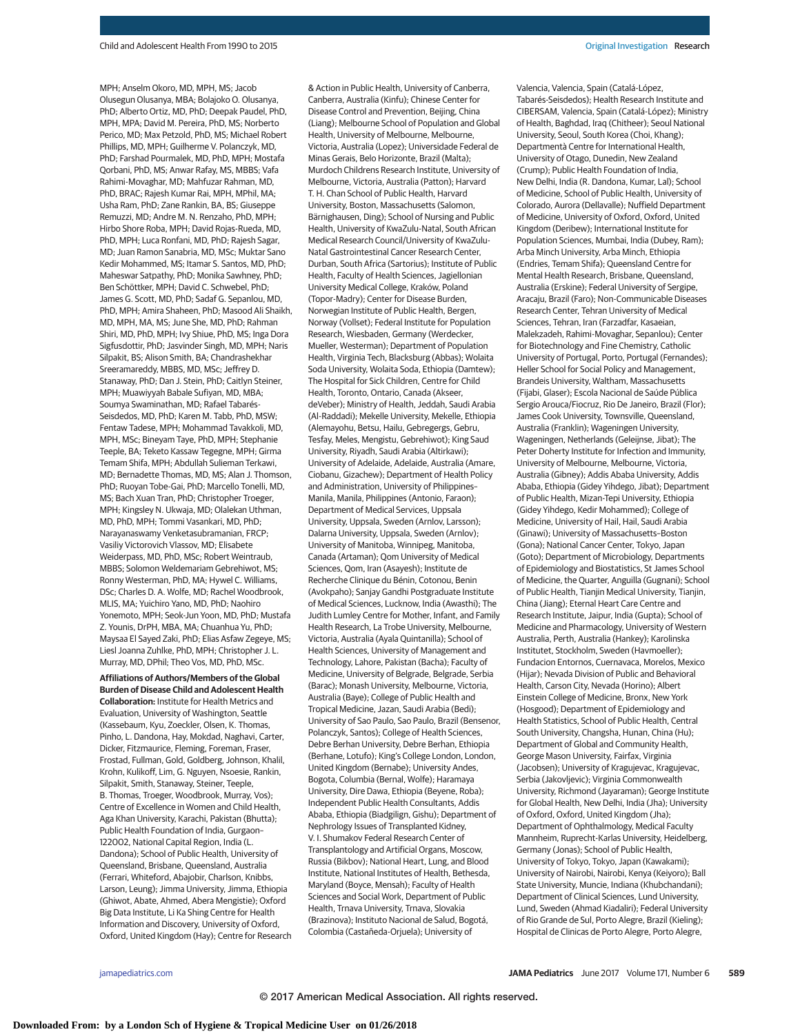MPH; Anselm Okoro, MD, MPH, MS; Jacob Olusegun Olusanya, MBA; Bolajoko O. Olusanya, PhD; Alberto Ortiz, MD, PhD; Deepak Paudel, PhD, MPH, MPA; David M. Pereira, PhD, MS; Norberto Perico, MD; Max Petzold, PhD, MS; Michael Robert Phillips, MD, MPH; Guilherme V. Polanczyk, MD, PhD; Farshad Pourmalek, MD, PhD, MPH; Mostafa Qorbani, PhD, MS; Anwar Rafay, MS, MBBS; Vafa Rahimi-Movaghar, MD; Mahfuzar Rahman, MD, PhD, BRAC; Rajesh Kumar Rai, MPH, MPhil, MA; Usha Ram, PhD; Zane Rankin, BA, BS; Giuseppe Remuzzi, MD; Andre M. N. Renzaho, PhD, MPH; Hirbo Shore Roba, MPH; David Rojas-Rueda, MD, PhD, MPH; Luca Ronfani, MD, PhD; Rajesh Sagar, MD; Juan Ramon Sanabria, MD, MSc; Muktar Sano Kedir Mohammed, MS; Itamar S. Santos, MD, PhD; Maheswar Satpathy, PhD; Monika Sawhney, PhD; Ben Schöttker, MPH; David C. Schwebel, PhD; James G. Scott, MD, PhD; Sadaf G. Sepanlou, MD, PhD, MPH; Amira Shaheen, PhD; Masood Ali Shaikh, MD, MPH, MA, MS; June She, MD, PhD; Rahman Shiri, MD, PhD, MPH; Ivy Shiue, PhD, MS; Inga Dora Sigfusdottir, PhD; Jasvinder Singh, MD, MPH; Naris Silpakit, BS; Alison Smith, BA; Chandrashekhar Sreeramareddy, MBBS, MD, MSc; Jeffrey D. Stanaway, PhD; Dan J. Stein, PhD; Caitlyn Steiner, MPH; Muawiyyah Babale Sufiyan, MD, MBA; Soumya Swaminathan, MD; Rafael Tabarés-Seisdedos, MD, PhD; Karen M. Tabb, PhD, MSW; Fentaw Tadese, MPH; Mohammad Tavakkoli, MD, MPH, MSc; Bineyam Taye, PhD, MPH; Stephanie Teeple, BA; Teketo Kassaw Tegegne, MPH; Girma Temam Shifa, MPH; Abdullah Sulieman Terkawi, MD; Bernadette Thomas, MD, MS; Alan J. Thomson, PhD; Ruoyan Tobe-Gai, PhD; Marcello Tonelli, MD, MS; Bach Xuan Tran, PhD; Christopher Troeger, MPH; Kingsley N. Ukwaja, MD; Olalekan Uthman, MD, PhD, MPH; Tommi Vasankari, MD, PhD; Narayanaswamy Venketasubramanian, FRCP; Vasiliy Victorovich Vlassov, MD; Elisabete Weiderpass, MD, PhD, MSc; Robert Weintraub, MBBS; Solomon Weldemariam Gebrehiwot, MS; Ronny Westerman, PhD, MA; Hywel C. Williams, DSc; Charles D. A. Wolfe, MD; Rachel Woodbrook, MLIS, MA; Yuichiro Yano, MD, PhD; Naohiro Yonemoto, MPH; Seok-Jun Yoon, MD, PhD; Mustafa Z. Younis, DrPH, MBA, MA; Chuanhua Yu, PhD; Maysaa El Sayed Zaki, PhD; Elias Asfaw Zegeye, MS; Liesl Joanna Zuhlke, PhD, MPH; Christopher J. L. Murray, MD, DPhil; Theo Vos, MD, PhD, MSc.

**Affiliations of Authors/Members of the Global Burden of Disease Child and Adolescent Health Collaboration:** Institute for Health Metrics and Evaluation, University of Washington, Seattle (Kassebaum, Kyu, Zoeckler, Olsen, K. Thomas, Pinho, L. Dandona, Hay, Mokdad, Naghavi, Carter, Dicker, Fitzmaurice, Fleming, Foreman, Fraser, Frostad, Fullman, Gold, Goldberg, Johnson, Khalil, Krohn, Kulikoff, Lim, G. Nguyen, Nsoesie, Rankin, Silpakit, Smith, Stanaway, Steiner, Teeple, B. Thomas, Troeger, Woodbrook, Murray, Vos); Centre of Excellence in Women and Child Health, Aga Khan University, Karachi, Pakistan (Bhutta); Public Health Foundation of India, Gurgaon– 122002, National Capital Region, India (L. Dandona); School of Public Health, University of Queensland, Brisbane, Queensland, Australia (Ferrari, Whiteford, Abajobir, Charlson, Knibbs, Larson, Leung); Jimma University, Jimma, Ethiopia (Ghiwot, Abate, Ahmed, Abera Mengistie); Oxford Big Data Institute, Li Ka Shing Centre for Health Information and Discovery, University of Oxford, Oxford, United Kingdom (Hay); Centre for Research & Action in Public Health, University of Canberra, Canberra, Australia (Kinfu); Chinese Center for Disease Control and Prevention, Beijing, China (Liang); Melbourne School of Population and Global Health, University of Melbourne, Melbourne, Victoria, Australia (Lopez); Universidade Federal de Minas Gerais, Belo Horizonte, Brazil (Malta); Murdoch Childrens Research Institute, University of Melbourne, Victoria, Australia (Patton); Harvard T. H. Chan School of Public Health, Harvard University, Boston, Massachusetts (Salomon, Bärnighausen, Ding); School of Nursing and Public Health, University of KwaZulu-Natal, South African Medical Research Council/University of KwaZulu-Natal Gastrointestinal Cancer Research Center, Durban, South Africa (Sartorius); Institute of Public Health, Faculty of Health Sciences, Jagiellonian University Medical College, Kraków, Poland (Topor-Madry); Center for Disease Burden, Norwegian Institute of Public Health, Bergen, Norway (Vollset); Federal Institute for Population Research, Wiesbaden, Germany (Werdecker, Mueller, Westerman); Department of Population Health, Virginia Tech, Blacksburg (Abbas); Wolaita Soda University, Wolaita Soda, Ethiopia (Damtew); The Hospital for Sick Children, Centre for Child Health, Toronto, Ontario, Canada (Akseer, deVeber); Ministry of Health, Jeddah, Saudi Arabia (Al-Raddadi); Mekelle University, Mekelle, Ethiopia (Alemayohu, Betsu, Hailu, Gebregergs, Gebru, Tesfay, Meles, Mengistu, Gebrehiwot); King Saud University, Riyadh, Saudi Arabia (Altirkawi); University of Adelaide, Adelaide, Australia (Amare, Ciobanu, Gizachew); Department of Health Policy and Administration, University of Philippines– Manila, Manila, Philippines (Antonio, Faraon); Department of Medical Services, Uppsala University, Uppsala, Sweden (Arnlov, Larsson); Dalarna University, Uppsala, Sweden (Arnlov); University of Manitoba, Winnipeg, Manitoba, Canada (Artaman); Qom University of Medical Sciences, Qom, Iran (Asayesh); Institute de Recherche Clinique du Bénin, Cotonou, Benin (Avokpaho); Sanjay Gandhi Postgraduate Institute of Medical Sciences, Lucknow, India (Awasthi); The Judith Lumley Centre for Mother, Infant, and Family Health Research, La Trobe University, Melbourne, Victoria, Australia (Ayala Quintanilla); School of Health Sciences, University of Management and Technology, Lahore, Pakistan (Bacha); Faculty of Medicine, University of Belgrade, Belgrade, Serbia (Barac); Monash University, Melbourne, Victoria, Australia (Baye); College of Public Health and Tropical Medicine, Jazan, Saudi Arabia (Bedi); University of Sao Paulo, Sao Paulo, Brazil (Bensenor, Polanczyk, Santos); College of Health Sciences, Debre Berhan University, Debre Berhan, Ethiopia (Berhane, Lotufo); King's College London, London, United Kingdom (Bernabe); University Andes, Bogota, Columbia (Bernal, Wolfe); Haramaya University, Dire Dawa, Ethiopia (Beyene, Roba); Independent Public Health Consultants, Addis Ababa, Ethiopia (Biadgilign, Gishu); Department of Nephrology Issues of Transplanted Kidney, V. I. Shumakov Federal Research Center of Transplantology and Artificial Organs, Moscow, Russia (Bikbov); National Heart, Lung, and Blood Institute, National Institutes of Health, Bethesda, Maryland (Boyce, Mensah); Faculty of Health Sciences and Social Work, Department of Public Health, Trnava University, Trnava, Slovakia (Brazinova); Instituto Nacional de Salud, Bogotá, Colombia (Castañeda-Orjuela); University of

Valencia, Valencia, Spain (Catalá-López, Tabarés-Seisdedos); Health Research Institute and CIBERSAM, Valencia, Spain (Catalá-López); Ministry of Health, Baghdad, Iraq (Chitheer); Seoul National University, Seoul, South Korea (Choi, Khang); Departmentà Centre for International Health, University of Otago, Dunedin, New Zealand (Crump); Public Health Foundation of India, New Delhi, India (R. Dandona, Kumar, Lal); School of Medicine, School of Public Health, University of Colorado, Aurora (Dellavalle); Nuffield Department of Medicine, University of Oxford, Oxford, United Kingdom (Deribew); International Institute for Population Sciences, Mumbai, India (Dubey, Ram); Arba Minch University, Arba Minch, Ethiopia (Endries, Temam Shifa); Queensland Centre for Mental Health Research, Brisbane, Queensland, Australia (Erskine); Federal University of Sergipe, Aracaju, Brazil (Faro); Non-Communicable Diseases Research Center, Tehran University of Medical Sciences, Tehran, Iran (Farzadfar, Kasaeian, Malekzadeh, Rahimi-Movaghar, Sepanlou); Center for Biotechnology and Fine Chemistry, Catholic University of Portugal, Porto, Portugal (Fernandes); Heller School for Social Policy and Management, Brandeis University, Waltham, Massachusetts (Fijabi, Glaser); Escola Nacional de Saúde Pública Sergio Arouca/Fiocruz, Rio De Janeiro, Brazil (Flor); James Cook University, Townsville, Queensland, Australia (Franklin); Wageningen University, Wageningen, Netherlands (Geleijnse, Jibat); The Peter Doherty Institute for Infection and Immunity, University of Melbourne, Melbourne, Victoria, Australia (Gibney); Addis Ababa University, Addis Ababa, Ethiopia (Gidey Yihdego, Jibat); Department of Public Health, Mizan-Tepi University, Ethiopia (Gidey Yihdego, Kedir Mohammed); College of Medicine, University of Hail, Hail, Saudi Arabia (Ginawi); University of Massachusetts–Boston (Gona); National Cancer Center, Tokyo, Japan (Goto); Department of Microbiology, Departments of Epidemiology and Biostatistics, St James School of Medicine, the Quarter, Anguilla (Gugnani); School of Public Health, Tianjin Medical University, Tianjin, China (Jiang); Eternal Heart Care Centre and Research Institute, Jaipur, India (Gupta); School of Medicine and Pharmacology, University of Western Australia, Perth, Australia (Hankey); Karolinska Institutet, Stockholm, Sweden (Havmoeller); Fundacion Entornos, Cuernavaca, Morelos, Mexico (Hijar); Nevada Division of Public and Behavioral Health, Carson City, Nevada (Horino); Albert Einstein College of Medicine, Bronx, New York (Hosgood); Department of Epidemiology and Health Statistics, School of Public Health, Central South University, Changsha, Hunan, China (Hu); Department of Global and Community Health, George Mason University, Fairfax, Virginia (Jacobsen); University of Kragujevac, Kragujevac, Serbia (Jakovljevic); Virginia Commonwealth University, Richmond (Jayaraman); George Institute for Global Health, New Delhi, India (Jha); University of Oxford, Oxford, United Kingdom (Jha); Department of Ophthalmology, Medical Faculty Mannheim, Ruprecht-Karlas University, Heidelberg, Germany (Jonas); School of Public Health, University of Tokyo, Tokyo, Japan (Kawakami); University of Nairobi, Nairobi, Kenya (Keiyoro); Ball State University, Muncie, Indiana (Khubchandani); Department of Clinical Sciences, Lund University, Lund, Sweden (Ahmad Kiadaliri); Federal University of Rio Grande de Sul, Porto Alegre, Brazil (Kieling); Hospital de Clinicas de Porto Alegre, Porto Alegre,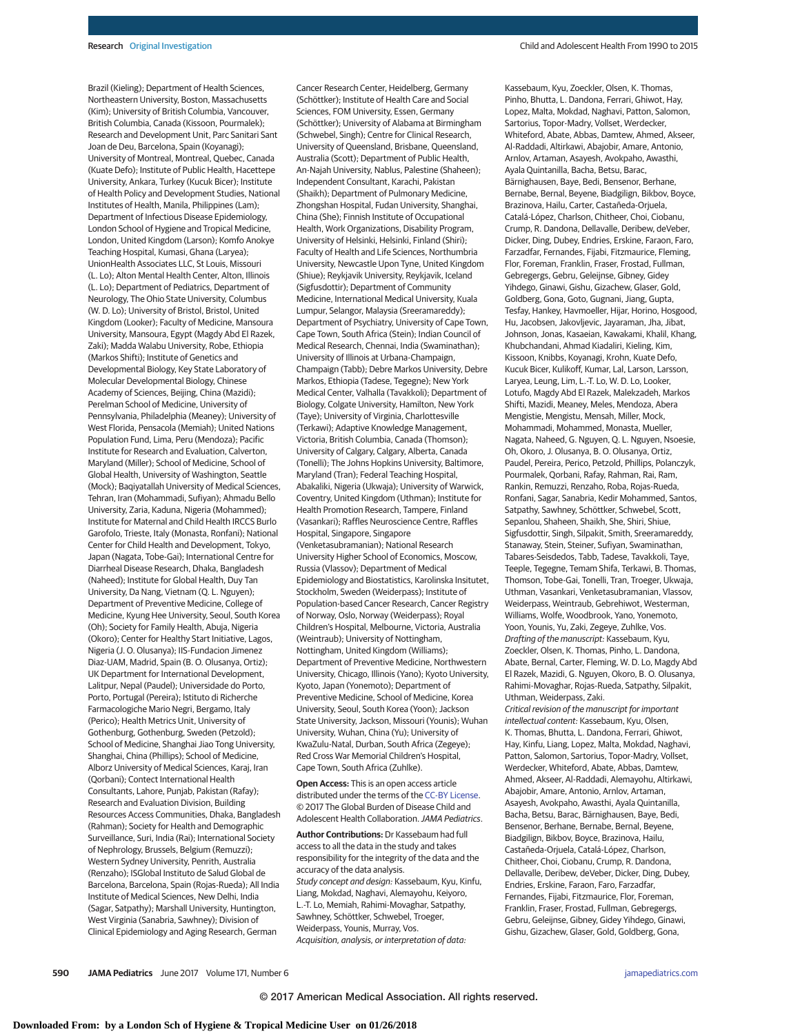Brazil (Kieling); Department of Health Sciences, Northeastern University, Boston, Massachusetts (Kim); University of British Columbia, Vancouver, British Columbia, Canada (Kissoon, Pourmalek); Research and Development Unit, Parc Sanitari Sant Joan de Deu, Barcelona, Spain (Koyanagi); University of Montreal, Montreal, Quebec, Canada (Kuate Defo); Institute of Public Health, Hacettepe University, Ankara, Turkey (Kucuk Bicer); Institute of Health Policy and Development Studies, National Institutes of Health, Manila, Philippines (Lam); Department of Infectious Disease Epidemiology, London School of Hygiene and Tropical Medicine, London, United Kingdom (Larson); Komfo Anokye Teaching Hospital, Kumasi, Ghana (Laryea); UnionHealth Associates LLC, St Louis, Missouri (L. Lo); Alton Mental Health Center, Alton, Illinois (L. Lo); Department of Pediatrics, Department of Neurology, The Ohio State University, Columbus (W. D. Lo); University of Bristol, Bristol, United Kingdom (Looker); Faculty of Medicine, Mansoura University, Mansoura, Egypt (Magdy Abd El Razek, Zaki); Madda Walabu University, Robe, Ethiopia (Markos Shifti); Institute of Genetics and Developmental Biology, Key State Laboratory of Molecular Developmental Biology, Chinese Academy of Sciences, Beijing, China (Mazidi); Perelman School of Medicine, University of Pennsylvania, Philadelphia (Meaney); University of West Florida, Pensacola (Memiah); United Nations Population Fund, Lima, Peru (Mendoza); Pacific Institute for Research and Evaluation, Calverton, Maryland (Miller); School of Medicine, School of Global Health, University of Washington, Seattle (Mock); Baqiyatallah University of Medical Sciences, Tehran, Iran (Mohammadi, Sufiyan); Ahmadu Bello University, Zaria, Kaduna, Nigeria (Mohammed); Institute for Maternal and Child Health IRCCS Burlo Garofolo, Trieste, Italy (Monasta, Ronfani); National Center for Child Health and Development, Tokyo, Japan (Nagata, Tobe-Gai); International Centre for Diarrheal Disease Research, Dhaka, Bangladesh (Naheed); Institute for Global Health, Duy Tan University, Da Nang, Vietnam (Q. L. Nguyen); Department of Preventive Medicine, College of Medicine, Kyung Hee University, Seoul, South Korea (Oh); Society for Family Health, Abuja, Nigeria (Okoro); Center for Healthy Start Initiative, Lagos, Nigeria (J. O. Olusanya); IIS-Fundacion Jimenez Diaz-UAM, Madrid, Spain (B. O. Olusanya, Ortiz); UK Department for International Development, Lalitpur, Nepal (Paudel); Universidade do Porto, Porto, Portugal (Pereira); Istituto di Richerche Farmacologiche Mario Negri, Bergamo, Italy (Perico); Health Metrics Unit, University of Gothenburg, Gothenburg, Sweden (Petzold); School of Medicine, Shanghai Jiao Tong University, Shanghai, China (Phillips); School of Medicine, Alborz University of Medical Sciences, Karaj, Iran (Qorbani); Contect International Health Consultants, Lahore, Punjab, Pakistan (Rafay); Research and Evaluation Division, Building Resources Access Communities, Dhaka, Bangladesh (Rahman); Society for Health and Demographic Surveillance, Suri, India (Rai); International Society of Nephrology, Brussels, Belgium (Remuzzi); Western Sydney University, Penrith, Australia (Renzaho); ISGlobal Instituto de Salud Global de Barcelona, Barcelona, Spain (Rojas-Rueda); All India Institute of Medical Sciences, New Delhi, India (Sagar, Satpathy); Marshall University, Huntington, West Virginia (Sanabria, Sawhney); Division of Clinical Epidemiology and Aging Research, German

Cancer Research Center, Heidelberg, Germany (Schöttker); Institute of Health Care and Social Sciences, FOM University, Essen, Germany (Schöttker); University of Alabama at Birmingham (Schwebel, Singh); Centre for Clinical Research, University of Queensland, Brisbane, Queensland, Australia (Scott); Department of Public Health, An-Najah University, Nablus, Palestine (Shaheen); Independent Consultant, Karachi, Pakistan (Shaikh); Department of Pulmonary Medicine, Zhongshan Hospital, Fudan University, Shanghai, China (She); Finnish Institute of Occupational Health, Work Organizations, Disability Program, University of Helsinki, Helsinki, Finland (Shiri); Faculty of Health and Life Sciences, Northumbria University, Newcastle Upon Tyne, United Kingdom (Shiue); Reykjavik University, Reykjavik, Iceland (Sigfusdottir); Department of Community Medicine, International Medical University, Kuala Lumpur, Selangor, Malaysia (Sreeramareddy); Department of Psychiatry, University of Cape Town, Cape Town, South Africa (Stein); Indian Council of Medical Research, Chennai, India (Swaminathan); University of Illinois at Urbana-Champaign, Champaign (Tabb); Debre Markos University, Debre Markos, Ethiopia (Tadese, Tegegne); New York Medical Center, Valhalla (Tavakkoli); Department of Biology, Colgate University, Hamilton, New York (Taye); University of Virginia, Charlottesville (Terkawi); Adaptive Knowledge Management, Victoria, British Columbia, Canada (Thomson); University of Calgary, Calgary, Alberta, Canada (Tonelli); The Johns Hopkins University, Baltimore, Maryland (Tran); Federal Teaching Hospital, Abakaliki, Nigeria (Ukwaja); University of Warwick, Coventry, United Kingdom (Uthman); Institute for Health Promotion Research, Tampere, Finland (Vasankari); Raffles Neuroscience Centre, Raffles Hospital, Singapore, Singapore (Venketasubramanian); National Research University Higher School of Economics, Moscow, Russia (Vlassov); Department of Medical Epidemiology and Biostatistics, Karolinska Insitutet, Stockholm, Sweden (Weiderpass); Institute of Population-based Cancer Research, Cancer Registry of Norway, Oslo, Norway (Weiderpass); Royal Children's Hospital, Melbourne, Victoria, Australia (Weintraub); University of Nottingham, Nottingham, United Kingdom (Williams); Department of Preventive Medicine, Northwestern University, Chicago, Illinois (Yano); Kyoto University, Kyoto, Japan (Yonemoto); Department of Preventive Medicine, School of Medicine, Korea University, Seoul, South Korea (Yoon); Jackson State University, Jackson, Missouri (Younis); Wuhan University, Wuhan, China (Yu); University of KwaZulu-Natal, Durban, South Africa (Zegeye); Red Cross War Memorial Children's Hospital, Cape Town, South Africa (Zuhlke).

**Open Access:** This is an open access article distributed under the terms of the [CC-BY License.](http://jamanetwork.com/journals/jamapediatrics/pages/instructions-for-authors#SecOpenAccess/?utm_campaign=articlePDF%26utm_medium=articlePDFlink%26utm_source=articlePDF%26utm_content=jamapediatrics.2017.0250) © 2017 The Global Burden of Disease Child and Adolescent Health Collaboration. JAMA Pediatrics.

**Author Contributions:** Dr Kassebaum had full access to all the data in the study and takes responsibility for the integrity of the data and the accuracy of the data analysis. Study concept and design: Kassebaum, Kyu, Kinfu, Liang, Mokdad, Naghavi, Alemayohu, Keiyoro, L.-T. Lo, Memiah, Rahimi-Movaghar, Satpathy, Sawhney, Schöttker, Schwebel, Troeger, Weiderpass, Younis, Murray, Vos. Acquisition, analysis, or interpretation of data:

Kassebaum, Kyu, Zoeckler, Olsen, K. Thomas, Pinho, Bhutta, L. Dandona, Ferrari, Ghiwot, Hay, Lopez, Malta, Mokdad, Naghavi, Patton, Salomon, Sartorius, Topor-Madry, Vollset, Werdecker, Whiteford, Abate, Abbas, Damtew, Ahmed, Akseer, Al-Raddadi, Altirkawi, Abajobir, Amare, Antonio, Arnlov, Artaman, Asayesh, Avokpaho, Awasthi, Ayala Quintanilla, Bacha, Betsu, Barac, Bärnighausen, Baye, Bedi, Bensenor, Berhane, Bernabe, Bernal, Beyene, Biadgilign, Bikbov, Boyce, Brazinova, Hailu, Carter, Castañeda-Orjuela, Catalá-López, Charlson, Chitheer, Choi, Ciobanu, Crump, R. Dandona, Dellavalle, Deribew, deVeber, Dicker, Ding, Dubey, Endries, Erskine, Faraon, Faro, Farzadfar, Fernandes, Fijabi, Fitzmaurice, Fleming, Flor, Foreman, Franklin, Fraser, Frostad, Fullman, Gebregergs, Gebru, Geleijnse, Gibney, Gidey Yihdego, Ginawi, Gishu, Gizachew, Glaser, Gold, Goldberg, Gona, Goto, Gugnani, Jiang, Gupta, Tesfay, Hankey, Havmoeller, Hijar, Horino, Hosgood, Hu, Jacobsen, Jakovljevic, Jayaraman, Jha, Jibat, Johnson, Jonas, Kasaeian, Kawakami, Khalil, Khang, Khubchandani, Ahmad Kiadaliri, Kieling, Kim, Kissoon, Knibbs, Koyanagi, Krohn, Kuate Defo, Kucuk Bicer, Kulikoff, Kumar, Lal, Larson, Larsson, Laryea, Leung, Lim, L.-T. Lo, W. D. Lo, Looker, Lotufo, Magdy Abd El Razek, Malekzadeh, Markos Shifti, Mazidi, Meaney, Meles, Mendoza, Abera Mengistie, Mengistu, Mensah, Miller, Mock, Mohammadi, Mohammed, Monasta, Mueller, Nagata, Naheed, G. Nguyen, Q. L. Nguyen, Nsoesie, Oh, Okoro, J. Olusanya, B. O. Olusanya, Ortiz, Paudel, Pereira, Perico, Petzold, Phillips, Polanczyk, Pourmalek, Qorbani, Rafay, Rahman, Rai, Ram, Rankin, Remuzzi, Renzaho, Roba, Rojas-Rueda, Ronfani, Sagar, Sanabria, Kedir Mohammed, Santos, Satpathy, Sawhney, Schöttker, Schwebel, Scott, Sepanlou, Shaheen, Shaikh, She, Shiri, Shiue, Sigfusdottir, Singh, Silpakit, Smith, Sreeramareddy, Stanaway, Stein, Steiner, Sufiyan, Swaminathan, Tabares-Seisdedos, Tabb, Tadese, Tavakkoli, Taye, Teeple, Tegegne, Temam Shifa, Terkawi, B. Thomas, Thomson, Tobe-Gai, Tonelli, Tran, Troeger, Ukwaja, Uthman, Vasankari, Venketasubramanian, Vlassov, Weiderpass, Weintraub, Gebrehiwot, Westerman, Williams, Wolfe, Woodbrook, Yano, Yonemoto, Yoon, Younis, Yu, Zaki, Zegeye, Zuhlke, Vos. Drafting of the manuscript: Kassebaum, Kyu, Zoeckler, Olsen, K. Thomas, Pinho, L. Dandona, Abate, Bernal, Carter, Fleming, W. D. Lo, Magdy Abd El Razek, Mazidi, G. Nguyen, Okoro, B. O. Olusanya, Rahimi-Movaghar, Rojas-Rueda, Satpathy, Silpakit, Uthman, Weiderpass, Zaki. Critical revision of the manuscript for important intellectual content: Kassebaum, Kyu, Olsen, K. Thomas, Bhutta, L. Dandona, Ferrari, Ghiwot, Hay, Kinfu, Liang, Lopez, Malta, Mokdad, Naghavi, Patton, Salomon, Sartorius, Topor-Madry, Vollset, Werdecker, Whiteford, Abate, Abbas, Damtew, Ahmed, Akseer, Al-Raddadi, Alemayohu, Altirkawi, Abajobir, Amare, Antonio, Arnlov, Artaman, Asayesh, Avokpaho, Awasthi, Ayala Quintanilla, Bacha, Betsu, Barac, Bärnighausen, Baye, Bedi,

Bensenor, Berhane, Bernabe, Bernal, Beyene, Biadgilign, Bikbov, Boyce, Brazinova, Hailu, Castañeda-Orjuela, Catalá-López, Charlson, Chitheer, Choi, Ciobanu, Crump, R. Dandona, Dellavalle, Deribew, deVeber, Dicker, Ding, Dubey, Endries, Erskine, Faraon, Faro, Farzadfar, Fernandes, Fijabi, Fitzmaurice, Flor, Foreman, Franklin, Fraser, Frostad, Fullman, Gebregergs, Gebru, Geleijnse, Gibney, Gidey Yihdego, Ginawi, Gishu, Gizachew, Glaser, Gold, Goldberg, Gona,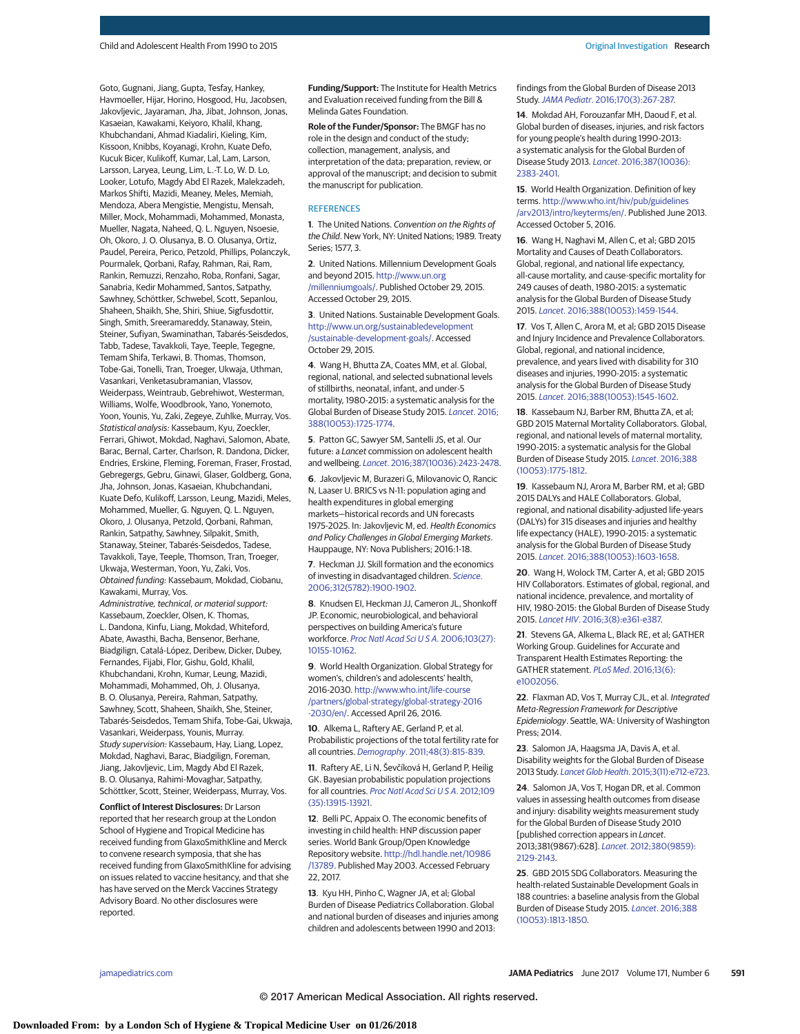Goto, Gugnani, Jiang, Gupta, Tesfay, Hankey, Havmoeller, Hijar, Horino, Hosgood, Hu, Jacobsen, Jakovljevic, Jayaraman, Jha, Jibat, Johnson, Jonas, Kasaeian, Kawakami, Keiyoro, Khalil, Khang, Khubchandani, Ahmad Kiadaliri, Kieling, Kim, Kissoon, Knibbs, Koyanagi, Krohn, Kuate Defo, Kucuk Bicer, Kulikoff, Kumar, Lal, Lam, Larson, Larsson, Laryea, Leung, Lim, L.-T. Lo, W. D. Lo, Looker, Lotufo, Magdy Abd El Razek, Malekzadeh, Markos Shifti, Mazidi, Meaney, Meles, Memiah, Mendoza, Abera Mengistie, Mengistu, Mensah, Miller, Mock, Mohammadi, Mohammed, Monasta, Mueller, Nagata, Naheed, Q. L. Nguyen, Nsoesie, Oh, Okoro, J. O. Olusanya, B. O. Olusanya, Ortiz, Paudel, Pereira, Perico, Petzold, Phillips, Polanczyk, Pourmalek, Qorbani, Rafay, Rahman, Rai, Ram, Rankin, Remuzzi, Renzaho, Roba, Ronfani, Sagar, Sanabria, Kedir Mohammed, Santos, Satpathy, Sawhney, Schöttker, Schwebel, Scott, Sepanlou, Shaheen, Shaikh, She, Shiri, Shiue, Sigfusdottir, Singh, Smith, Sreeramareddy, Stanaway, Stein, Steiner, Sufiyan, Swaminathan, Tabarés-Seisdedos, Tabb, Tadese, Tavakkoli, Taye, Teeple, Tegegne, Temam Shifa, Terkawi, B. Thomas, Thomson, Tobe-Gai, Tonelli, Tran, Troeger, Ukwaja, Uthman, Vasankari, Venketasubramanian, Vlassov, Weiderpass, Weintraub, Gebrehiwot, Westerman, Williams, Wolfe, Woodbrook, Yano, Yonemoto, Yoon, Younis, Yu, Zaki, Zegeye, Zuhlke, Murray, Vos. Statistical analysis: Kassebaum, Kyu, Zoeckler, Ferrari, Ghiwot, Mokdad, Naghavi, Salomon, Abate, Barac, Bernal, Carter, Charlson, R. Dandona, Dicker, Endries, Erskine, Fleming, Foreman, Fraser, Frostad, Gebregergs, Gebru, Ginawi, Glaser, Goldberg, Gona, Jha, Johnson, Jonas, Kasaeian, Khubchandani, Kuate Defo, Kulikoff, Larsson, Leung, Mazidi, Meles, Mohammed, Mueller, G. Nguyen, Q. L. Nguyen, Okoro, J. Olusanya, Petzold, Qorbani, Rahman, Rankin, Satpathy, Sawhney, Silpakit, Smith, Stanaway, Steiner, Tabarés-Seisdedos, Tadese, Tavakkoli, Taye, Teeple, Thomson, Tran, Troeger, Ukwaja, Westerman, Yoon, Yu, Zaki, Vos. Obtained funding: Kassebaum, Mokdad, Ciobanu, Kawakami, Murray, Vos.

Administrative, technical, or material support: Kassebaum, Zoeckler, Olsen, K. Thomas, L. Dandona, Kinfu, Liang, Mokdad, Whiteford, Abate, Awasthi, Bacha, Bensenor, Berhane, Biadgilign, Catalá-López, Deribew, Dicker, Dubey, Fernandes, Fijabi, Flor, Gishu, Gold, Khalil, Khubchandani, Krohn, Kumar, Leung, Mazidi, Mohammadi, Mohammed, Oh, J. Olusanya, B. O. Olusanya, Pereira, Rahman, Satpathy, Sawhney, Scott, Shaheen, Shaikh, She, Steiner, Tabarés-Seisdedos, Temam Shifa, Tobe-Gai, Ukwaja, Vasankari, Weiderpass, Younis, Murray. Study supervision: Kassebaum, Hay, Liang, Lopez, Mokdad, Naghavi, Barac, Biadgilign, Foreman, Jiang, Jakovljevic, Lim, Magdy Abd El Razek, B. O. Olusanya, Rahimi-Movaghar, Satpathy, Schöttker, Scott, Steiner, Weiderpass, Murray, Vos.

**Conflict of Interest Disclosures:** Dr Larson reported that her research group at the London School of Hygiene and Tropical Medicine has received funding from GlaxoSmithKline and Merck to convene research symposia, that she has received funding from GlaxoSmithKline for advising on issues related to vaccine hesitancy, and that she has have served on the Merck Vaccines Strategy Advisory Board. No other disclosures were reported.

**Funding/Support:** The Institute for Health Metrics and Evaluation received funding from the Bill & Melinda Gates Foundation.

**Role of the Funder/Sponsor:** The BMGF has no role in the design and conduct of the study; collection, management, analysis, and interpretation of the data; preparation, review, or approval of the manuscript; and decision to submit the manuscript for publication.

#### **REFERENCES**

**1**. The United Nations. Convention on the Rights of the Child. New York, NY: United Nations; 1989. Treaty Series; 1577, 3.

**2**. United Nations. Millennium Development Goals and beyond 2015. [http://www.un.org](http://www.un.org/millenniumgoals/) [/millenniumgoals/.](http://www.un.org/millenniumgoals/) Published October 29, 2015. Accessed October 29, 2015.

**3**. United Nations. Sustainable Development Goals. [http://www.un.org/sustainabledevelopment](http://www.un.org/sustainabledevelopment/sustainable-development-goals/) [/sustainable-development-goals/.](http://www.un.org/sustainabledevelopment/sustainable-development-goals/) Accessed October 29, 2015.

**4**. Wang H, Bhutta ZA, Coates MM, et al. Global, regional, national, and selected subnational levels of stillbirths, neonatal, infant, and under-5 mortality, 1980-2015: a systematic analysis for the Global Burden of Disease Study 2015. Lancet[. 2016;](https://www.ncbi.nlm.nih.gov/pubmed/27733285) [388\(10053\):1725-1774.](https://www.ncbi.nlm.nih.gov/pubmed/27733285)

**5**. Patton GC, Sawyer SM, Santelli JS, et al. Our future: a Lancet commission on adolescent health and wellbeing. Lancet[. 2016;387\(10036\):2423-2478.](https://www.ncbi.nlm.nih.gov/pubmed/27174304)

**6**. Jakovljevic M, Burazeri G, Milovanovic O, Rancic N, Laaser U. BRICS vs N-11: population aging and health expenditures in global emerging markets—historical records and UN forecasts 1975-2025. In: Jakovljevic M, ed. Health Economics and Policy Challenges in Global Emerging Markets. Hauppauge, NY: Nova Publishers; 2016:1-18.

**7**. Heckman JJ. Skill formation and the economics of investing in disadvantaged children. [Science](https://www.ncbi.nlm.nih.gov/pubmed/16809525). [2006;312\(5782\):1900-1902.](https://www.ncbi.nlm.nih.gov/pubmed/16809525)

**8**. Knudsen EI, Heckman JJ, Cameron JL, Shonkoff JP. Economic, neurobiological, and behavioral perspectives on building America's future workforce. Proc Natl Acad Sci U S A. 2006;103(27): [10155-10162.](https://www.ncbi.nlm.nih.gov/pubmed/16801553)

**9**. World Health Organization. Global Strategy for women's, children's and adolescents' health, 2016-2030. [http://www.who.int/life-course](http://www.who.int/life-course/partners/global-strategy/global-strategy-2016-2030/en/) [/partners/global-strategy/global-strategy-2016](http://www.who.int/life-course/partners/global-strategy/global-strategy-2016-2030/en/) [-2030/en/.](http://www.who.int/life-course/partners/global-strategy/global-strategy-2016-2030/en/) Accessed April 26, 2016.

**10**. Alkema L, Raftery AE, Gerland P, et al. Probabilistic projections of the total fertility rate for all countries. Demography[. 2011;48\(3\):815-839.](https://www.ncbi.nlm.nih.gov/pubmed/21748544)

**11**. Raftery AE, Li N, Ševčíková H, Gerland P, Heilig GK. Bayesian probabilistic population projections for all countries. Proc Natl Acad Sci U S A. 2012;109 [\(35\):13915-13921.](https://www.ncbi.nlm.nih.gov/pubmed/22908249)

**12**. Belli PC, Appaix O. The economic benefits of investing in child health: HNP discussion paper series. World Bank Group/Open Knowledge Repository website. [http://hdl.handle.net/10986](http://hdl.handle.net/10986/13789) [/13789.](http://hdl.handle.net/10986/13789) Published May 2003. Accessed February 22, 2017.

**13**. Kyu HH, Pinho C, Wagner JA, et al; Global Burden of Disease Pediatrics Collaboration. Global and national burden of diseases and injuries among children and adolescents between 1990 and 2013:

findings from the Global Burden of Disease 2013 Study.JAMA Pediatr[. 2016;170\(3\):267-287.](https://www.ncbi.nlm.nih.gov/pubmed/26810619)

**14**. Mokdad AH, Forouzanfar MH, Daoud F, et al. Global burden of diseases, injuries, and risk factors for young people's health during 1990-2013: a systematic analysis for the Global Burden of Disease Study 2013. Lancet[. 2016;387\(10036\):](https://www.ncbi.nlm.nih.gov/pubmed/27174305) [2383-2401.](https://www.ncbi.nlm.nih.gov/pubmed/27174305)

**15**. World Health Organization. Definition of key terms. [http://www.who.int/hiv/pub/guidelines](http://www.who.int/hiv/pub/guidelines/arv2013/intro/keyterms/en/) [/arv2013/intro/keyterms/en/.](http://www.who.int/hiv/pub/guidelines/arv2013/intro/keyterms/en/) Published June 2013. Accessed October 5, 2016.

**16**. Wang H, Naghavi M, Allen C, et al; GBD 2015 Mortality and Causes of Death Collaborators. Global, regional, and national life expectancy, all-cause mortality, and cause-specific mortality for 249 causes of death, 1980-2015: a systematic analysis for the Global Burden of Disease Study 2015. Lancet[. 2016;388\(10053\):1459-1544.](https://www.ncbi.nlm.nih.gov/pubmed/27733281)

**17**. Vos T, Allen C, Arora M, et al; GBD 2015 Disease and Injury Incidence and Prevalence Collaborators. Global, regional, and national incidence, prevalence, and years lived with disability for 310 diseases and injuries, 1990-2015: a systematic analysis for the Global Burden of Disease Study 2015. Lancet[. 2016;388\(10053\):1545-1602.](https://www.ncbi.nlm.nih.gov/pubmed/27733282)

**18**. Kassebaum NJ, Barber RM, Bhutta ZA, et al; GBD 2015 Maternal Mortality Collaborators. Global, regional, and national levels of maternal mortality, 1990-2015: a systematic analysis for the Global Burden of Disease Study 2015. Lancet[. 2016;388](https://www.ncbi.nlm.nih.gov/pubmed/27733286) [\(10053\):1775-1812.](https://www.ncbi.nlm.nih.gov/pubmed/27733286)

**19**. Kassebaum NJ, Arora M, Barber RM, et al; GBD 2015 DALYs and HALE Collaborators. Global, regional, and national disability-adjusted life-years (DALYs) for 315 diseases and injuries and healthy life expectancy (HALE), 1990-2015: a systematic analysis for the Global Burden of Disease Study 2015. Lancet[. 2016;388\(10053\):1603-1658.](https://www.ncbi.nlm.nih.gov/pubmed/27733283)

**20**. Wang H, Wolock TM, Carter A, et al; GBD 2015 HIV Collaborators. Estimates of global, regional, and national incidence, prevalence, and mortality of HIV, 1980-2015: the Global Burden of Disease Study 2015. Lancet HIV[. 2016;3\(8\):e361-e387.](https://www.ncbi.nlm.nih.gov/pubmed/27470028)

**21**. Stevens GA, Alkema L, Black RE, et al; GATHER Working Group. Guidelines for Accurate and Transparent Health Estimates Reporting: the GATHER statement. PLoS Med[. 2016;13\(6\):](https://www.ncbi.nlm.nih.gov/pubmed/27351744) [e1002056.](https://www.ncbi.nlm.nih.gov/pubmed/27351744)

**22**. Flaxman AD, Vos T, Murray CJL, et al. Integrated Meta-Regression Framework for Descriptive Epidemiology. Seattle, WA: University of Washington Press; 2014.

**23**. Salomon JA, Haagsma JA, Davis A, et al. Disability weights for the Global Burden of Disease 2013 Study. Lancet Glob Health[. 2015;3\(11\):e712-e723.](https://www.ncbi.nlm.nih.gov/pubmed/26475018)

**24**. Salomon JA, Vos T, Hogan DR, et al. Common values in assessing health outcomes from disease and injury: disability weights measurement study for the Global Burden of Disease Study 2010 [published correction appears in Lancet. 2013;381(9867):628]. Lancet[. 2012;380\(9859\):](https://www.ncbi.nlm.nih.gov/pubmed/23245605) [2129-2143.](https://www.ncbi.nlm.nih.gov/pubmed/23245605)

**25**. GBD 2015 SDG Collaborators. Measuring the health-related Sustainable Development Goals in 188 countries: a baseline analysis from the Global Burden of Disease Study 2015. Lancet[. 2016;388](https://www.ncbi.nlm.nih.gov/pubmed/27665228) [\(10053\):1813-1850.](https://www.ncbi.nlm.nih.gov/pubmed/27665228)